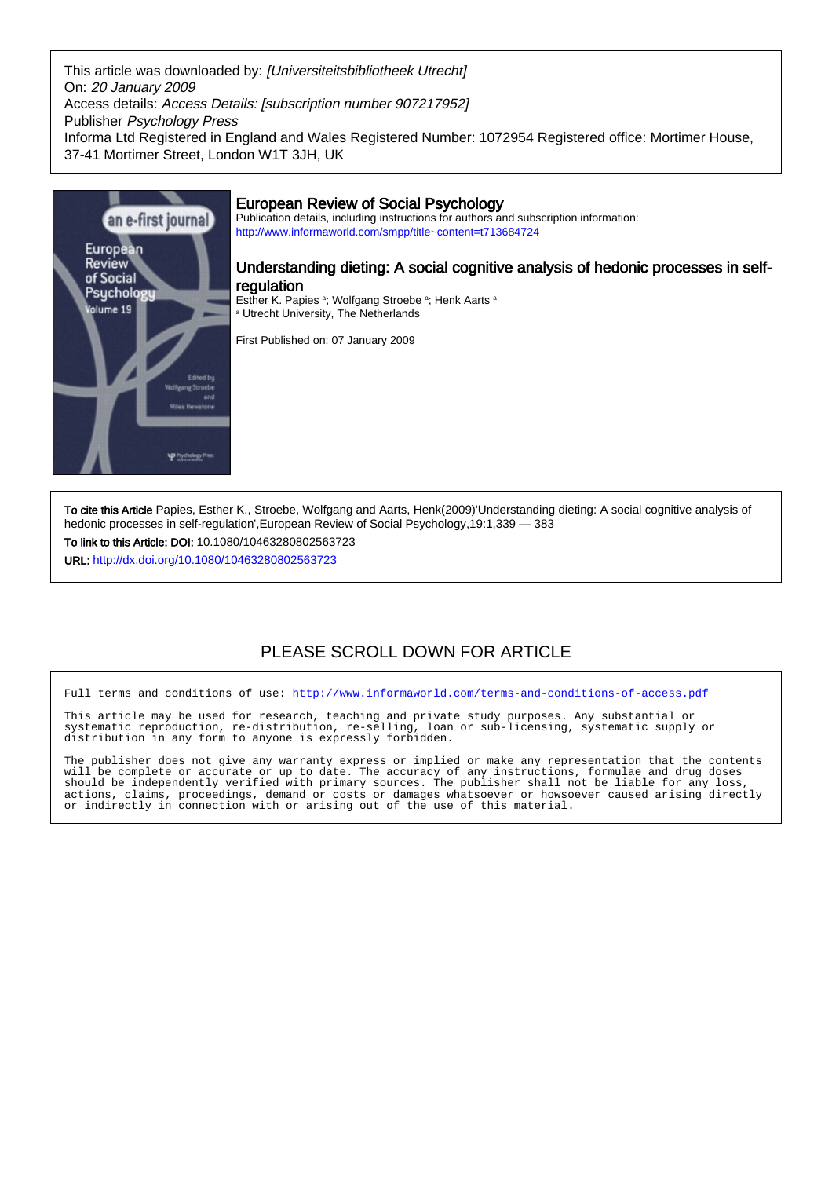This article was downloaded by: [Universiteitsbibliotheek Utrecht] On: 20 January 2009 Access details: Access Details: [subscription number 907217952] Publisher Psychology Press Informa Ltd Registered in England and Wales Registered Number: 1072954 Registered office: Mortimer House, 37-41 Mortimer Street, London W1T 3JH, UK



To cite this Article Papies, Esther K., Stroebe, Wolfgang and Aarts, Henk(2009)'Understanding dieting: A social cognitive analysis of hedonic processes in self-regulation',European Review of Social Psychology,19:1,339 — 383

To link to this Article: DOI: 10.1080/10463280802563723 URL: <http://dx.doi.org/10.1080/10463280802563723>

# PLEASE SCROLL DOWN FOR ARTICLE

Full terms and conditions of use:<http://www.informaworld.com/terms-and-conditions-of-access.pdf>

This article may be used for research, teaching and private study purposes. Any substantial or systematic reproduction, re-distribution, re-selling, loan or sub-licensing, systematic supply or distribution in any form to anyone is expressly forbidden.

The publisher does not give any warranty express or implied or make any representation that the contents will be complete or accurate or up to date. The accuracy of any instructions, formulae and drug doses should be independently verified with primary sources. The publisher shall not be liable for any loss, actions, claims, proceedings, demand or costs or damages whatsoever or howsoever caused arising directly or indirectly in connection with or arising out of the use of this material.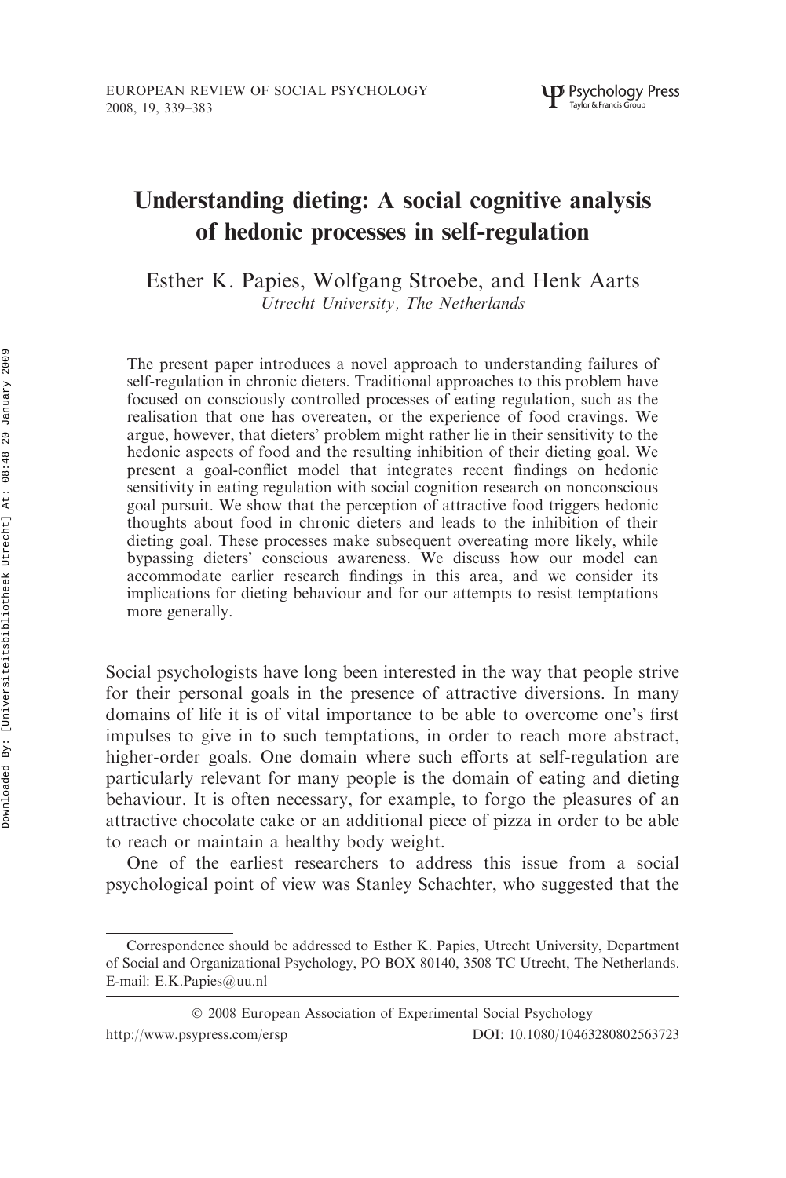# Understanding dieting: A social cognitive analysis of hedonic processes in self-regulation

Esther K. Papies, Wolfgang Stroebe, and Henk Aarts Utrecht University, The Netherlands

The present paper introduces a novel approach to understanding failures of self-regulation in chronic dieters. Traditional approaches to this problem have focused on consciously controlled processes of eating regulation, such as the realisation that one has overeaten, or the experience of food cravings. We argue, however, that dieters' problem might rather lie in their sensitivity to the hedonic aspects of food and the resulting inhibition of their dieting goal. We present a goal-conflict model that integrates recent findings on hedonic sensitivity in eating regulation with social cognition research on nonconscious goal pursuit. We show that the perception of attractive food triggers hedonic thoughts about food in chronic dieters and leads to the inhibition of their dieting goal. These processes make subsequent overeating more likely, while bypassing dieters' conscious awareness. We discuss how our model can accommodate earlier research findings in this area, and we consider its implications for dieting behaviour and for our attempts to resist temptations more generally.

Social psychologists have long been interested in the way that people strive for their personal goals in the presence of attractive diversions. In many domains of life it is of vital importance to be able to overcome one's first impulses to give in to such temptations, in order to reach more abstract, higher-order goals. One domain where such efforts at self-regulation are particularly relevant for many people is the domain of eating and dieting behaviour. It is often necessary, for example, to forgo the pleasures of an attractive chocolate cake or an additional piece of pizza in order to be able to reach or maintain a healthy body weight.

One of the earliest researchers to address this issue from a social psychological point of view was Stanley Schachter, who suggested that the

© 2008 European Association of Experimental Social Psychology http://www.psypress.com/ersp DOI: 10.1080/10463280802563723

Correspondence should be addressed to Esther K. Papies, Utrecht University, Department of Social and Organizational Psychology, PO BOX 80140, 3508 TC Utrecht, The Netherlands. E-mail: E.K.Papies@uu.nl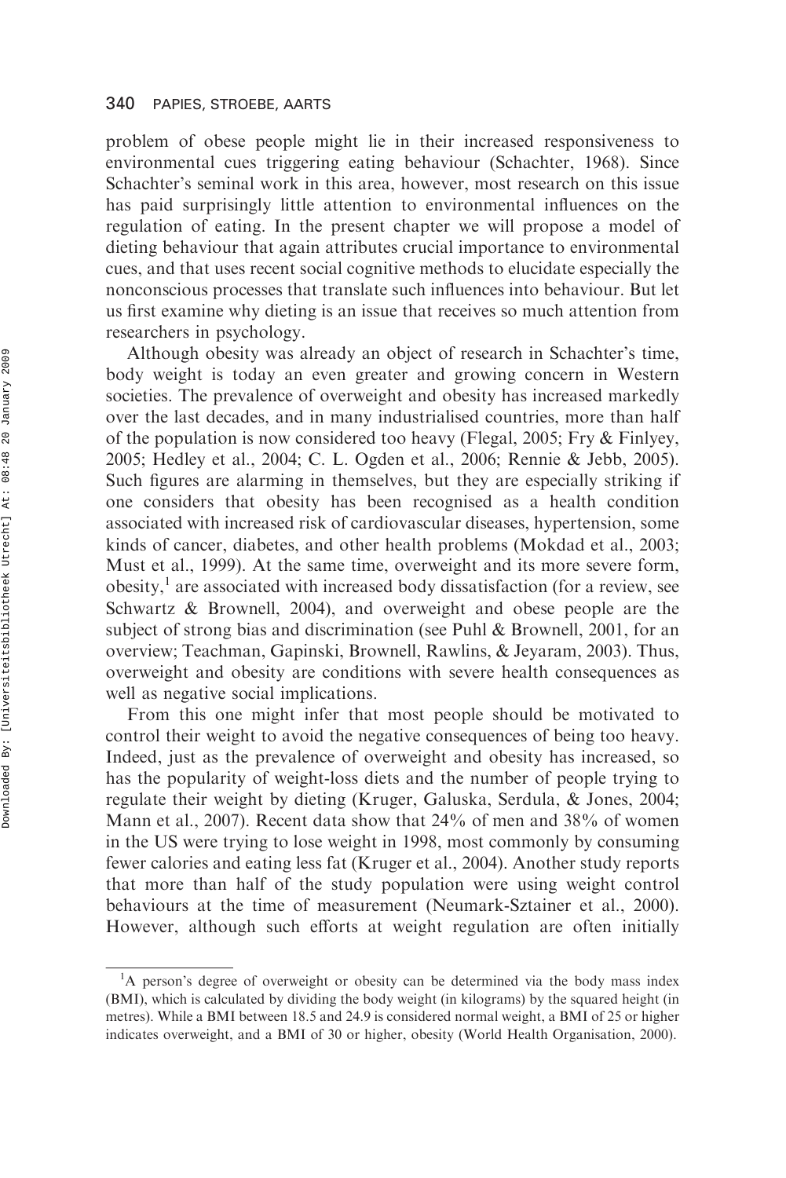problem of obese people might lie in their increased responsiveness to environmental cues triggering eating behaviour (Schachter, 1968). Since Schachter's seminal work in this area, however, most research on this issue has paid surprisingly little attention to environmental influences on the regulation of eating. In the present chapter we will propose a model of dieting behaviour that again attributes crucial importance to environmental cues, and that uses recent social cognitive methods to elucidate especially the nonconscious processes that translate such influences into behaviour. But let us first examine why dieting is an issue that receives so much attention from researchers in psychology.

Although obesity was already an object of research in Schachter's time, body weight is today an even greater and growing concern in Western societies. The prevalence of overweight and obesity has increased markedly over the last decades, and in many industrialised countries, more than half of the population is now considered too heavy (Flegal, 2005; Fry  $\&$  Finlyey, 2005; Hedley et al., 2004; C. L. Ogden et al., 2006; Rennie & Jebb, 2005). Such figures are alarming in themselves, but they are especially striking if one considers that obesity has been recognised as a health condition associated with increased risk of cardiovascular diseases, hypertension, some kinds of cancer, diabetes, and other health problems (Mokdad et al., 2003; Must et al., 1999). At the same time, overweight and its more severe form, obesity, $\frac{1}{1}$  are associated with increased body dissatisfaction (for a review, see Schwartz & Brownell, 2004), and overweight and obese people are the subject of strong bias and discrimination (see Puhl & Brownell, 2001, for an overview; Teachman, Gapinski, Brownell, Rawlins, & Jeyaram, 2003). Thus, overweight and obesity are conditions with severe health consequences as well as negative social implications.

From this one might infer that most people should be motivated to control their weight to avoid the negative consequences of being too heavy. Indeed, just as the prevalence of overweight and obesity has increased, so has the popularity of weight-loss diets and the number of people trying to regulate their weight by dieting (Kruger, Galuska, Serdula, & Jones, 2004; Mann et al., 2007). Recent data show that 24% of men and 38% of women in the US were trying to lose weight in 1998, most commonly by consuming fewer calories and eating less fat (Kruger et al., 2004). Another study reports that more than half of the study population were using weight control behaviours at the time of measurement (Neumark-Sztainer et al., 2000). However, although such efforts at weight regulation are often initially

<sup>&</sup>lt;sup>1</sup>A person's degree of overweight or obesity can be determined via the body mass index (BMI), which is calculated by dividing the body weight (in kilograms) by the squared height (in metres). While a BMI between 18.5 and 24.9 is considered normal weight, a BMI of 25 or higher indicates overweight, and a BMI of 30 or higher, obesity (World Health Organisation, 2000).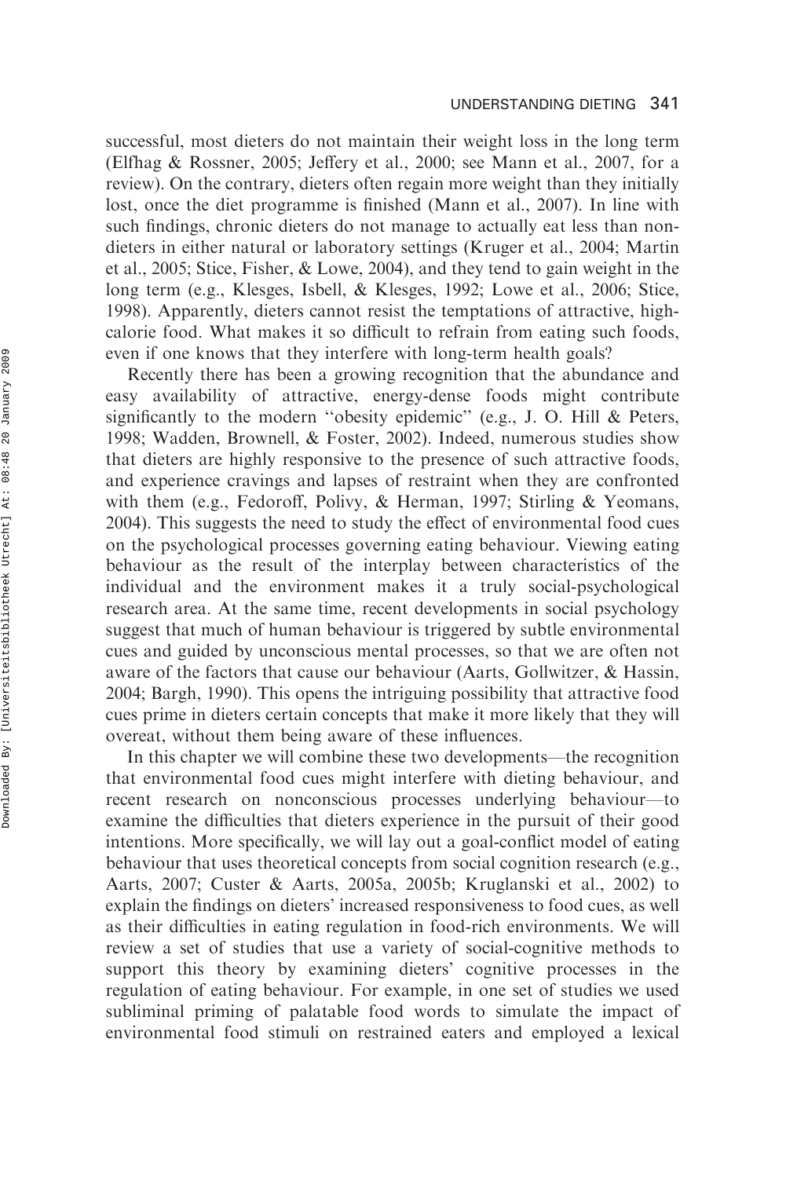successful, most dieters do not maintain their weight loss in the long term (Elfhag & Rossner, 2005; Jeffery et al., 2000; see Mann et al., 2007, for a review). On the contrary, dieters often regain more weight than they initially lost, once the diet programme is finished (Mann et al., 2007). In line with such findings, chronic dieters do not manage to actually eat less than nondieters in either natural or laboratory settings (Kruger et al., 2004; Martin et al., 2005; Stice, Fisher, & Lowe, 2004), and they tend to gain weight in the long term (e.g., Klesges, Isbell, & Klesges, 1992; Lowe et al., 2006; Stice, 1998). Apparently, dieters cannot resist the temptations of attractive, highcalorie food. What makes it so difficult to refrain from eating such foods, even if one knows that they interfere with long-term health goals?

Recently there has been a growing recognition that the abundance and easy availability of attractive, energy-dense foods might contribute significantly to the modern ''obesity epidemic'' (e.g., J. O. Hill & Peters, 1998; Wadden, Brownell, & Foster, 2002). Indeed, numerous studies show that dieters are highly responsive to the presence of such attractive foods, and experience cravings and lapses of restraint when they are confronted with them (e.g., Fedoroff, Polivy, & Herman, 1997; Stirling & Yeomans, 2004). This suggests the need to study the effect of environmental food cues on the psychological processes governing eating behaviour. Viewing eating behaviour as the result of the interplay between characteristics of the individual and the environment makes it a truly social-psychological research area. At the same time, recent developments in social psychology suggest that much of human behaviour is triggered by subtle environmental cues and guided by unconscious mental processes, so that we are often not aware of the factors that cause our behaviour (Aarts, Gollwitzer, & Hassin, 2004; Bargh, 1990). This opens the intriguing possibility that attractive food cues prime in dieters certain concepts that make it more likely that they will overeat, without them being aware of these influences.

In this chapter we will combine these two developments—the recognition that environmental food cues might interfere with dieting behaviour, and recent research on nonconscious processes underlying behaviour—to examine the difficulties that dieters experience in the pursuit of their good intentions. More specifically, we will lay out a goal-conflict model of eating behaviour that uses theoretical concepts from social cognition research (e.g., Aarts, 2007; Custer & Aarts, 2005a, 2005b; Kruglanski et al., 2002) to explain the findings on dieters' increased responsiveness to food cues, as well as their difficulties in eating regulation in food-rich environments. We will review a set of studies that use a variety of social-cognitive methods to support this theory by examining dieters' cognitive processes in the regulation of eating behaviour. For example, in one set of studies we used subliminal priming of palatable food words to simulate the impact of environmental food stimuli on restrained eaters and employed a lexical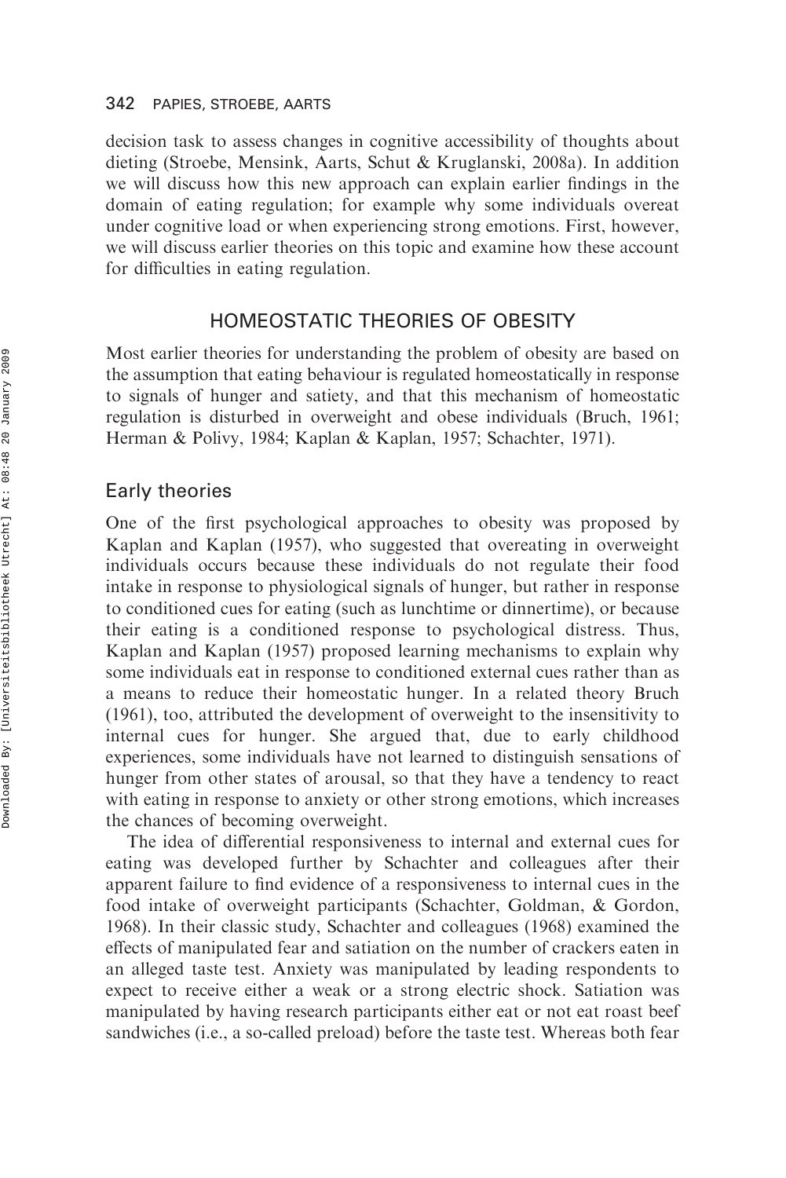decision task to assess changes in cognitive accessibility of thoughts about dieting (Stroebe, Mensink, Aarts, Schut & Kruglanski, 2008a). In addition we will discuss how this new approach can explain earlier findings in the domain of eating regulation; for example why some individuals overeat under cognitive load or when experiencing strong emotions. First, however, we will discuss earlier theories on this topic and examine how these account for difficulties in eating regulation.

## HOMEOSTATIC THEORIES OF OBESITY

Most earlier theories for understanding the problem of obesity are based on the assumption that eating behaviour is regulated homeostatically in response to signals of hunger and satiety, and that this mechanism of homeostatic regulation is disturbed in overweight and obese individuals (Bruch, 1961; Herman & Polivy, 1984; Kaplan & Kaplan, 1957; Schachter, 1971).

### Early theories

One of the first psychological approaches to obesity was proposed by Kaplan and Kaplan (1957), who suggested that overeating in overweight individuals occurs because these individuals do not regulate their food intake in response to physiological signals of hunger, but rather in response to conditioned cues for eating (such as lunchtime or dinnertime), or because their eating is a conditioned response to psychological distress. Thus, Kaplan and Kaplan (1957) proposed learning mechanisms to explain why some individuals eat in response to conditioned external cues rather than as a means to reduce their homeostatic hunger. In a related theory Bruch (1961), too, attributed the development of overweight to the insensitivity to internal cues for hunger. She argued that, due to early childhood experiences, some individuals have not learned to distinguish sensations of hunger from other states of arousal, so that they have a tendency to react with eating in response to anxiety or other strong emotions, which increases the chances of becoming overweight.

The idea of differential responsiveness to internal and external cues for eating was developed further by Schachter and colleagues after their apparent failure to find evidence of a responsiveness to internal cues in the food intake of overweight participants (Schachter, Goldman, & Gordon, 1968). In their classic study, Schachter and colleagues (1968) examined the effects of manipulated fear and satiation on the number of crackers eaten in an alleged taste test. Anxiety was manipulated by leading respondents to expect to receive either a weak or a strong electric shock. Satiation was manipulated by having research participants either eat or not eat roast beef sandwiches (i.e., a so-called preload) before the taste test. Whereas both fear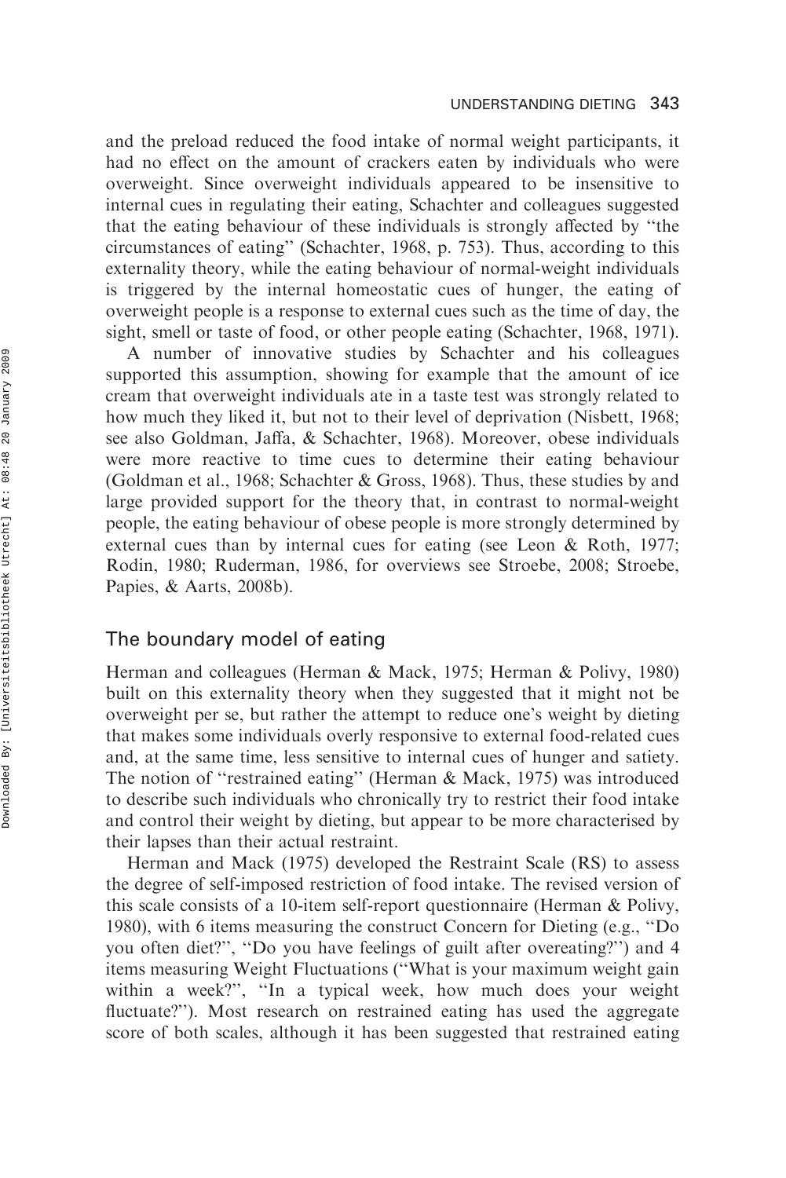and the preload reduced the food intake of normal weight participants, it had no effect on the amount of crackers eaten by individuals who were overweight. Since overweight individuals appeared to be insensitive to internal cues in regulating their eating, Schachter and colleagues suggested that the eating behaviour of these individuals is strongly affected by ''the circumstances of eating'' (Schachter, 1968, p. 753). Thus, according to this externality theory, while the eating behaviour of normal-weight individuals is triggered by the internal homeostatic cues of hunger, the eating of overweight people is a response to external cues such as the time of day, the sight, smell or taste of food, or other people eating (Schachter, 1968, 1971).

A number of innovative studies by Schachter and his colleagues supported this assumption, showing for example that the amount of ice cream that overweight individuals ate in a taste test was strongly related to how much they liked it, but not to their level of deprivation (Nisbett, 1968; see also Goldman, Jaffa, & Schachter, 1968). Moreover, obese individuals were more reactive to time cues to determine their eating behaviour (Goldman et al., 1968; Schachter & Gross, 1968). Thus, these studies by and large provided support for the theory that, in contrast to normal-weight people, the eating behaviour of obese people is more strongly determined by external cues than by internal cues for eating (see Leon & Roth, 1977; Rodin, 1980; Ruderman, 1986, for overviews see Stroebe, 2008; Stroebe, Papies, & Aarts, 2008b).

# The boundary model of eating

Herman and colleagues (Herman & Mack, 1975; Herman & Polivy, 1980) built on this externality theory when they suggested that it might not be overweight per se, but rather the attempt to reduce one's weight by dieting that makes some individuals overly responsive to external food-related cues and, at the same time, less sensitive to internal cues of hunger and satiety. The notion of ''restrained eating'' (Herman & Mack, 1975) was introduced to describe such individuals who chronically try to restrict their food intake and control their weight by dieting, but appear to be more characterised by their lapses than their actual restraint.

Herman and Mack (1975) developed the Restraint Scale (RS) to assess the degree of self-imposed restriction of food intake. The revised version of this scale consists of a 10-item self-report questionnaire (Herman & Polivy, 1980), with 6 items measuring the construct Concern for Dieting (e.g., ''Do you often diet?'', ''Do you have feelings of guilt after overeating?'') and 4 items measuring Weight Fluctuations (''What is your maximum weight gain within a week?", "In a typical week, how much does your weight fluctuate?''). Most research on restrained eating has used the aggregate score of both scales, although it has been suggested that restrained eating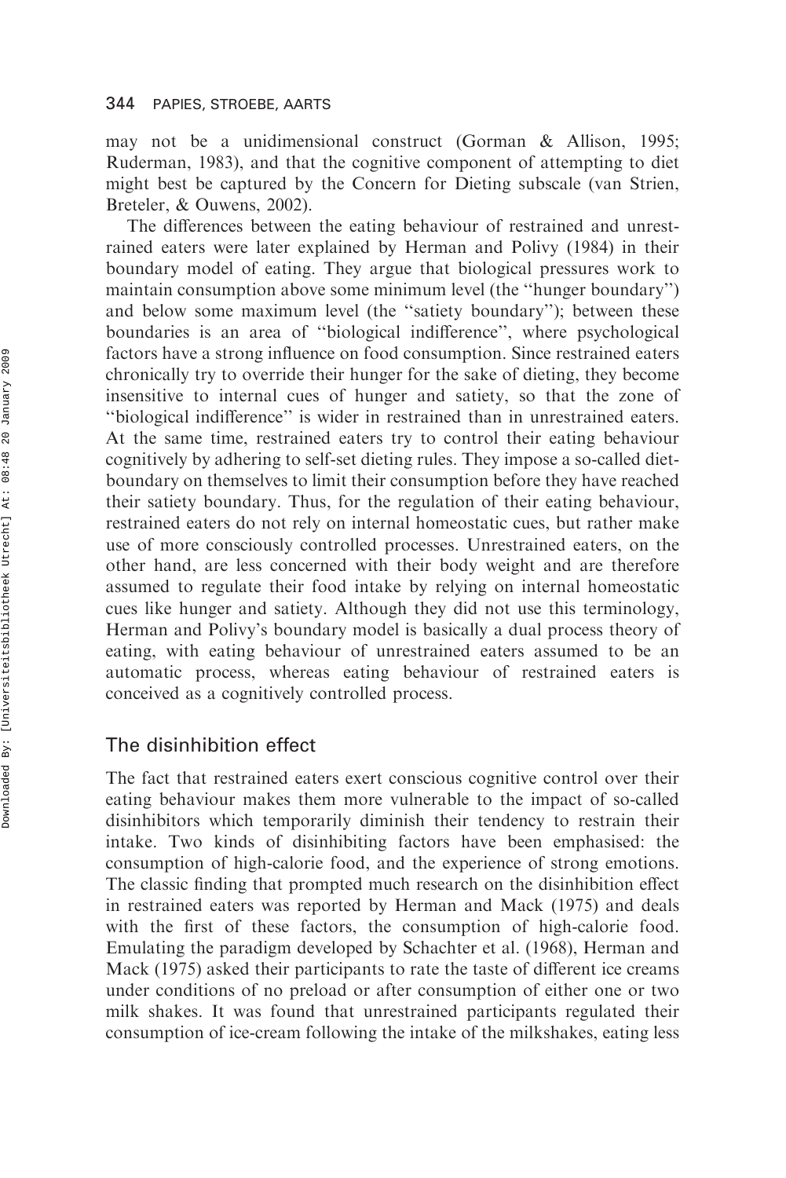may not be a unidimensional construct (Gorman & Allison, 1995; Ruderman, 1983), and that the cognitive component of attempting to diet might best be captured by the Concern for Dieting subscale (van Strien, Breteler, & Ouwens, 2002).

The differences between the eating behaviour of restrained and unrestrained eaters were later explained by Herman and Polivy (1984) in their boundary model of eating. They argue that biological pressures work to maintain consumption above some minimum level (the ''hunger boundary'') and below some maximum level (the ''satiety boundary''); between these boundaries is an area of ''biological indifference'', where psychological factors have a strong influence on food consumption. Since restrained eaters chronically try to override their hunger for the sake of dieting, they become insensitive to internal cues of hunger and satiety, so that the zone of ''biological indifference'' is wider in restrained than in unrestrained eaters. At the same time, restrained eaters try to control their eating behaviour cognitively by adhering to self-set dieting rules. They impose a so-called dietboundary on themselves to limit their consumption before they have reached their satiety boundary. Thus, for the regulation of their eating behaviour, restrained eaters do not rely on internal homeostatic cues, but rather make use of more consciously controlled processes. Unrestrained eaters, on the other hand, are less concerned with their body weight and are therefore assumed to regulate their food intake by relying on internal homeostatic cues like hunger and satiety. Although they did not use this terminology, Herman and Polivy's boundary model is basically a dual process theory of eating, with eating behaviour of unrestrained eaters assumed to be an automatic process, whereas eating behaviour of restrained eaters is conceived as a cognitively controlled process.

#### The disinhibition effect

The fact that restrained eaters exert conscious cognitive control over their eating behaviour makes them more vulnerable to the impact of so-called disinhibitors which temporarily diminish their tendency to restrain their intake. Two kinds of disinhibiting factors have been emphasised: the consumption of high-calorie food, and the experience of strong emotions. The classic finding that prompted much research on the disinhibition effect in restrained eaters was reported by Herman and Mack (1975) and deals with the first of these factors, the consumption of high-calorie food. Emulating the paradigm developed by Schachter et al. (1968), Herman and Mack (1975) asked their participants to rate the taste of different ice creams under conditions of no preload or after consumption of either one or two milk shakes. It was found that unrestrained participants regulated their consumption of ice-cream following the intake of the milkshakes, eating less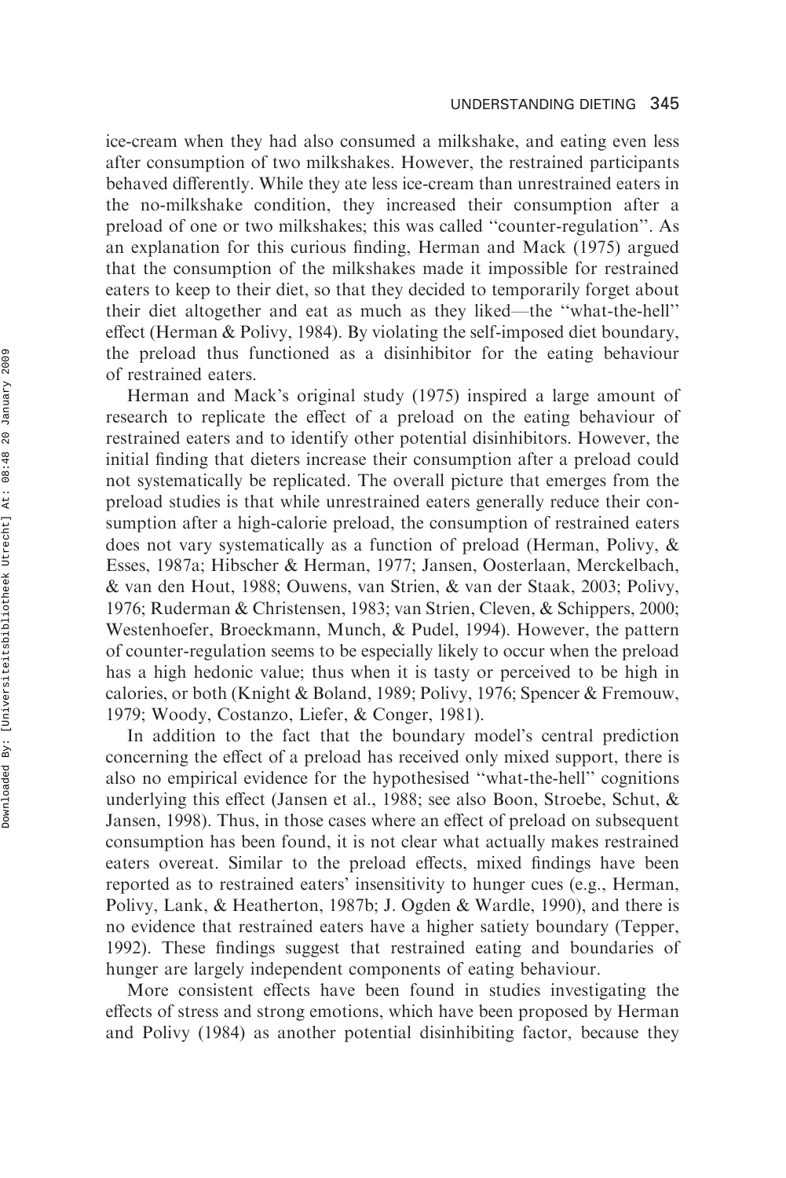ice-cream when they had also consumed a milkshake, and eating even less after consumption of two milkshakes. However, the restrained participants behaved differently. While they ate less ice-cream than unrestrained eaters in the no-milkshake condition, they increased their consumption after a preload of one or two milkshakes; this was called ''counter-regulation''. As an explanation for this curious finding, Herman and Mack (1975) argued that the consumption of the milkshakes made it impossible for restrained eaters to keep to their diet, so that they decided to temporarily forget about their diet altogether and eat as much as they liked—the ''what-the-hell'' effect (Herman & Polivy, 1984). By violating the self-imposed diet boundary, the preload thus functioned as a disinhibitor for the eating behaviour of restrained eaters.

Herman and Mack's original study (1975) inspired a large amount of research to replicate the effect of a preload on the eating behaviour of restrained eaters and to identify other potential disinhibitors. However, the initial finding that dieters increase their consumption after a preload could not systematically be replicated. The overall picture that emerges from the preload studies is that while unrestrained eaters generally reduce their consumption after a high-calorie preload, the consumption of restrained eaters does not vary systematically as a function of preload (Herman, Polivy, & Esses, 1987a; Hibscher & Herman, 1977; Jansen, Oosterlaan, Merckelbach, & van den Hout, 1988; Ouwens, van Strien, & van der Staak, 2003; Polivy, 1976; Ruderman & Christensen, 1983; van Strien, Cleven, & Schippers, 2000; Westenhoefer, Broeckmann, Munch, & Pudel, 1994). However, the pattern of counter-regulation seems to be especially likely to occur when the preload has a high hedonic value; thus when it is tasty or perceived to be high in calories, or both (Knight & Boland, 1989; Polivy, 1976; Spencer & Fremouw, 1979; Woody, Costanzo, Liefer, & Conger, 1981).

In addition to the fact that the boundary model's central prediction concerning the effect of a preload has received only mixed support, there is also no empirical evidence for the hypothesised ''what-the-hell'' cognitions underlying this effect (Jansen et al., 1988; see also Boon, Stroebe, Schut, & Jansen, 1998). Thus, in those cases where an effect of preload on subsequent consumption has been found, it is not clear what actually makes restrained eaters overeat. Similar to the preload effects, mixed findings have been reported as to restrained eaters' insensitivity to hunger cues (e.g., Herman, Polivy, Lank, & Heatherton, 1987b; J. Ogden & Wardle, 1990), and there is no evidence that restrained eaters have a higher satiety boundary (Tepper, 1992). These findings suggest that restrained eating and boundaries of hunger are largely independent components of eating behaviour.

More consistent effects have been found in studies investigating the effects of stress and strong emotions, which have been proposed by Herman and Polivy (1984) as another potential disinhibiting factor, because they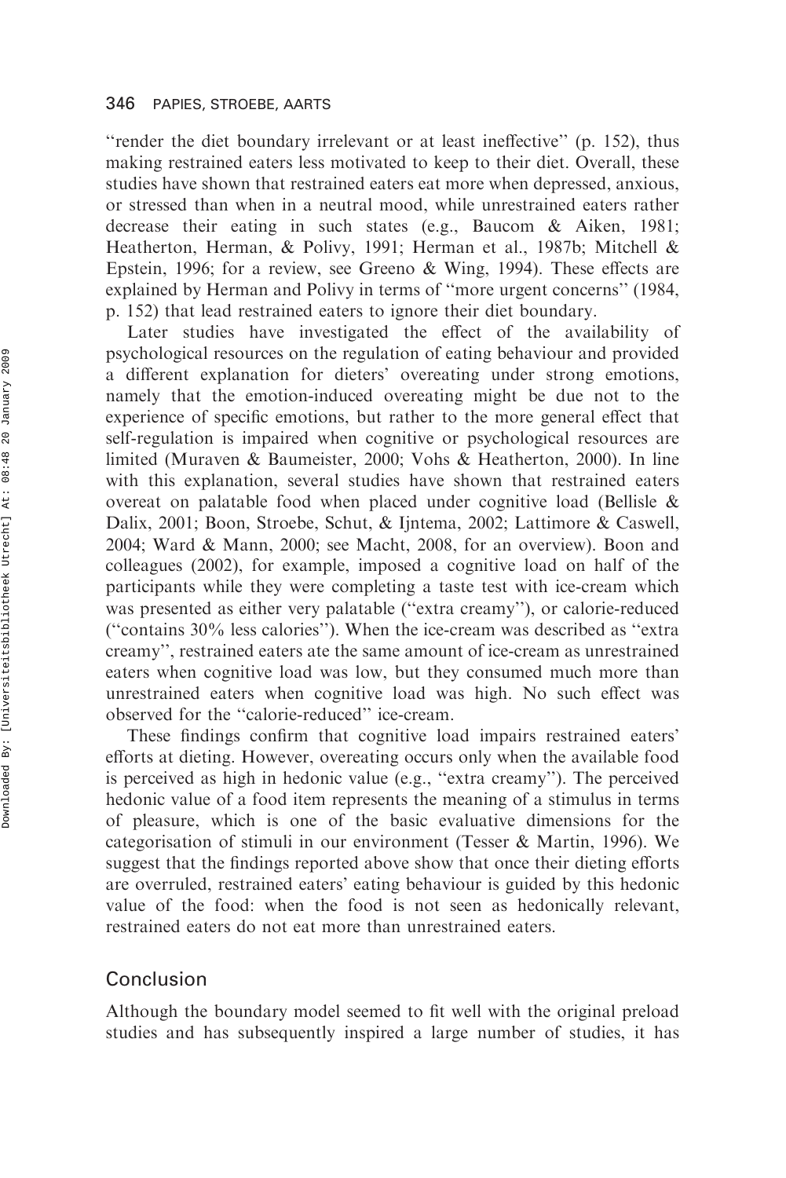''render the diet boundary irrelevant or at least ineffective'' (p. 152), thus making restrained eaters less motivated to keep to their diet. Overall, these studies have shown that restrained eaters eat more when depressed, anxious, or stressed than when in a neutral mood, while unrestrained eaters rather decrease their eating in such states (e.g., Baucom & Aiken, 1981; Heatherton, Herman, & Polivy, 1991; Herman et al., 1987b; Mitchell & Epstein, 1996; for a review, see Greeno & Wing, 1994). These effects are explained by Herman and Polivy in terms of ''more urgent concerns'' (1984, p. 152) that lead restrained eaters to ignore their diet boundary.

Later studies have investigated the effect of the availability of psychological resources on the regulation of eating behaviour and provided a different explanation for dieters' overeating under strong emotions, namely that the emotion-induced overeating might be due not to the experience of specific emotions, but rather to the more general effect that self-regulation is impaired when cognitive or psychological resources are limited (Muraven & Baumeister, 2000; Vohs & Heatherton, 2000). In line with this explanation, several studies have shown that restrained eaters overeat on palatable food when placed under cognitive load (Bellisle  $\&$ Dalix, 2001; Boon, Stroebe, Schut, & Ijntema, 2002; Lattimore & Caswell, 2004; Ward & Mann, 2000; see Macht, 2008, for an overview). Boon and colleagues (2002), for example, imposed a cognitive load on half of the participants while they were completing a taste test with ice-cream which was presented as either very palatable (''extra creamy''), or calorie-reduced (''contains 30% less calories''). When the ice-cream was described as ''extra creamy'', restrained eaters ate the same amount of ice-cream as unrestrained eaters when cognitive load was low, but they consumed much more than unrestrained eaters when cognitive load was high. No such effect was observed for the ''calorie-reduced'' ice-cream.

These findings confirm that cognitive load impairs restrained eaters' efforts at dieting. However, overeating occurs only when the available food is perceived as high in hedonic value (e.g., ''extra creamy''). The perceived hedonic value of a food item represents the meaning of a stimulus in terms of pleasure, which is one of the basic evaluative dimensions for the categorisation of stimuli in our environment (Tesser & Martin, 1996). We suggest that the findings reported above show that once their dieting efforts are overruled, restrained eaters' eating behaviour is guided by this hedonic value of the food: when the food is not seen as hedonically relevant, restrained eaters do not eat more than unrestrained eaters.

#### Conclusion

Although the boundary model seemed to fit well with the original preload studies and has subsequently inspired a large number of studies, it has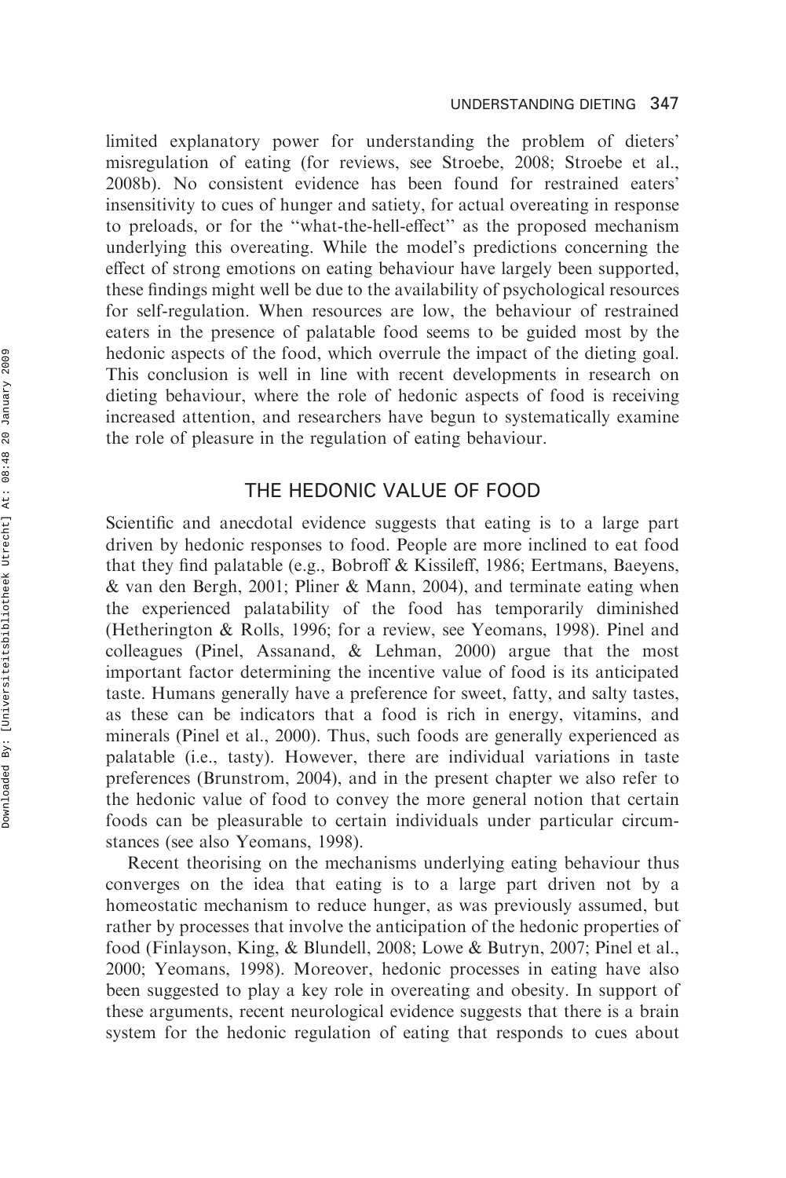limited explanatory power for understanding the problem of dieters' misregulation of eating (for reviews, see Stroebe, 2008; Stroebe et al., 2008b). No consistent evidence has been found for restrained eaters' insensitivity to cues of hunger and satiety, for actual overeating in response to preloads, or for the ''what-the-hell-effect'' as the proposed mechanism underlying this overeating. While the model's predictions concerning the effect of strong emotions on eating behaviour have largely been supported, these findings might well be due to the availability of psychological resources for self-regulation. When resources are low, the behaviour of restrained eaters in the presence of palatable food seems to be guided most by the hedonic aspects of the food, which overrule the impact of the dieting goal. This conclusion is well in line with recent developments in research on dieting behaviour, where the role of hedonic aspects of food is receiving increased attention, and researchers have begun to systematically examine the role of pleasure in the regulation of eating behaviour.

# THE HEDONIC VALUE OF FOOD

Scientific and anecdotal evidence suggests that eating is to a large part driven by hedonic responses to food. People are more inclined to eat food that they find palatable (e.g., Bobroff & Kissileff, 1986; Eertmans, Baeyens, & van den Bergh, 2001; Pliner & Mann, 2004), and terminate eating when the experienced palatability of the food has temporarily diminished (Hetherington & Rolls, 1996; for a review, see Yeomans, 1998). Pinel and colleagues (Pinel, Assanand,  $\&$  Lehman, 2000) argue that the most important factor determining the incentive value of food is its anticipated taste. Humans generally have a preference for sweet, fatty, and salty tastes, as these can be indicators that a food is rich in energy, vitamins, and minerals (Pinel et al., 2000). Thus, such foods are generally experienced as palatable (i.e., tasty). However, there are individual variations in taste preferences (Brunstrom, 2004), and in the present chapter we also refer to the hedonic value of food to convey the more general notion that certain foods can be pleasurable to certain individuals under particular circumstances (see also Yeomans, 1998).

Recent theorising on the mechanisms underlying eating behaviour thus converges on the idea that eating is to a large part driven not by a homeostatic mechanism to reduce hunger, as was previously assumed, but rather by processes that involve the anticipation of the hedonic properties of food (Finlayson, King, & Blundell, 2008; Lowe & Butryn, 2007; Pinel et al., 2000; Yeomans, 1998). Moreover, hedonic processes in eating have also been suggested to play a key role in overeating and obesity. In support of these arguments, recent neurological evidence suggests that there is a brain system for the hedonic regulation of eating that responds to cues about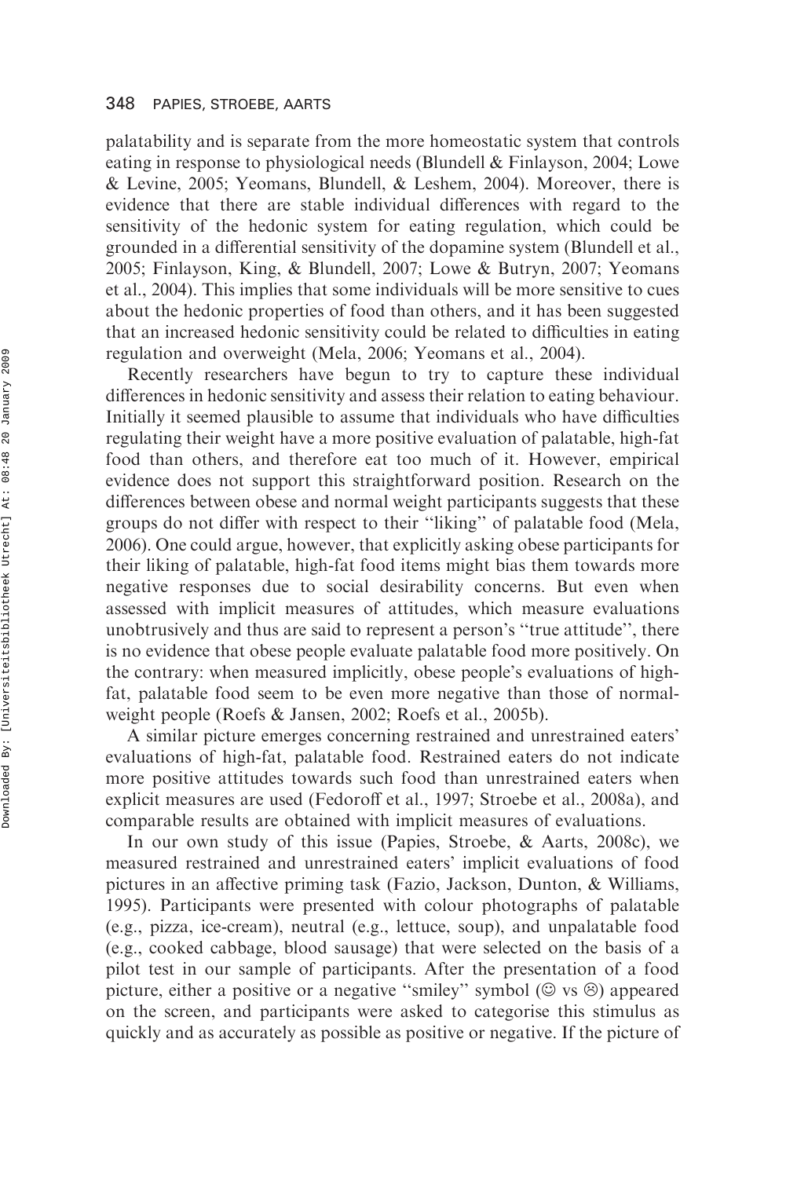palatability and is separate from the more homeostatic system that controls eating in response to physiological needs (Blundell & Finlayson, 2004; Lowe & Levine, 2005; Yeomans, Blundell, & Leshem, 2004). Moreover, there is evidence that there are stable individual differences with regard to the sensitivity of the hedonic system for eating regulation, which could be grounded in a differential sensitivity of the dopamine system (Blundell et al., 2005; Finlayson, King, & Blundell, 2007; Lowe & Butryn, 2007; Yeomans et al., 2004). This implies that some individuals will be more sensitive to cues about the hedonic properties of food than others, and it has been suggested that an increased hedonic sensitivity could be related to difficulties in eating regulation and overweight (Mela, 2006; Yeomans et al., 2004).

Recently researchers have begun to try to capture these individual differences in hedonic sensitivity and assess their relation to eating behaviour. Initially it seemed plausible to assume that individuals who have difficulties regulating their weight have a more positive evaluation of palatable, high-fat food than others, and therefore eat too much of it. However, empirical evidence does not support this straightforward position. Research on the differences between obese and normal weight participants suggests that these groups do not differ with respect to their ''liking'' of palatable food (Mela, 2006). One could argue, however, that explicitly asking obese participants for their liking of palatable, high-fat food items might bias them towards more negative responses due to social desirability concerns. But even when assessed with implicit measures of attitudes, which measure evaluations unobtrusively and thus are said to represent a person's ''true attitude'', there is no evidence that obese people evaluate palatable food more positively. On the contrary: when measured implicitly, obese people's evaluations of highfat, palatable food seem to be even more negative than those of normalweight people (Roefs & Jansen, 2002; Roefs et al., 2005b).

A similar picture emerges concerning restrained and unrestrained eaters' evaluations of high-fat, palatable food. Restrained eaters do not indicate more positive attitudes towards such food than unrestrained eaters when explicit measures are used (Fedoroff et al., 1997; Stroebe et al., 2008a), and comparable results are obtained with implicit measures of evaluations.

In our own study of this issue (Papies, Stroebe, & Aarts, 2008c), we measured restrained and unrestrained eaters' implicit evaluations of food pictures in an affective priming task (Fazio, Jackson, Dunton, & Williams, 1995). Participants were presented with colour photographs of palatable (e.g., pizza, ice-cream), neutral (e.g., lettuce, soup), and unpalatable food (e.g., cooked cabbage, blood sausage) that were selected on the basis of a pilot test in our sample of participants. After the presentation of a food picture, either a positive or a negative "smiley" symbol  $(\mathbb{Q} \text{ vs } \mathbb{Q})$  appeared on the screen, and participants were asked to categorise this stimulus as quickly and as accurately as possible as positive or negative. If the picture of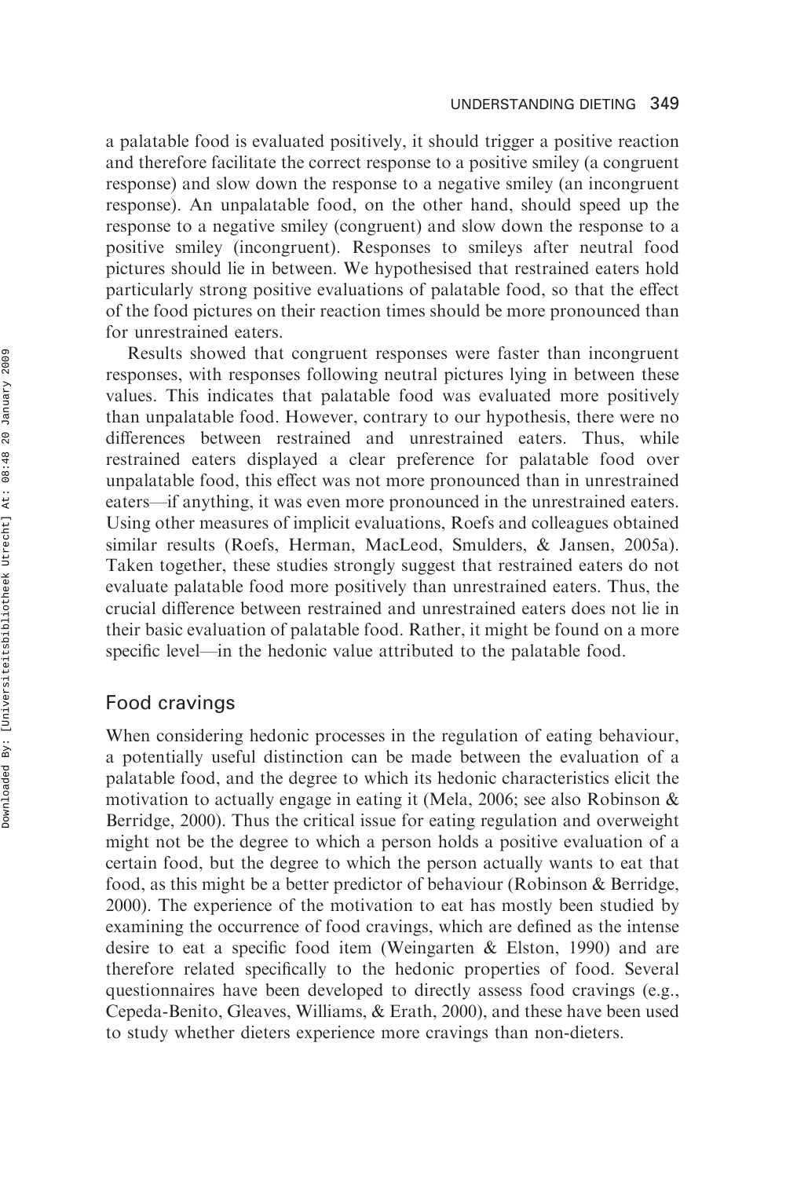a palatable food is evaluated positively, it should trigger a positive reaction and therefore facilitate the correct response to a positive smiley (a congruent response) and slow down the response to a negative smiley (an incongruent response). An unpalatable food, on the other hand, should speed up the response to a negative smiley (congruent) and slow down the response to a positive smiley (incongruent). Responses to smileys after neutral food pictures should lie in between. We hypothesised that restrained eaters hold particularly strong positive evaluations of palatable food, so that the effect of the food pictures on their reaction times should be more pronounced than for unrestrained eaters.

Results showed that congruent responses were faster than incongruent responses, with responses following neutral pictures lying in between these values. This indicates that palatable food was evaluated more positively than unpalatable food. However, contrary to our hypothesis, there were no differences between restrained and unrestrained eaters. Thus, while restrained eaters displayed a clear preference for palatable food over unpalatable food, this effect was not more pronounced than in unrestrained eaters—if anything, it was even more pronounced in the unrestrained eaters. Using other measures of implicit evaluations, Roefs and colleagues obtained similar results (Roefs, Herman, MacLeod, Smulders, & Jansen, 2005a). Taken together, these studies strongly suggest that restrained eaters do not evaluate palatable food more positively than unrestrained eaters. Thus, the crucial difference between restrained and unrestrained eaters does not lie in their basic evaluation of palatable food. Rather, it might be found on a more specific level—in the hedonic value attributed to the palatable food.

# Food cravings

When considering hedonic processes in the regulation of eating behaviour, a potentially useful distinction can be made between the evaluation of a palatable food, and the degree to which its hedonic characteristics elicit the motivation to actually engage in eating it (Mela, 2006; see also Robinson  $\&$ Berridge, 2000). Thus the critical issue for eating regulation and overweight might not be the degree to which a person holds a positive evaluation of a certain food, but the degree to which the person actually wants to eat that food, as this might be a better predictor of behaviour (Robinson & Berridge, 2000). The experience of the motivation to eat has mostly been studied by examining the occurrence of food cravings, which are defined as the intense desire to eat a specific food item (Weingarten & Elston, 1990) and are therefore related specifically to the hedonic properties of food. Several questionnaires have been developed to directly assess food cravings (e.g., Cepeda-Benito, Gleaves, Williams, & Erath, 2000), and these have been used to study whether dieters experience more cravings than non-dieters.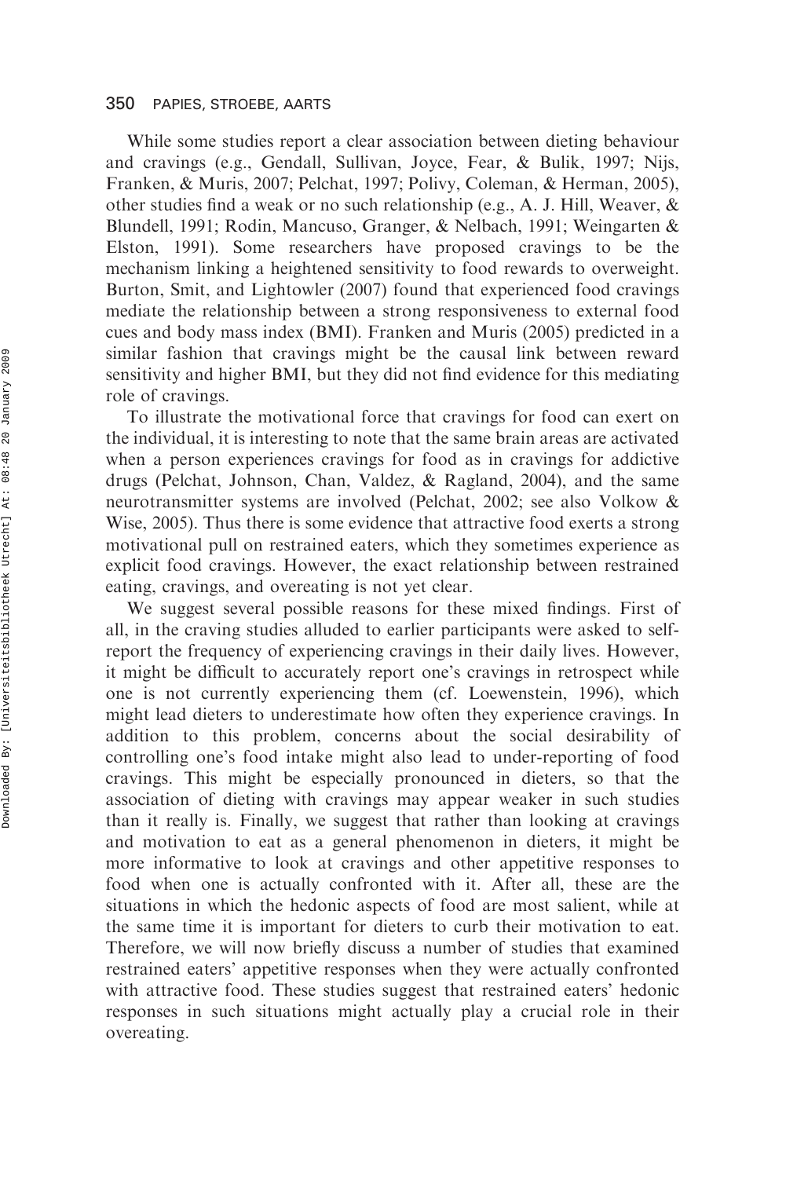While some studies report a clear association between dieting behaviour and cravings (e.g., Gendall, Sullivan, Joyce, Fear, & Bulik, 1997; Nijs, Franken, & Muris, 2007; Pelchat, 1997; Polivy, Coleman, & Herman, 2005), other studies find a weak or no such relationship (e.g., A. J. Hill, Weaver, & Blundell, 1991; Rodin, Mancuso, Granger, & Nelbach, 1991; Weingarten & Elston, 1991). Some researchers have proposed cravings to be the mechanism linking a heightened sensitivity to food rewards to overweight. Burton, Smit, and Lightowler (2007) found that experienced food cravings mediate the relationship between a strong responsiveness to external food cues and body mass index (BMI). Franken and Muris (2005) predicted in a similar fashion that cravings might be the causal link between reward sensitivity and higher BMI, but they did not find evidence for this mediating role of cravings.

To illustrate the motivational force that cravings for food can exert on the individual, it is interesting to note that the same brain areas are activated when a person experiences cravings for food as in cravings for addictive drugs (Pelchat, Johnson, Chan, Valdez, & Ragland, 2004), and the same neurotransmitter systems are involved (Pelchat, 2002; see also Volkow & Wise, 2005). Thus there is some evidence that attractive food exerts a strong motivational pull on restrained eaters, which they sometimes experience as explicit food cravings. However, the exact relationship between restrained eating, cravings, and overeating is not yet clear.

We suggest several possible reasons for these mixed findings. First of all, in the craving studies alluded to earlier participants were asked to selfreport the frequency of experiencing cravings in their daily lives. However, it might be difficult to accurately report one's cravings in retrospect while one is not currently experiencing them (cf. Loewenstein, 1996), which might lead dieters to underestimate how often they experience cravings. In addition to this problem, concerns about the social desirability of controlling one's food intake might also lead to under-reporting of food cravings. This might be especially pronounced in dieters, so that the association of dieting with cravings may appear weaker in such studies than it really is. Finally, we suggest that rather than looking at cravings and motivation to eat as a general phenomenon in dieters, it might be more informative to look at cravings and other appetitive responses to food when one is actually confronted with it. After all, these are the situations in which the hedonic aspects of food are most salient, while at the same time it is important for dieters to curb their motivation to eat. Therefore, we will now briefly discuss a number of studies that examined restrained eaters' appetitive responses when they were actually confronted with attractive food. These studies suggest that restrained eaters' hedonic responses in such situations might actually play a crucial role in their overeating.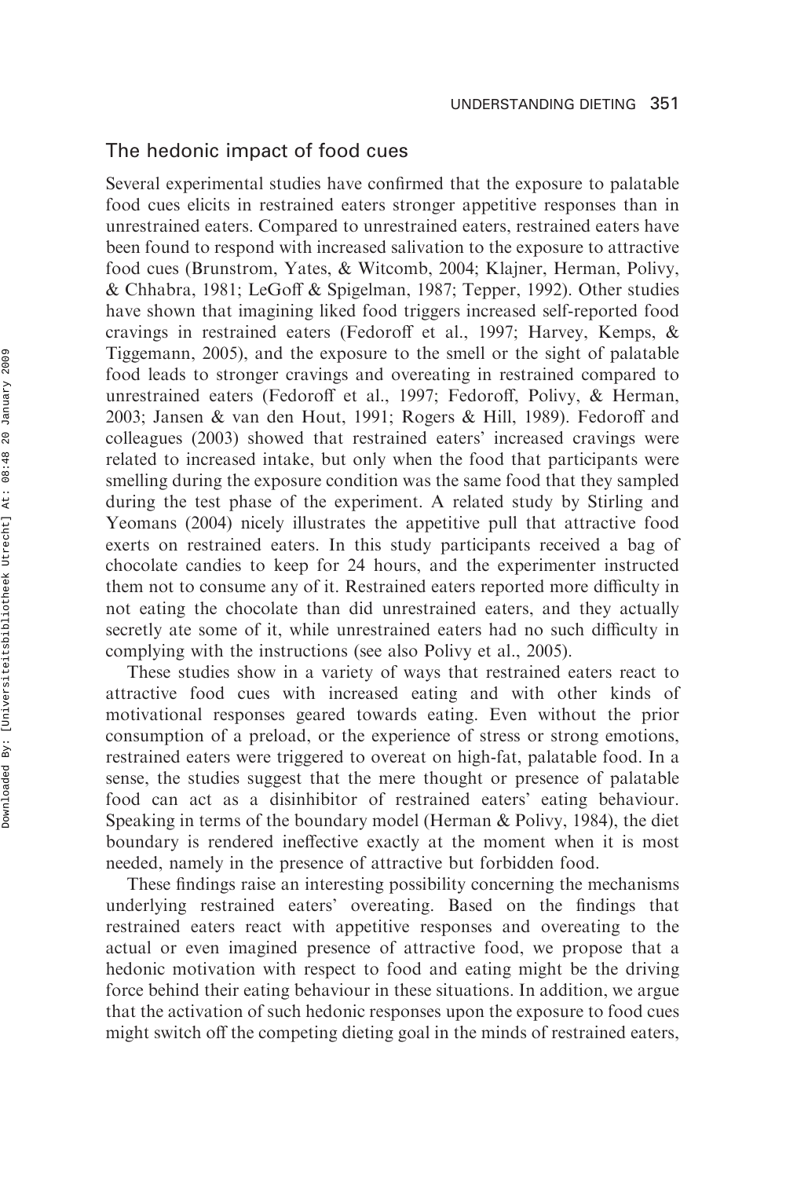#### The hedonic impact of food cues

Several experimental studies have confirmed that the exposure to palatable food cues elicits in restrained eaters stronger appetitive responses than in unrestrained eaters. Compared to unrestrained eaters, restrained eaters have been found to respond with increased salivation to the exposure to attractive food cues (Brunstrom, Yates, & Witcomb, 2004; Klajner, Herman, Polivy, & Chhabra, 1981; LeGoff & Spigelman, 1987; Tepper, 1992). Other studies have shown that imagining liked food triggers increased self-reported food cravings in restrained eaters (Fedoroff et al., 1997; Harvey, Kemps, & Tiggemann, 2005), and the exposure to the smell or the sight of palatable food leads to stronger cravings and overeating in restrained compared to unrestrained eaters (Fedoroff et al., 1997; Fedoroff, Polivy, & Herman, 2003; Jansen & van den Hout, 1991; Rogers & Hill, 1989). Fedoroff and colleagues (2003) showed that restrained eaters' increased cravings were related to increased intake, but only when the food that participants were smelling during the exposure condition was the same food that they sampled during the test phase of the experiment. A related study by Stirling and Yeomans (2004) nicely illustrates the appetitive pull that attractive food exerts on restrained eaters. In this study participants received a bag of chocolate candies to keep for 24 hours, and the experimenter instructed them not to consume any of it. Restrained eaters reported more difficulty in not eating the chocolate than did unrestrained eaters, and they actually secretly ate some of it, while unrestrained eaters had no such difficulty in complying with the instructions (see also Polivy et al., 2005).

These studies show in a variety of ways that restrained eaters react to attractive food cues with increased eating and with other kinds of motivational responses geared towards eating. Even without the prior consumption of a preload, or the experience of stress or strong emotions, restrained eaters were triggered to overeat on high-fat, palatable food. In a sense, the studies suggest that the mere thought or presence of palatable food can act as a disinhibitor of restrained eaters' eating behaviour. Speaking in terms of the boundary model (Herman & Polivy, 1984), the diet boundary is rendered ineffective exactly at the moment when it is most needed, namely in the presence of attractive but forbidden food.

These findings raise an interesting possibility concerning the mechanisms underlying restrained eaters' overeating. Based on the findings that restrained eaters react with appetitive responses and overeating to the actual or even imagined presence of attractive food, we propose that a hedonic motivation with respect to food and eating might be the driving force behind their eating behaviour in these situations. In addition, we argue that the activation of such hedonic responses upon the exposure to food cues might switch off the competing dieting goal in the minds of restrained eaters,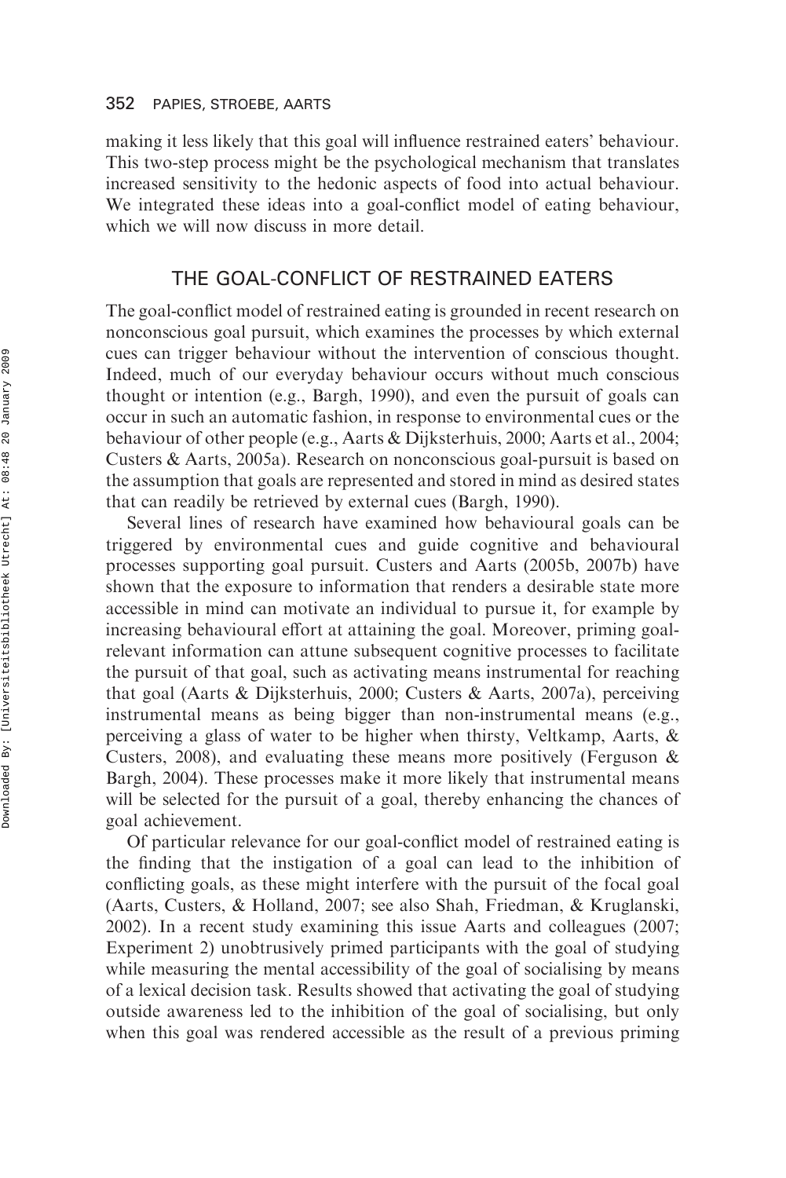making it less likely that this goal will influence restrained eaters' behaviour. This two-step process might be the psychological mechanism that translates increased sensitivity to the hedonic aspects of food into actual behaviour. We integrated these ideas into a goal-conflict model of eating behaviour, which we will now discuss in more detail.

# THE GOAL-CONFLICT OF RESTRAINED EATERS

The goal-conflict model of restrained eating is grounded in recent research on nonconscious goal pursuit, which examines the processes by which external cues can trigger behaviour without the intervention of conscious thought. Indeed, much of our everyday behaviour occurs without much conscious thought or intention (e.g., Bargh, 1990), and even the pursuit of goals can occur in such an automatic fashion, in response to environmental cues or the behaviour of other people (e.g., Aarts & Dijksterhuis, 2000; Aarts et al., 2004; Custers & Aarts, 2005a). Research on nonconscious goal-pursuit is based on the assumption that goals are represented and stored in mind as desired states that can readily be retrieved by external cues (Bargh, 1990).

Several lines of research have examined how behavioural goals can be triggered by environmental cues and guide cognitive and behavioural processes supporting goal pursuit. Custers and Aarts (2005b, 2007b) have shown that the exposure to information that renders a desirable state more accessible in mind can motivate an individual to pursue it, for example by increasing behavioural effort at attaining the goal. Moreover, priming goalrelevant information can attune subsequent cognitive processes to facilitate the pursuit of that goal, such as activating means instrumental for reaching that goal (Aarts & Dijksterhuis, 2000; Custers & Aarts, 2007a), perceiving instrumental means as being bigger than non-instrumental means (e.g., perceiving a glass of water to be higher when thirsty, Veltkamp, Aarts, & Custers, 2008), and evaluating these means more positively (Ferguson & Bargh, 2004). These processes make it more likely that instrumental means will be selected for the pursuit of a goal, thereby enhancing the chances of goal achievement.

Of particular relevance for our goal-conflict model of restrained eating is the finding that the instigation of a goal can lead to the inhibition of conflicting goals, as these might interfere with the pursuit of the focal goal (Aarts, Custers, & Holland, 2007; see also Shah, Friedman, & Kruglanski, 2002). In a recent study examining this issue Aarts and colleagues (2007; Experiment 2) unobtrusively primed participants with the goal of studying while measuring the mental accessibility of the goal of socialising by means of a lexical decision task. Results showed that activating the goal of studying outside awareness led to the inhibition of the goal of socialising, but only when this goal was rendered accessible as the result of a previous priming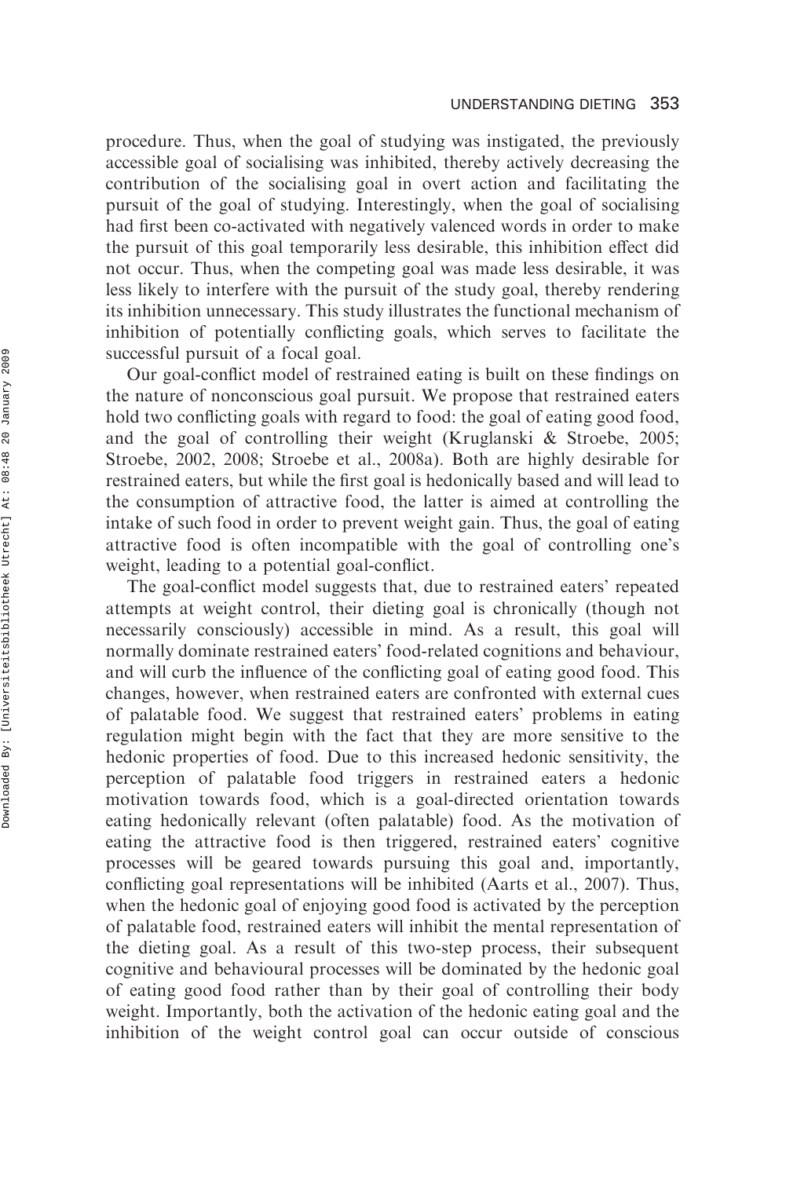procedure. Thus, when the goal of studying was instigated, the previously accessible goal of socialising was inhibited, thereby actively decreasing the contribution of the socialising goal in overt action and facilitating the pursuit of the goal of studying. Interestingly, when the goal of socialising had first been co-activated with negatively valenced words in order to make the pursuit of this goal temporarily less desirable, this inhibition effect did not occur. Thus, when the competing goal was made less desirable, it was less likely to interfere with the pursuit of the study goal, thereby rendering its inhibition unnecessary. This study illustrates the functional mechanism of inhibition of potentially conflicting goals, which serves to facilitate the successful pursuit of a focal goal.

Our goal-conflict model of restrained eating is built on these findings on the nature of nonconscious goal pursuit. We propose that restrained eaters hold two conflicting goals with regard to food: the goal of eating good food, and the goal of controlling their weight (Kruglanski & Stroebe, 2005; Stroebe, 2002, 2008; Stroebe et al., 2008a). Both are highly desirable for restrained eaters, but while the first goal is hedonically based and will lead to the consumption of attractive food, the latter is aimed at controlling the intake of such food in order to prevent weight gain. Thus, the goal of eating attractive food is often incompatible with the goal of controlling one's weight, leading to a potential goal-conflict.

The goal-conflict model suggests that, due to restrained eaters' repeated attempts at weight control, their dieting goal is chronically (though not necessarily consciously) accessible in mind. As a result, this goal will normally dominate restrained eaters' food-related cognitions and behaviour, and will curb the influence of the conflicting goal of eating good food. This changes, however, when restrained eaters are confronted with external cues of palatable food. We suggest that restrained eaters' problems in eating regulation might begin with the fact that they are more sensitive to the hedonic properties of food. Due to this increased hedonic sensitivity, the perception of palatable food triggers in restrained eaters a hedonic motivation towards food, which is a goal-directed orientation towards eating hedonically relevant (often palatable) food. As the motivation of eating the attractive food is then triggered, restrained eaters' cognitive processes will be geared towards pursuing this goal and, importantly, conflicting goal representations will be inhibited (Aarts et al., 2007). Thus, when the hedonic goal of enjoying good food is activated by the perception of palatable food, restrained eaters will inhibit the mental representation of the dieting goal. As a result of this two-step process, their subsequent cognitive and behavioural processes will be dominated by the hedonic goal of eating good food rather than by their goal of controlling their body weight. Importantly, both the activation of the hedonic eating goal and the inhibition of the weight control goal can occur outside of conscious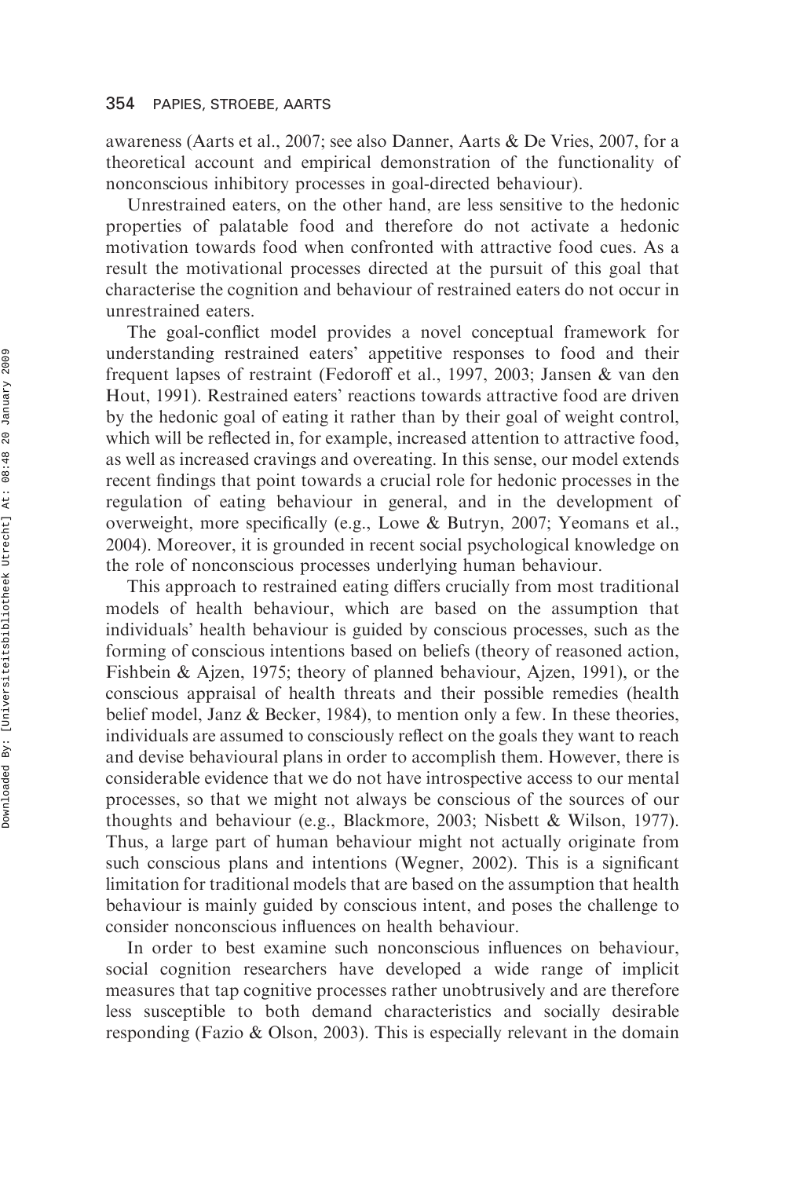awareness (Aarts et al., 2007; see also Danner, Aarts & De Vries, 2007, for a theoretical account and empirical demonstration of the functionality of nonconscious inhibitory processes in goal-directed behaviour).

Unrestrained eaters, on the other hand, are less sensitive to the hedonic properties of palatable food and therefore do not activate a hedonic motivation towards food when confronted with attractive food cues. As a result the motivational processes directed at the pursuit of this goal that characterise the cognition and behaviour of restrained eaters do not occur in unrestrained eaters.

The goal-conflict model provides a novel conceptual framework for understanding restrained eaters' appetitive responses to food and their frequent lapses of restraint (Fedoroff et al., 1997, 2003; Jansen & van den Hout, 1991). Restrained eaters' reactions towards attractive food are driven by the hedonic goal of eating it rather than by their goal of weight control, which will be reflected in, for example, increased attention to attractive food, as well as increased cravings and overeating. In this sense, our model extends recent findings that point towards a crucial role for hedonic processes in the regulation of eating behaviour in general, and in the development of overweight, more specifically (e.g., Lowe & Butryn, 2007; Yeomans et al., 2004). Moreover, it is grounded in recent social psychological knowledge on the role of nonconscious processes underlying human behaviour.

This approach to restrained eating differs crucially from most traditional models of health behaviour, which are based on the assumption that individuals' health behaviour is guided by conscious processes, such as the forming of conscious intentions based on beliefs (theory of reasoned action, Fishbein & Ajzen, 1975; theory of planned behaviour, Ajzen, 1991), or the conscious appraisal of health threats and their possible remedies (health belief model, Janz & Becker, 1984), to mention only a few. In these theories, individuals are assumed to consciously reflect on the goals they want to reach and devise behavioural plans in order to accomplish them. However, there is considerable evidence that we do not have introspective access to our mental processes, so that we might not always be conscious of the sources of our thoughts and behaviour (e.g., Blackmore, 2003; Nisbett & Wilson, 1977). Thus, a large part of human behaviour might not actually originate from such conscious plans and intentions (Wegner, 2002). This is a significant limitation for traditional models that are based on the assumption that health behaviour is mainly guided by conscious intent, and poses the challenge to consider nonconscious influences on health behaviour.

In order to best examine such nonconscious influences on behaviour, social cognition researchers have developed a wide range of implicit measures that tap cognitive processes rather unobtrusively and are therefore less susceptible to both demand characteristics and socially desirable responding (Fazio  $\&$  Olson, 2003). This is especially relevant in the domain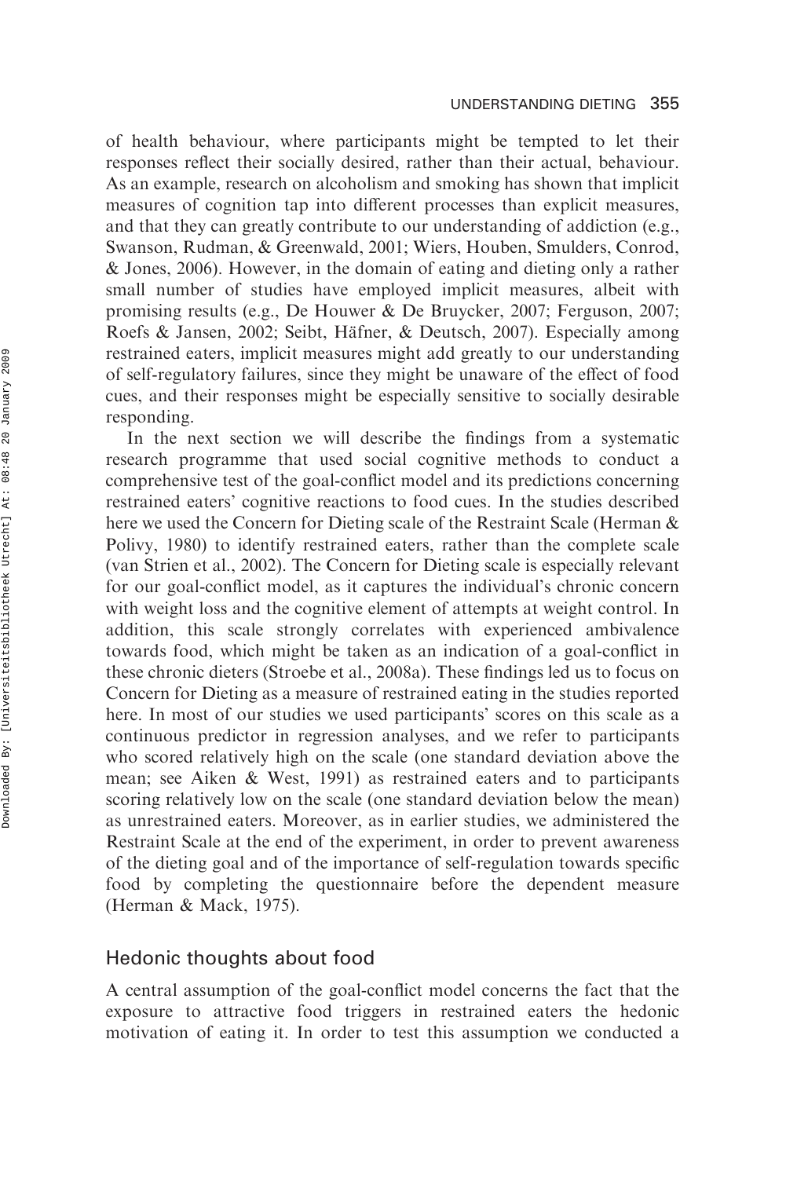of health behaviour, where participants might be tempted to let their responses reflect their socially desired, rather than their actual, behaviour. As an example, research on alcoholism and smoking has shown that implicit measures of cognition tap into different processes than explicit measures, and that they can greatly contribute to our understanding of addiction (e.g., Swanson, Rudman, & Greenwald, 2001; Wiers, Houben, Smulders, Conrod, & Jones, 2006). However, in the domain of eating and dieting only a rather small number of studies have employed implicit measures, albeit with promising results (e.g., De Houwer & De Bruycker, 2007; Ferguson, 2007; Roefs & Jansen, 2002; Seibt, Häfner, & Deutsch, 2007). Especially among restrained eaters, implicit measures might add greatly to our understanding of self-regulatory failures, since they might be unaware of the effect of food cues, and their responses might be especially sensitive to socially desirable responding.

In the next section we will describe the findings from a systematic research programme that used social cognitive methods to conduct a comprehensive test of the goal-conflict model and its predictions concerning restrained eaters' cognitive reactions to food cues. In the studies described here we used the Concern for Dieting scale of the Restraint Scale (Herman & Polivy, 1980) to identify restrained eaters, rather than the complete scale (van Strien et al., 2002). The Concern for Dieting scale is especially relevant for our goal-conflict model, as it captures the individual's chronic concern with weight loss and the cognitive element of attempts at weight control. In addition, this scale strongly correlates with experienced ambivalence towards food, which might be taken as an indication of a goal-conflict in these chronic dieters (Stroebe et al., 2008a). These findings led us to focus on Concern for Dieting as a measure of restrained eating in the studies reported here. In most of our studies we used participants' scores on this scale as a continuous predictor in regression analyses, and we refer to participants who scored relatively high on the scale (one standard deviation above the mean; see Aiken & West, 1991) as restrained eaters and to participants scoring relatively low on the scale (one standard deviation below the mean) as unrestrained eaters. Moreover, as in earlier studies, we administered the Restraint Scale at the end of the experiment, in order to prevent awareness of the dieting goal and of the importance of self-regulation towards specific food by completing the questionnaire before the dependent measure (Herman & Mack, 1975).

### Hedonic thoughts about food

A central assumption of the goal-conflict model concerns the fact that the exposure to attractive food triggers in restrained eaters the hedonic motivation of eating it. In order to test this assumption we conducted a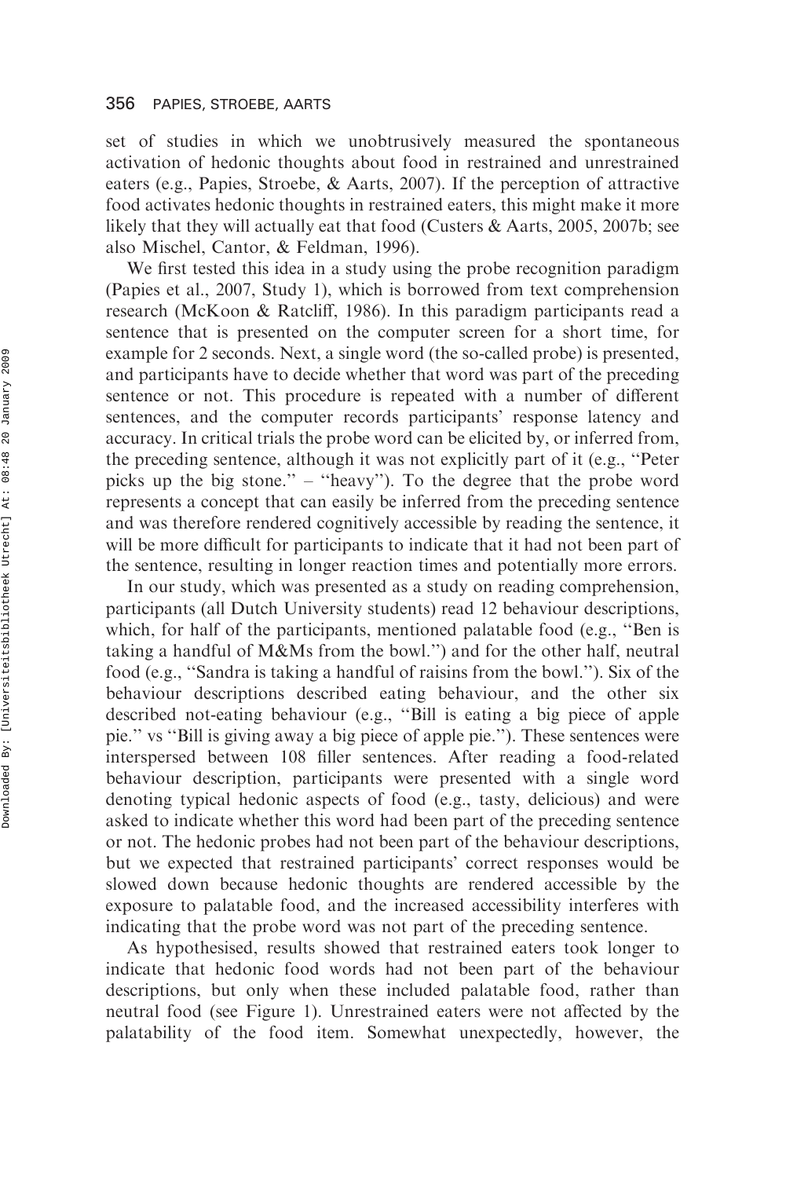set of studies in which we unobtrusively measured the spontaneous activation of hedonic thoughts about food in restrained and unrestrained eaters (e.g., Papies, Stroebe, & Aarts, 2007). If the perception of attractive food activates hedonic thoughts in restrained eaters, this might make it more likely that they will actually eat that food (Custers & Aarts, 2005, 2007b; see also Mischel, Cantor, & Feldman, 1996).

We first tested this idea in a study using the probe recognition paradigm (Papies et al., 2007, Study 1), which is borrowed from text comprehension research (McKoon & Ratcliff, 1986). In this paradigm participants read a sentence that is presented on the computer screen for a short time, for example for 2 seconds. Next, a single word (the so-called probe) is presented, and participants have to decide whether that word was part of the preceding sentence or not. This procedure is repeated with a number of different sentences, and the computer records participants' response latency and accuracy. In critical trials the probe word can be elicited by, or inferred from, the preceding sentence, although it was not explicitly part of it (e.g., ''Peter picks up the big stone.'' – ''heavy''). To the degree that the probe word represents a concept that can easily be inferred from the preceding sentence and was therefore rendered cognitively accessible by reading the sentence, it will be more difficult for participants to indicate that it had not been part of the sentence, resulting in longer reaction times and potentially more errors.

In our study, which was presented as a study on reading comprehension, participants (all Dutch University students) read 12 behaviour descriptions, which, for half of the participants, mentioned palatable food (e.g., ''Ben is taking a handful of M&Ms from the bowl.'') and for the other half, neutral food (e.g., ''Sandra is taking a handful of raisins from the bowl.''). Six of the behaviour descriptions described eating behaviour, and the other six described not-eating behaviour (e.g., ''Bill is eating a big piece of apple pie.'' vs ''Bill is giving away a big piece of apple pie.''). These sentences were interspersed between 108 filler sentences. After reading a food-related behaviour description, participants were presented with a single word denoting typical hedonic aspects of food (e.g., tasty, delicious) and were asked to indicate whether this word had been part of the preceding sentence or not. The hedonic probes had not been part of the behaviour descriptions, but we expected that restrained participants' correct responses would be slowed down because hedonic thoughts are rendered accessible by the exposure to palatable food, and the increased accessibility interferes with indicating that the probe word was not part of the preceding sentence.

As hypothesised, results showed that restrained eaters took longer to indicate that hedonic food words had not been part of the behaviour descriptions, but only when these included palatable food, rather than neutral food (see Figure 1). Unrestrained eaters were not affected by the palatability of the food item. Somewhat unexpectedly, however, the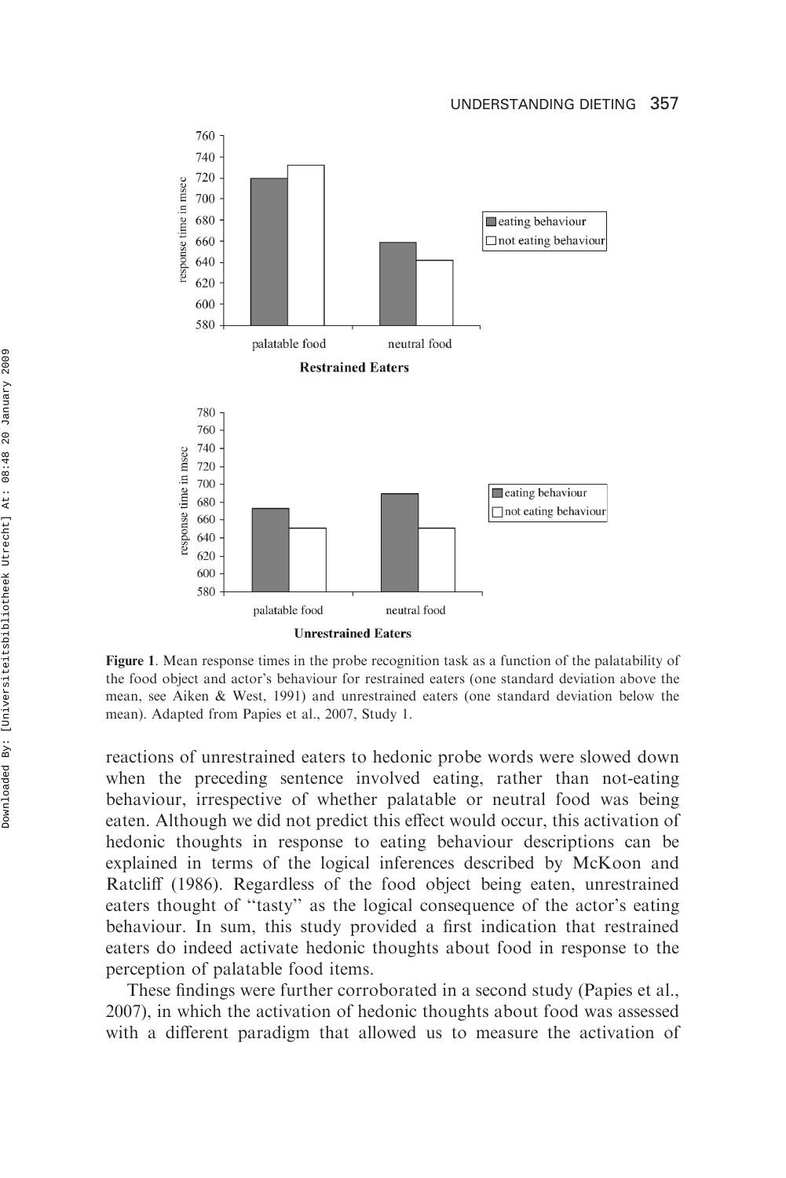#### UNDERSTANDING DIETING 357



Figure 1. Mean response times in the probe recognition task as a function of the palatability of the food object and actor's behaviour for restrained eaters (one standard deviation above the mean, see Aiken & West, 1991) and unrestrained eaters (one standard deviation below the mean). Adapted from Papies et al., 2007, Study 1.

reactions of unrestrained eaters to hedonic probe words were slowed down when the preceding sentence involved eating, rather than not-eating behaviour, irrespective of whether palatable or neutral food was being eaten. Although we did not predict this effect would occur, this activation of hedonic thoughts in response to eating behaviour descriptions can be explained in terms of the logical inferences described by McKoon and Ratcliff (1986). Regardless of the food object being eaten, unrestrained eaters thought of ''tasty'' as the logical consequence of the actor's eating behaviour. In sum, this study provided a first indication that restrained eaters do indeed activate hedonic thoughts about food in response to the perception of palatable food items.

These findings were further corroborated in a second study (Papies et al., 2007), in which the activation of hedonic thoughts about food was assessed with a different paradigm that allowed us to measure the activation of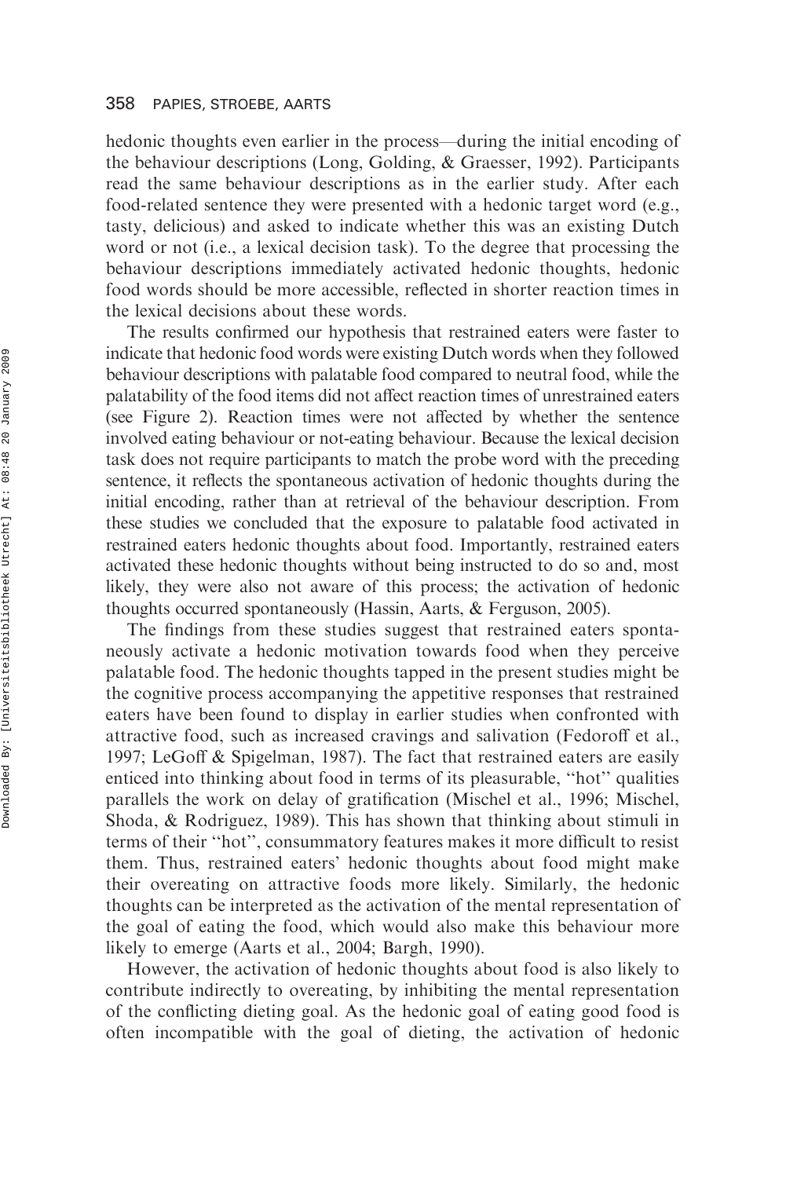hedonic thoughts even earlier in the process—during the initial encoding of the behaviour descriptions (Long, Golding, & Graesser, 1992). Participants read the same behaviour descriptions as in the earlier study. After each food-related sentence they were presented with a hedonic target word (e.g., tasty, delicious) and asked to indicate whether this was an existing Dutch word or not (i.e., a lexical decision task). To the degree that processing the behaviour descriptions immediately activated hedonic thoughts, hedonic food words should be more accessible, reflected in shorter reaction times in the lexical decisions about these words.

The results confirmed our hypothesis that restrained eaters were faster to indicate that hedonic food words were existing Dutch words when they followed behaviour descriptions with palatable food compared to neutral food, while the palatability of the food items did not affect reaction times of unrestrained eaters (see Figure 2). Reaction times were not affected by whether the sentence involved eating behaviour or not-eating behaviour. Because the lexical decision task does not require participants to match the probe word with the preceding sentence, it reflects the spontaneous activation of hedonic thoughts during the initial encoding, rather than at retrieval of the behaviour description. From these studies we concluded that the exposure to palatable food activated in restrained eaters hedonic thoughts about food. Importantly, restrained eaters activated these hedonic thoughts without being instructed to do so and, most likely, they were also not aware of this process; the activation of hedonic thoughts occurred spontaneously (Hassin, Aarts, & Ferguson, 2005).

The findings from these studies suggest that restrained eaters spontaneously activate a hedonic motivation towards food when they perceive palatable food. The hedonic thoughts tapped in the present studies might be the cognitive process accompanying the appetitive responses that restrained eaters have been found to display in earlier studies when confronted with attractive food, such as increased cravings and salivation (Fedoroff et al., 1997; LeGoff & Spigelman, 1987). The fact that restrained eaters are easily enticed into thinking about food in terms of its pleasurable, ''hot'' qualities parallels the work on delay of gratification (Mischel et al., 1996; Mischel, Shoda, & Rodriguez, 1989). This has shown that thinking about stimuli in terms of their ''hot'', consummatory features makes it more difficult to resist them. Thus, restrained eaters' hedonic thoughts about food might make their overeating on attractive foods more likely. Similarly, the hedonic thoughts can be interpreted as the activation of the mental representation of the goal of eating the food, which would also make this behaviour more likely to emerge (Aarts et al., 2004; Bargh, 1990).

However, the activation of hedonic thoughts about food is also likely to contribute indirectly to overeating, by inhibiting the mental representation of the conflicting dieting goal. As the hedonic goal of eating good food is often incompatible with the goal of dieting, the activation of hedonic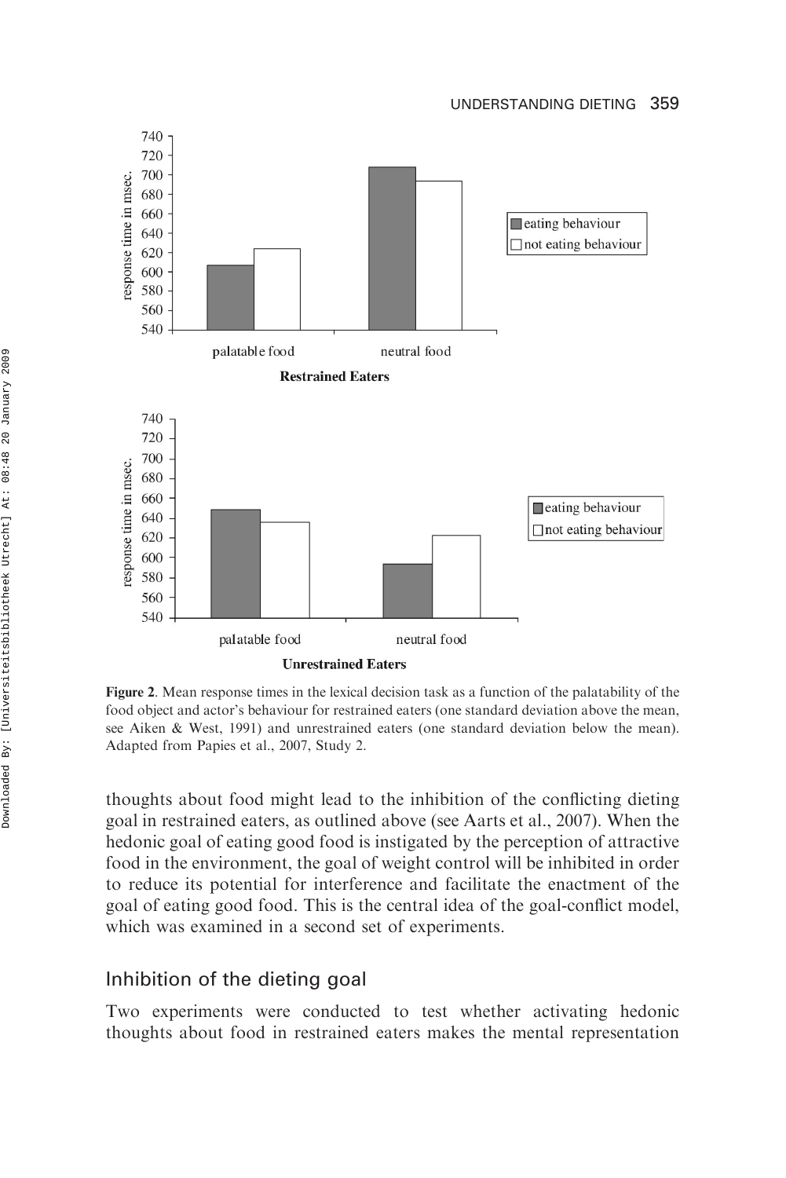

Figure 2. Mean response times in the lexical decision task as a function of the palatability of the food object and actor's behaviour for restrained eaters (one standard deviation above the mean, see Aiken & West, 1991) and unrestrained eaters (one standard deviation below the mean). Adapted from Papies et al., 2007, Study 2.

thoughts about food might lead to the inhibition of the conflicting dieting goal in restrained eaters, as outlined above (see Aarts et al., 2007). When the hedonic goal of eating good food is instigated by the perception of attractive food in the environment, the goal of weight control will be inhibited in order to reduce its potential for interference and facilitate the enactment of the goal of eating good food. This is the central idea of the goal-conflict model, which was examined in a second set of experiments.

# Inhibition of the dieting goal

Two experiments were conducted to test whether activating hedonic thoughts about food in restrained eaters makes the mental representation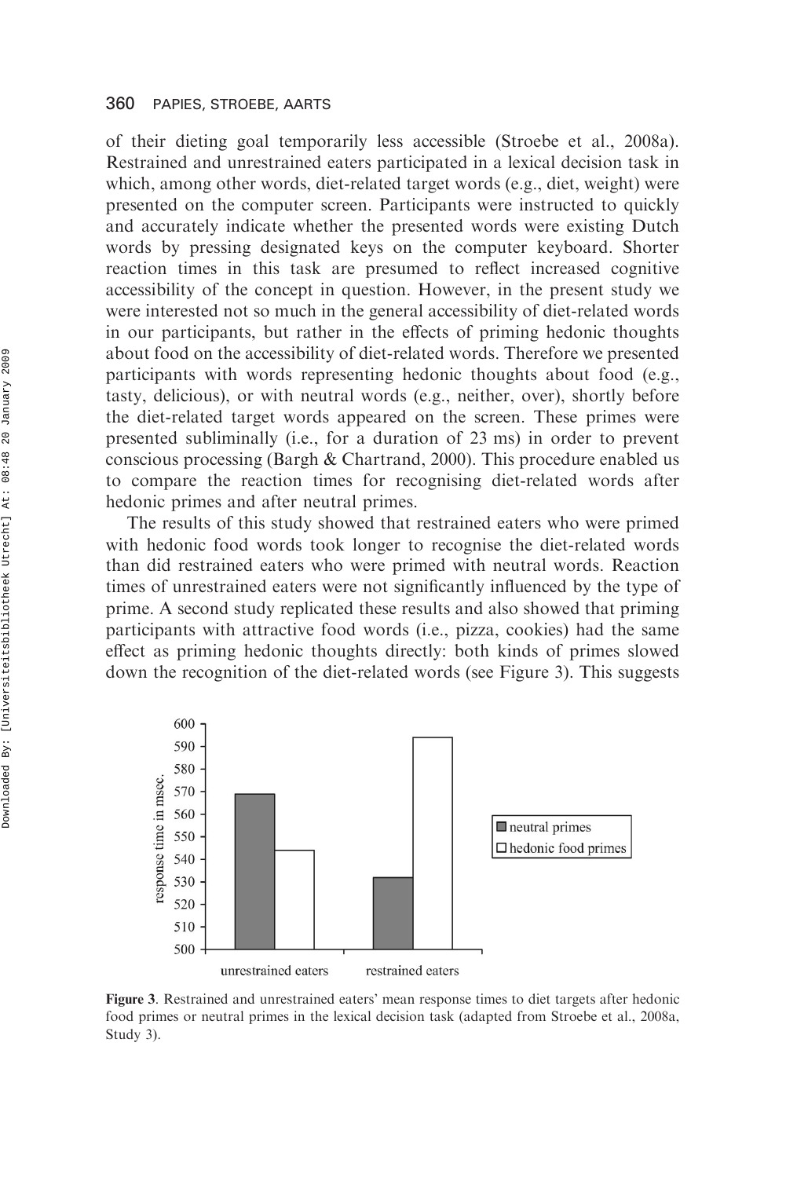of their dieting goal temporarily less accessible (Stroebe et al., 2008a). Restrained and unrestrained eaters participated in a lexical decision task in which, among other words, diet-related target words (e.g., diet, weight) were presented on the computer screen. Participants were instructed to quickly and accurately indicate whether the presented words were existing Dutch words by pressing designated keys on the computer keyboard. Shorter reaction times in this task are presumed to reflect increased cognitive accessibility of the concept in question. However, in the present study we were interested not so much in the general accessibility of diet-related words in our participants, but rather in the effects of priming hedonic thoughts about food on the accessibility of diet-related words. Therefore we presented participants with words representing hedonic thoughts about food (e.g., tasty, delicious), or with neutral words (e.g., neither, over), shortly before the diet-related target words appeared on the screen. These primes were presented subliminally (i.e., for a duration of 23 ms) in order to prevent conscious processing (Bargh & Chartrand, 2000). This procedure enabled us to compare the reaction times for recognising diet-related words after hedonic primes and after neutral primes.

The results of this study showed that restrained eaters who were primed with hedonic food words took longer to recognise the diet-related words than did restrained eaters who were primed with neutral words. Reaction times of unrestrained eaters were not significantly influenced by the type of prime. A second study replicated these results and also showed that priming participants with attractive food words (i.e., pizza, cookies) had the same effect as priming hedonic thoughts directly: both kinds of primes slowed down the recognition of the diet-related words (see Figure 3). This suggests



Figure 3. Restrained and unrestrained eaters' mean response times to diet targets after hedonic food primes or neutral primes in the lexical decision task (adapted from Stroebe et al., 2008a, Study 3).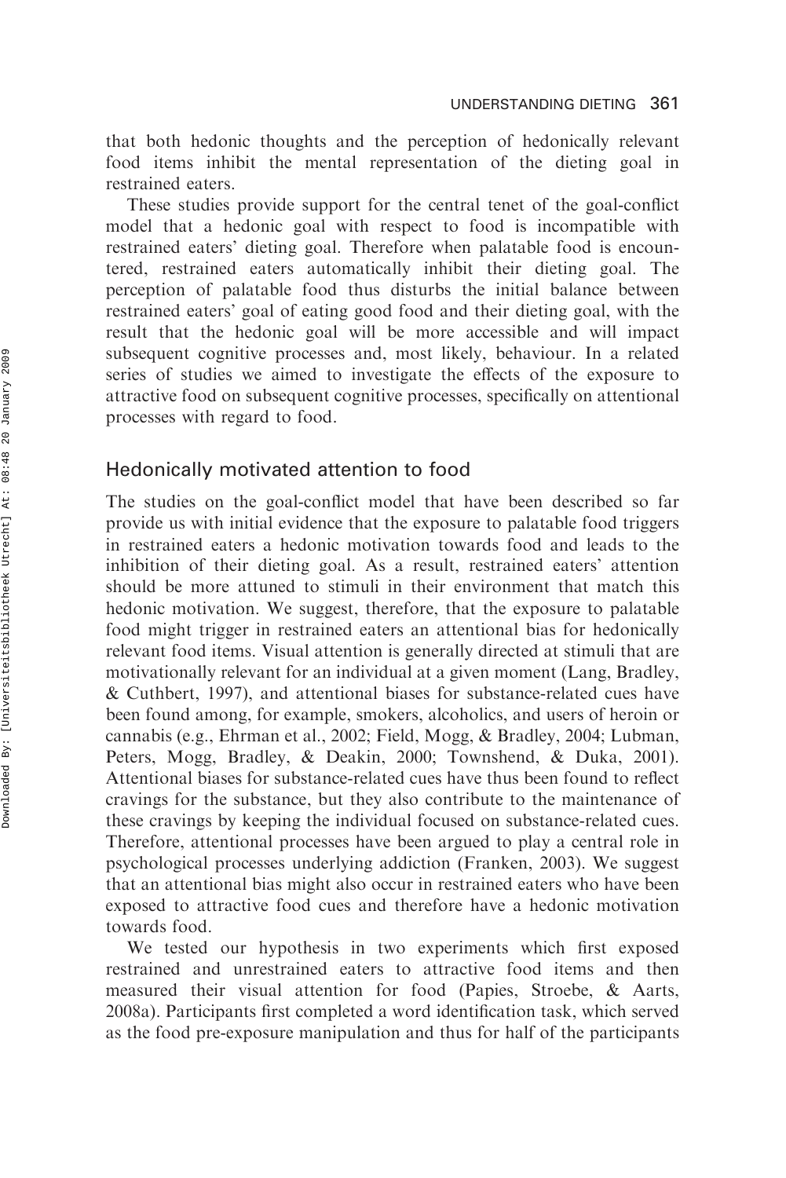that both hedonic thoughts and the perception of hedonically relevant food items inhibit the mental representation of the dieting goal in restrained eaters.

These studies provide support for the central tenet of the goal-conflict model that a hedonic goal with respect to food is incompatible with restrained eaters' dieting goal. Therefore when palatable food is encountered, restrained eaters automatically inhibit their dieting goal. The perception of palatable food thus disturbs the initial balance between restrained eaters' goal of eating good food and their dieting goal, with the result that the hedonic goal will be more accessible and will impact subsequent cognitive processes and, most likely, behaviour. In a related series of studies we aimed to investigate the effects of the exposure to attractive food on subsequent cognitive processes, specifically on attentional processes with regard to food.

# Hedonically motivated attention to food

The studies on the goal-conflict model that have been described so far provide us with initial evidence that the exposure to palatable food triggers in restrained eaters a hedonic motivation towards food and leads to the inhibition of their dieting goal. As a result, restrained eaters' attention should be more attuned to stimuli in their environment that match this hedonic motivation. We suggest, therefore, that the exposure to palatable food might trigger in restrained eaters an attentional bias for hedonically relevant food items. Visual attention is generally directed at stimuli that are motivationally relevant for an individual at a given moment (Lang, Bradley, & Cuthbert, 1997), and attentional biases for substance-related cues have been found among, for example, smokers, alcoholics, and users of heroin or cannabis (e.g., Ehrman et al., 2002; Field, Mogg, & Bradley, 2004; Lubman, Peters, Mogg, Bradley, & Deakin, 2000; Townshend, & Duka, 2001). Attentional biases for substance-related cues have thus been found to reflect cravings for the substance, but they also contribute to the maintenance of these cravings by keeping the individual focused on substance-related cues. Therefore, attentional processes have been argued to play a central role in psychological processes underlying addiction (Franken, 2003). We suggest that an attentional bias might also occur in restrained eaters who have been exposed to attractive food cues and therefore have a hedonic motivation towards food.

We tested our hypothesis in two experiments which first exposed restrained and unrestrained eaters to attractive food items and then measured their visual attention for food (Papies, Stroebe, & Aarts, 2008a). Participants first completed a word identification task, which served as the food pre-exposure manipulation and thus for half of the participants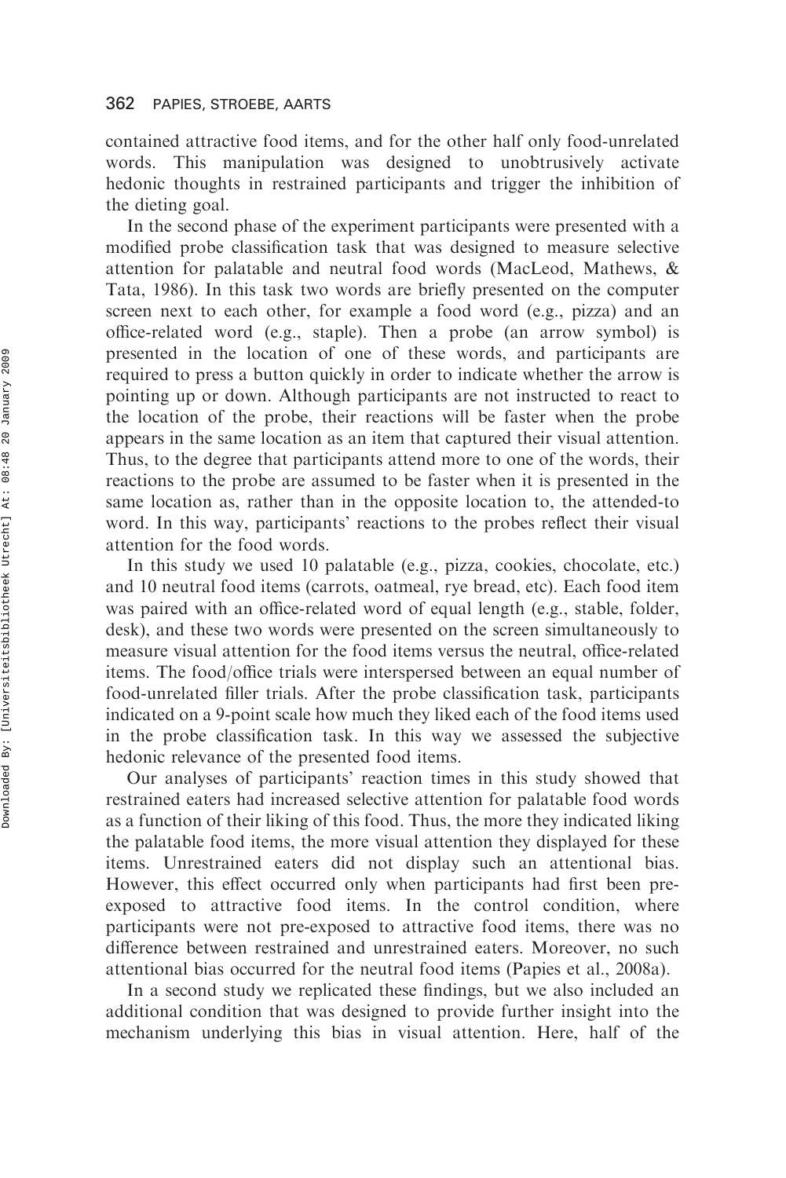contained attractive food items, and for the other half only food-unrelated words. This manipulation was designed to unobtrusively activate hedonic thoughts in restrained participants and trigger the inhibition of the dieting goal.

In the second phase of the experiment participants were presented with a modified probe classification task that was designed to measure selective attention for palatable and neutral food words (MacLeod, Mathews, & Tata, 1986). In this task two words are briefly presented on the computer screen next to each other, for example a food word (e.g., pizza) and an office-related word (e.g., staple). Then a probe (an arrow symbol) is presented in the location of one of these words, and participants are required to press a button quickly in order to indicate whether the arrow is pointing up or down. Although participants are not instructed to react to the location of the probe, their reactions will be faster when the probe appears in the same location as an item that captured their visual attention. Thus, to the degree that participants attend more to one of the words, their reactions to the probe are assumed to be faster when it is presented in the same location as, rather than in the opposite location to, the attended-to word. In this way, participants' reactions to the probes reflect their visual attention for the food words.

In this study we used 10 palatable (e.g., pizza, cookies, chocolate, etc.) and 10 neutral food items (carrots, oatmeal, rye bread, etc). Each food item was paired with an office-related word of equal length (e.g., stable, folder, desk), and these two words were presented on the screen simultaneously to measure visual attention for the food items versus the neutral, office-related items. The food/office trials were interspersed between an equal number of food-unrelated filler trials. After the probe classification task, participants indicated on a 9-point scale how much they liked each of the food items used in the probe classification task. In this way we assessed the subjective hedonic relevance of the presented food items.

Our analyses of participants' reaction times in this study showed that restrained eaters had increased selective attention for palatable food words as a function of their liking of this food. Thus, the more they indicated liking the palatable food items, the more visual attention they displayed for these items. Unrestrained eaters did not display such an attentional bias. However, this effect occurred only when participants had first been preexposed to attractive food items. In the control condition, where participants were not pre-exposed to attractive food items, there was no difference between restrained and unrestrained eaters. Moreover, no such attentional bias occurred for the neutral food items (Papies et al., 2008a).

In a second study we replicated these findings, but we also included an additional condition that was designed to provide further insight into the mechanism underlying this bias in visual attention. Here, half of the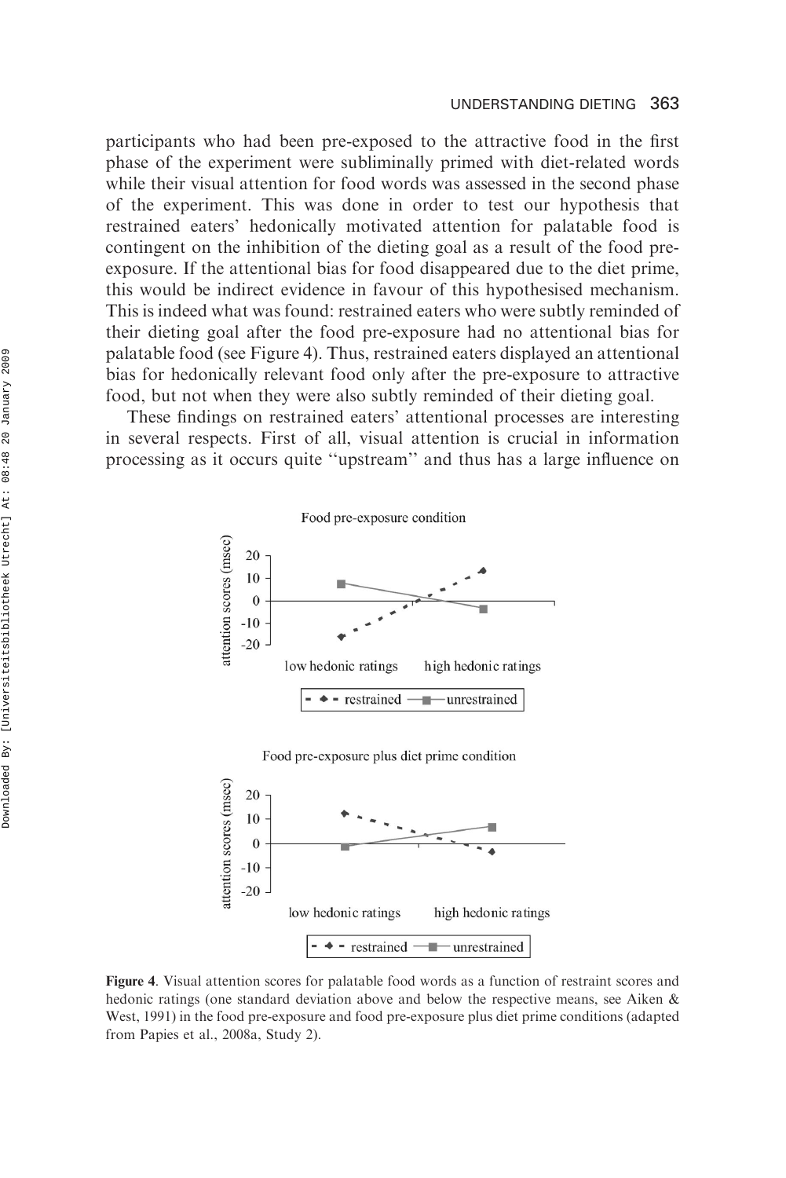participants who had been pre-exposed to the attractive food in the first phase of the experiment were subliminally primed with diet-related words while their visual attention for food words was assessed in the second phase of the experiment. This was done in order to test our hypothesis that restrained eaters' hedonically motivated attention for palatable food is contingent on the inhibition of the dieting goal as a result of the food preexposure. If the attentional bias for food disappeared due to the diet prime, this would be indirect evidence in favour of this hypothesised mechanism. This is indeed what was found: restrained eaters who were subtly reminded of their dieting goal after the food pre-exposure had no attentional bias for palatable food (see Figure 4). Thus, restrained eaters displayed an attentional bias for hedonically relevant food only after the pre-exposure to attractive food, but not when they were also subtly reminded of their dieting goal.

These findings on restrained eaters' attentional processes are interesting in several respects. First of all, visual attention is crucial in information processing as it occurs quite ''upstream'' and thus has a large influence on



Figure 4. Visual attention scores for palatable food words as a function of restraint scores and hedonic ratings (one standard deviation above and below the respective means, see Aiken & West, 1991) in the food pre-exposure and food pre-exposure plus diet prime conditions (adapted from Papies et al., 2008a, Study 2).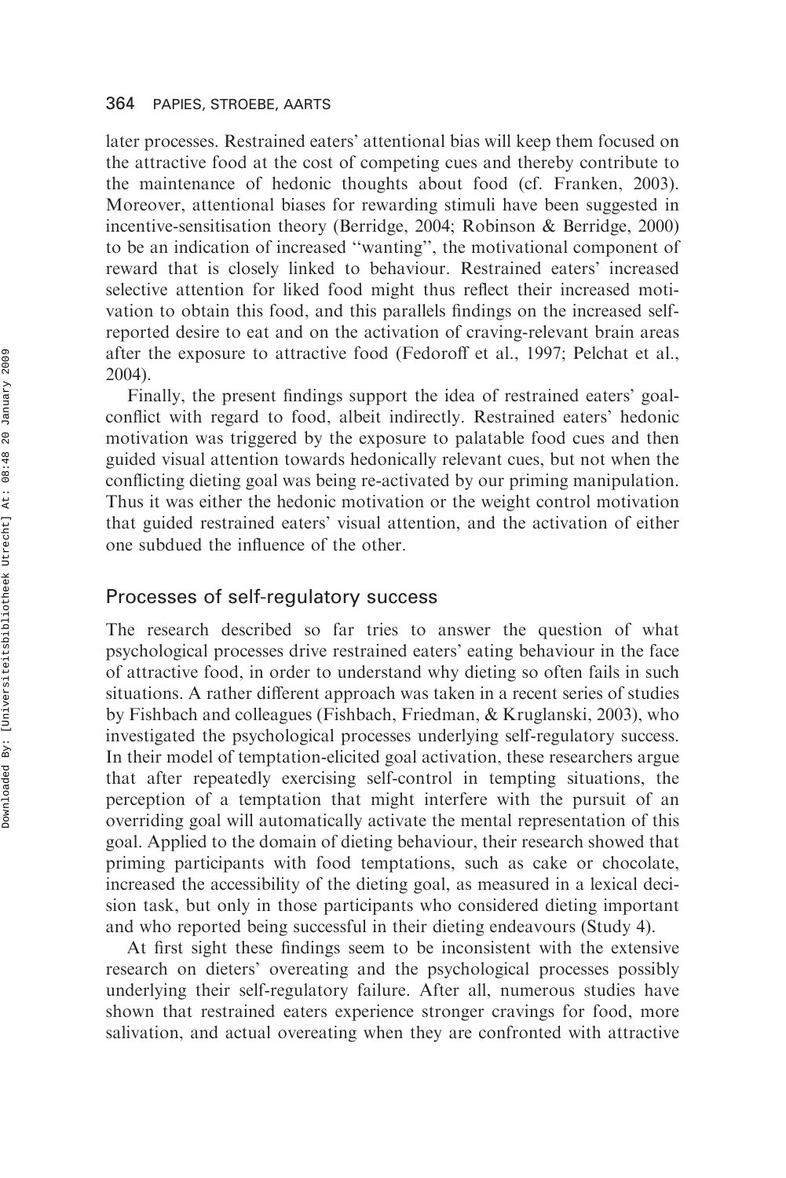later processes. Restrained eaters' attentional bias will keep them focused on the attractive food at the cost of competing cues and thereby contribute to the maintenance of hedonic thoughts about food (cf. Franken, 2003). Moreover, attentional biases for rewarding stimuli have been suggested in incentive-sensitisation theory (Berridge, 2004; Robinson & Berridge, 2000) to be an indication of increased ''wanting'', the motivational component of reward that is closely linked to behaviour. Restrained eaters' increased selective attention for liked food might thus reflect their increased motivation to obtain this food, and this parallels findings on the increased selfreported desire to eat and on the activation of craving-relevant brain areas after the exposure to attractive food (Fedoroff et al., 1997; Pelchat et al., 2004).

Finally, the present findings support the idea of restrained eaters' goalconflict with regard to food, albeit indirectly. Restrained eaters' hedonic motivation was triggered by the exposure to palatable food cues and then guided visual attention towards hedonically relevant cues, but not when the conflicting dieting goal was being re-activated by our priming manipulation. Thus it was either the hedonic motivation or the weight control motivation that guided restrained eaters' visual attention, and the activation of either one subdued the influence of the other.

#### Processes of self-regulatory success

The research described so far tries to answer the question of what psychological processes drive restrained eaters' eating behaviour in the face of attractive food, in order to understand why dieting so often fails in such situations. A rather different approach was taken in a recent series of studies by Fishbach and colleagues (Fishbach, Friedman, & Kruglanski, 2003), who investigated the psychological processes underlying self-regulatory success. In their model of temptation-elicited goal activation, these researchers argue that after repeatedly exercising self-control in tempting situations, the perception of a temptation that might interfere with the pursuit of an overriding goal will automatically activate the mental representation of this goal. Applied to the domain of dieting behaviour, their research showed that priming participants with food temptations, such as cake or chocolate, increased the accessibility of the dieting goal, as measured in a lexical decision task, but only in those participants who considered dieting important and who reported being successful in their dieting endeavours (Study 4).

At first sight these findings seem to be inconsistent with the extensive research on dieters' overeating and the psychological processes possibly underlying their self-regulatory failure. After all, numerous studies have shown that restrained eaters experience stronger cravings for food, more salivation, and actual overeating when they are confronted with attractive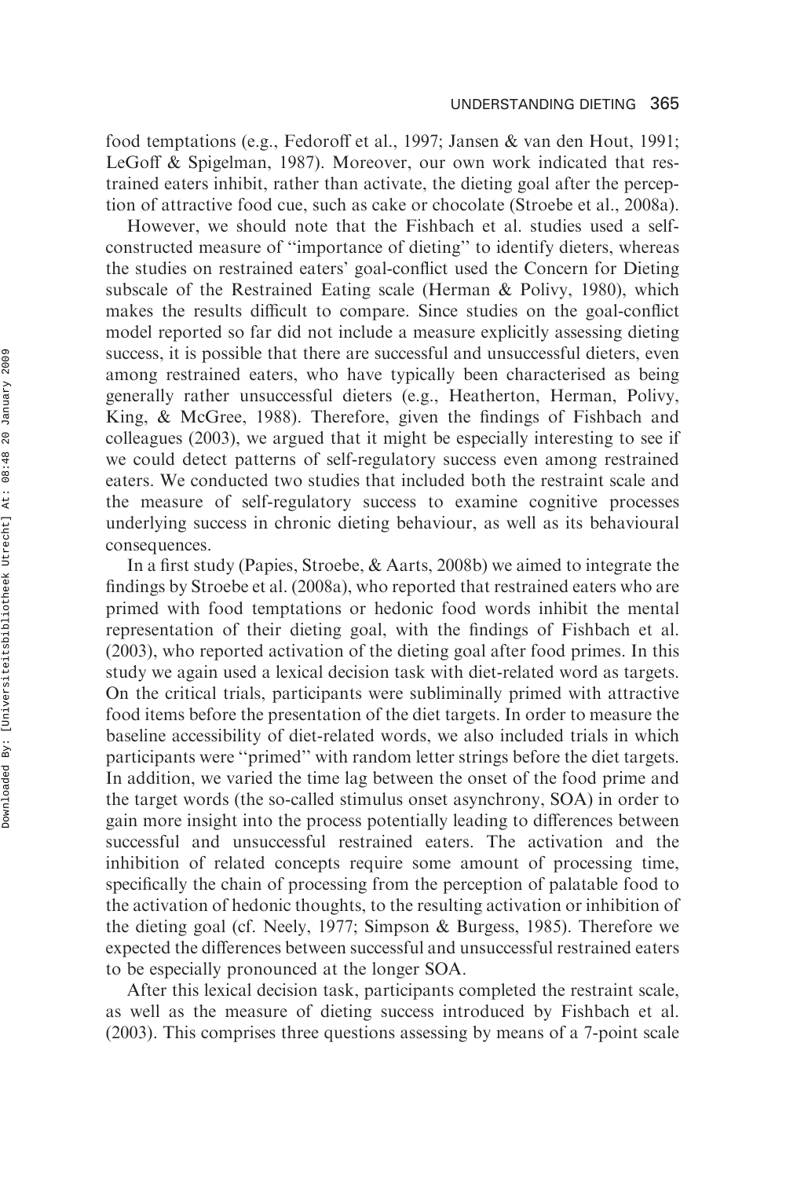food temptations (e.g., Fedoroff et al., 1997; Jansen & van den Hout, 1991; LeGoff & Spigelman, 1987). Moreover, our own work indicated that restrained eaters inhibit, rather than activate, the dieting goal after the perception of attractive food cue, such as cake or chocolate (Stroebe et al., 2008a).

However, we should note that the Fishbach et al. studies used a selfconstructed measure of ''importance of dieting'' to identify dieters, whereas the studies on restrained eaters' goal-conflict used the Concern for Dieting subscale of the Restrained Eating scale (Herman & Polivy, 1980), which makes the results difficult to compare. Since studies on the goal-conflict model reported so far did not include a measure explicitly assessing dieting success, it is possible that there are successful and unsuccessful dieters, even among restrained eaters, who have typically been characterised as being generally rather unsuccessful dieters (e.g., Heatherton, Herman, Polivy, King, & McGree, 1988). Therefore, given the findings of Fishbach and colleagues (2003), we argued that it might be especially interesting to see if we could detect patterns of self-regulatory success even among restrained eaters. We conducted two studies that included both the restraint scale and the measure of self-regulatory success to examine cognitive processes underlying success in chronic dieting behaviour, as well as its behavioural consequences.

In a first study (Papies, Stroebe, & Aarts, 2008b) we aimed to integrate the findings by Stroebe et al. (2008a), who reported that restrained eaters who are primed with food temptations or hedonic food words inhibit the mental representation of their dieting goal, with the findings of Fishbach et al. (2003), who reported activation of the dieting goal after food primes. In this study we again used a lexical decision task with diet-related word as targets. On the critical trials, participants were subliminally primed with attractive food items before the presentation of the diet targets. In order to measure the baseline accessibility of diet-related words, we also included trials in which participants were ''primed'' with random letter strings before the diet targets. In addition, we varied the time lag between the onset of the food prime and the target words (the so-called stimulus onset asynchrony, SOA) in order to gain more insight into the process potentially leading to differences between successful and unsuccessful restrained eaters. The activation and the inhibition of related concepts require some amount of processing time, specifically the chain of processing from the perception of palatable food to the activation of hedonic thoughts, to the resulting activation or inhibition of the dieting goal (cf. Neely, 1977; Simpson & Burgess, 1985). Therefore we expected the differences between successful and unsuccessful restrained eaters to be especially pronounced at the longer SOA.

After this lexical decision task, participants completed the restraint scale, as well as the measure of dieting success introduced by Fishbach et al. (2003). This comprises three questions assessing by means of a 7-point scale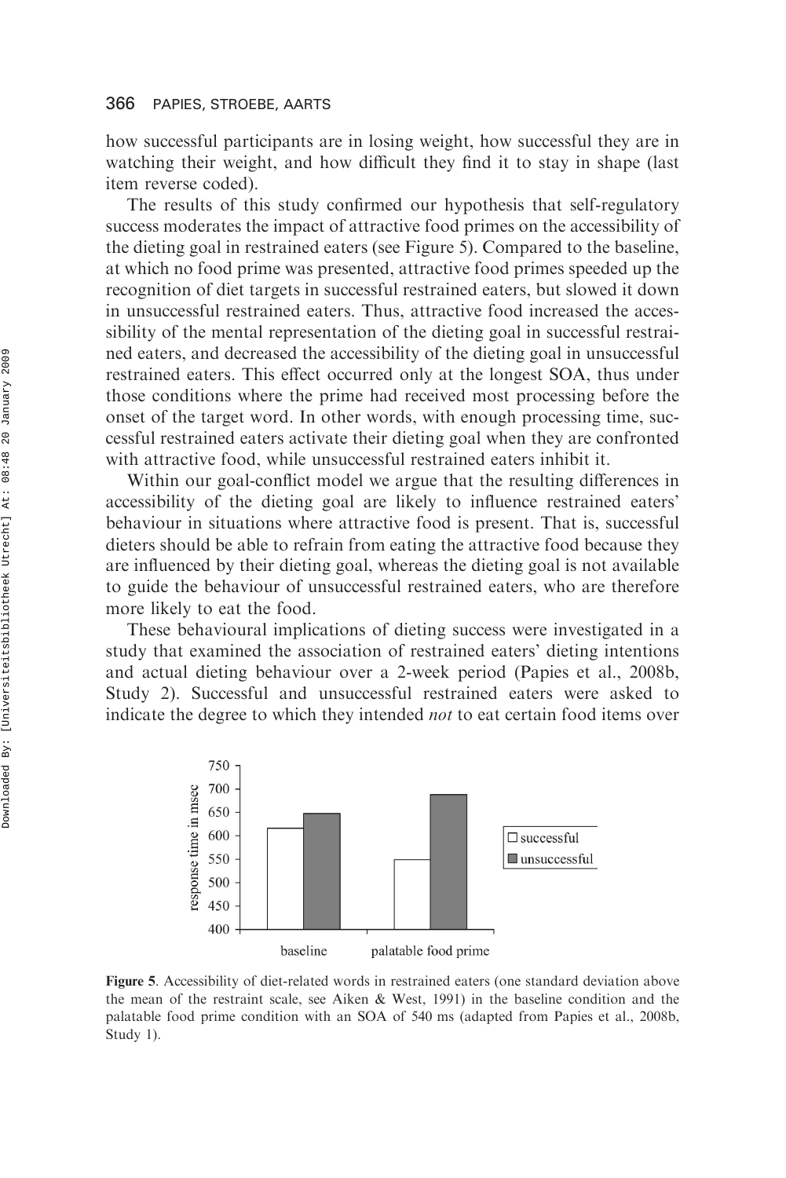how successful participants are in losing weight, how successful they are in watching their weight, and how difficult they find it to stay in shape (last item reverse coded).

The results of this study confirmed our hypothesis that self-regulatory success moderates the impact of attractive food primes on the accessibility of the dieting goal in restrained eaters (see Figure 5). Compared to the baseline, at which no food prime was presented, attractive food primes speeded up the recognition of diet targets in successful restrained eaters, but slowed it down in unsuccessful restrained eaters. Thus, attractive food increased the accessibility of the mental representation of the dieting goal in successful restrained eaters, and decreased the accessibility of the dieting goal in unsuccessful restrained eaters. This effect occurred only at the longest SOA, thus under those conditions where the prime had received most processing before the onset of the target word. In other words, with enough processing time, successful restrained eaters activate their dieting goal when they are confronted with attractive food, while unsuccessful restrained eaters inhibit it.

Within our goal-conflict model we argue that the resulting differences in accessibility of the dieting goal are likely to influence restrained eaters' behaviour in situations where attractive food is present. That is, successful dieters should be able to refrain from eating the attractive food because they are influenced by their dieting goal, whereas the dieting goal is not available to guide the behaviour of unsuccessful restrained eaters, who are therefore more likely to eat the food.

These behavioural implications of dieting success were investigated in a study that examined the association of restrained eaters' dieting intentions and actual dieting behaviour over a 2-week period (Papies et al., 2008b, Study 2). Successful and unsuccessful restrained eaters were asked to indicate the degree to which they intended *not* to eat certain food items over



Figure 5. Accessibility of diet-related words in restrained eaters (one standard deviation above the mean of the restraint scale, see Aiken & West, 1991) in the baseline condition and the palatable food prime condition with an SOA of 540 ms (adapted from Papies et al., 2008b, Study 1).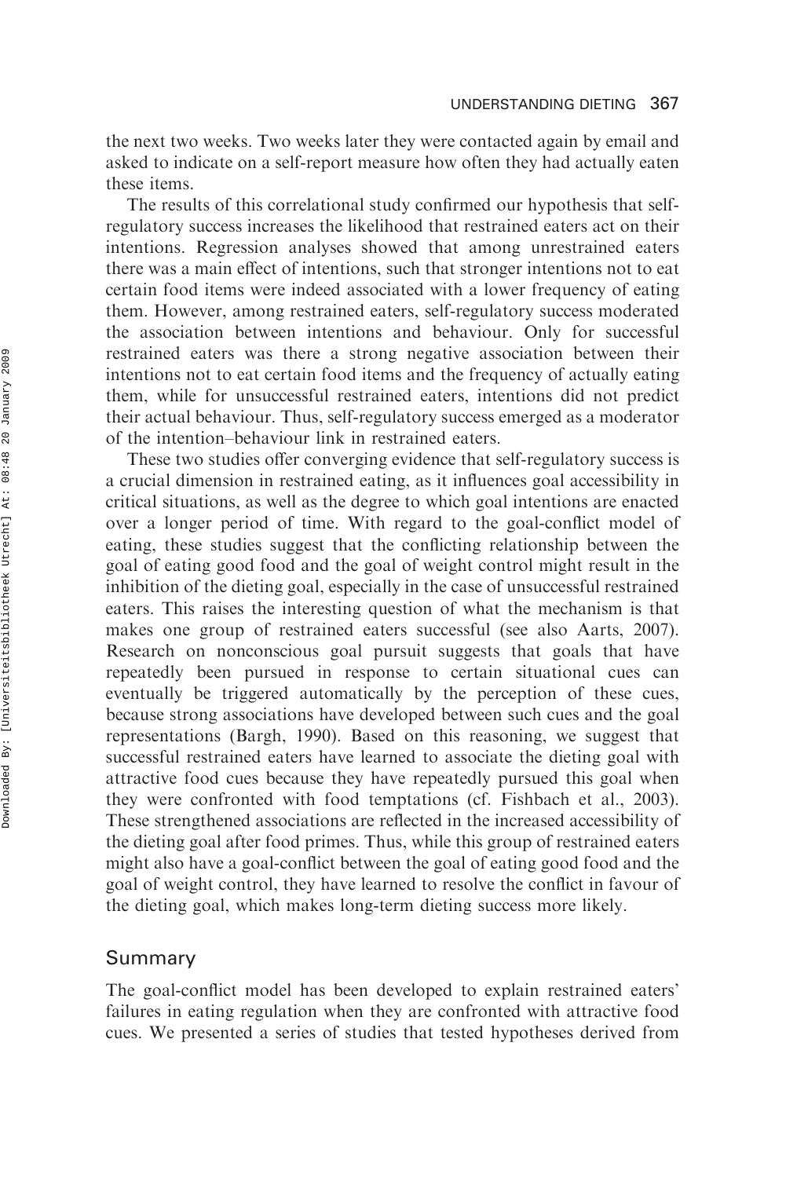the next two weeks. Two weeks later they were contacted again by email and asked to indicate on a self-report measure how often they had actually eaten these items.

The results of this correlational study confirmed our hypothesis that selfregulatory success increases the likelihood that restrained eaters act on their intentions. Regression analyses showed that among unrestrained eaters there was a main effect of intentions, such that stronger intentions not to eat certain food items were indeed associated with a lower frequency of eating them. However, among restrained eaters, self-regulatory success moderated the association between intentions and behaviour. Only for successful restrained eaters was there a strong negative association between their intentions not to eat certain food items and the frequency of actually eating them, while for unsuccessful restrained eaters, intentions did not predict their actual behaviour. Thus, self-regulatory success emerged as a moderator of the intention–behaviour link in restrained eaters.

These two studies offer converging evidence that self-regulatory success is a crucial dimension in restrained eating, as it influences goal accessibility in critical situations, as well as the degree to which goal intentions are enacted over a longer period of time. With regard to the goal-conflict model of eating, these studies suggest that the conflicting relationship between the goal of eating good food and the goal of weight control might result in the inhibition of the dieting goal, especially in the case of unsuccessful restrained eaters. This raises the interesting question of what the mechanism is that makes one group of restrained eaters successful (see also Aarts, 2007). Research on nonconscious goal pursuit suggests that goals that have repeatedly been pursued in response to certain situational cues can eventually be triggered automatically by the perception of these cues, because strong associations have developed between such cues and the goal representations (Bargh, 1990). Based on this reasoning, we suggest that successful restrained eaters have learned to associate the dieting goal with attractive food cues because they have repeatedly pursued this goal when they were confronted with food temptations (cf. Fishbach et al., 2003). These strengthened associations are reflected in the increased accessibility of the dieting goal after food primes. Thus, while this group of restrained eaters might also have a goal-conflict between the goal of eating good food and the goal of weight control, they have learned to resolve the conflict in favour of the dieting goal, which makes long-term dieting success more likely.

#### Summary

The goal-conflict model has been developed to explain restrained eaters' failures in eating regulation when they are confronted with attractive food cues. We presented a series of studies that tested hypotheses derived from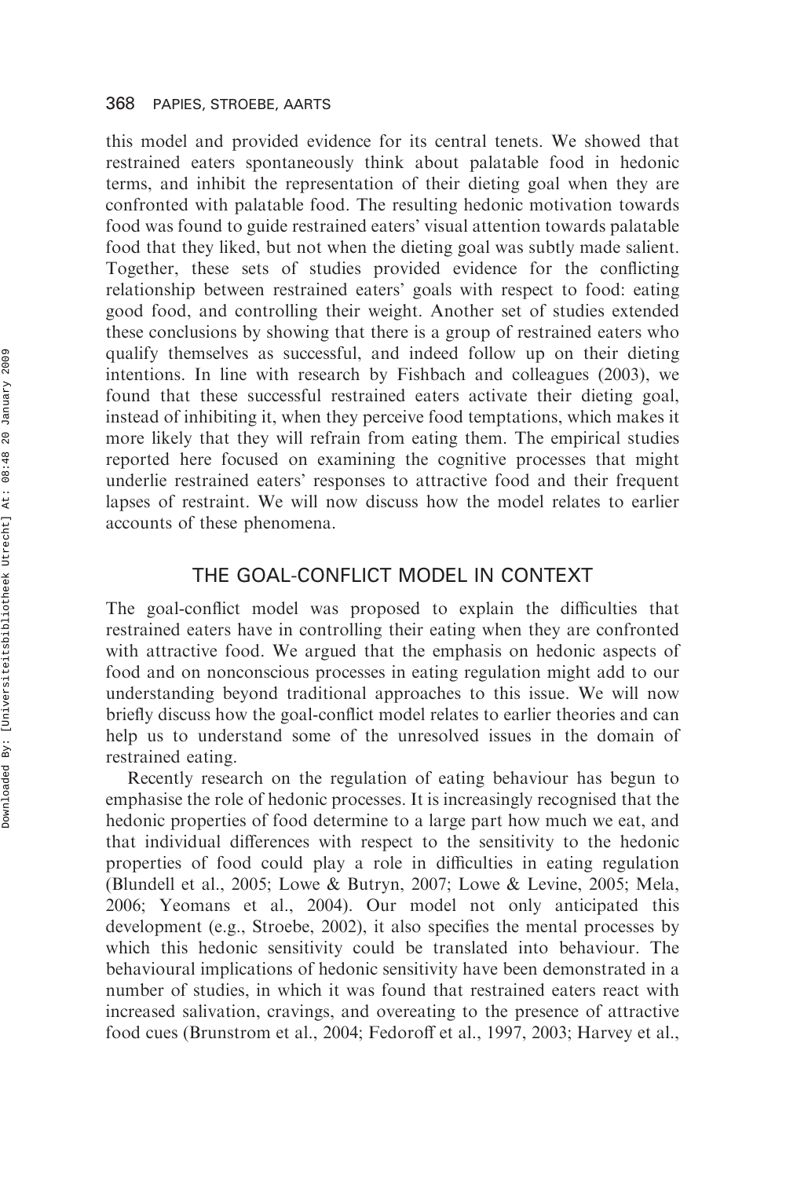this model and provided evidence for its central tenets. We showed that restrained eaters spontaneously think about palatable food in hedonic terms, and inhibit the representation of their dieting goal when they are confronted with palatable food. The resulting hedonic motivation towards food was found to guide restrained eaters' visual attention towards palatable food that they liked, but not when the dieting goal was subtly made salient. Together, these sets of studies provided evidence for the conflicting relationship between restrained eaters' goals with respect to food: eating good food, and controlling their weight. Another set of studies extended these conclusions by showing that there is a group of restrained eaters who qualify themselves as successful, and indeed follow up on their dieting intentions. In line with research by Fishbach and colleagues (2003), we found that these successful restrained eaters activate their dieting goal, instead of inhibiting it, when they perceive food temptations, which makes it more likely that they will refrain from eating them. The empirical studies reported here focused on examining the cognitive processes that might underlie restrained eaters' responses to attractive food and their frequent lapses of restraint. We will now discuss how the model relates to earlier accounts of these phenomena.

# THE GOAL-CONFLICT MODEL IN CONTEXT

The goal-conflict model was proposed to explain the difficulties that restrained eaters have in controlling their eating when they are confronted with attractive food. We argued that the emphasis on hedonic aspects of food and on nonconscious processes in eating regulation might add to our understanding beyond traditional approaches to this issue. We will now briefly discuss how the goal-conflict model relates to earlier theories and can help us to understand some of the unresolved issues in the domain of restrained eating.

Recently research on the regulation of eating behaviour has begun to emphasise the role of hedonic processes. It is increasingly recognised that the hedonic properties of food determine to a large part how much we eat, and that individual differences with respect to the sensitivity to the hedonic properties of food could play a role in difficulties in eating regulation (Blundell et al., 2005; Lowe & Butryn, 2007; Lowe & Levine, 2005; Mela, 2006; Yeomans et al., 2004). Our model not only anticipated this development (e.g., Stroebe, 2002), it also specifies the mental processes by which this hedonic sensitivity could be translated into behaviour. The behavioural implications of hedonic sensitivity have been demonstrated in a number of studies, in which it was found that restrained eaters react with increased salivation, cravings, and overeating to the presence of attractive food cues (Brunstrom et al., 2004; Fedoroff et al., 1997, 2003; Harvey et al.,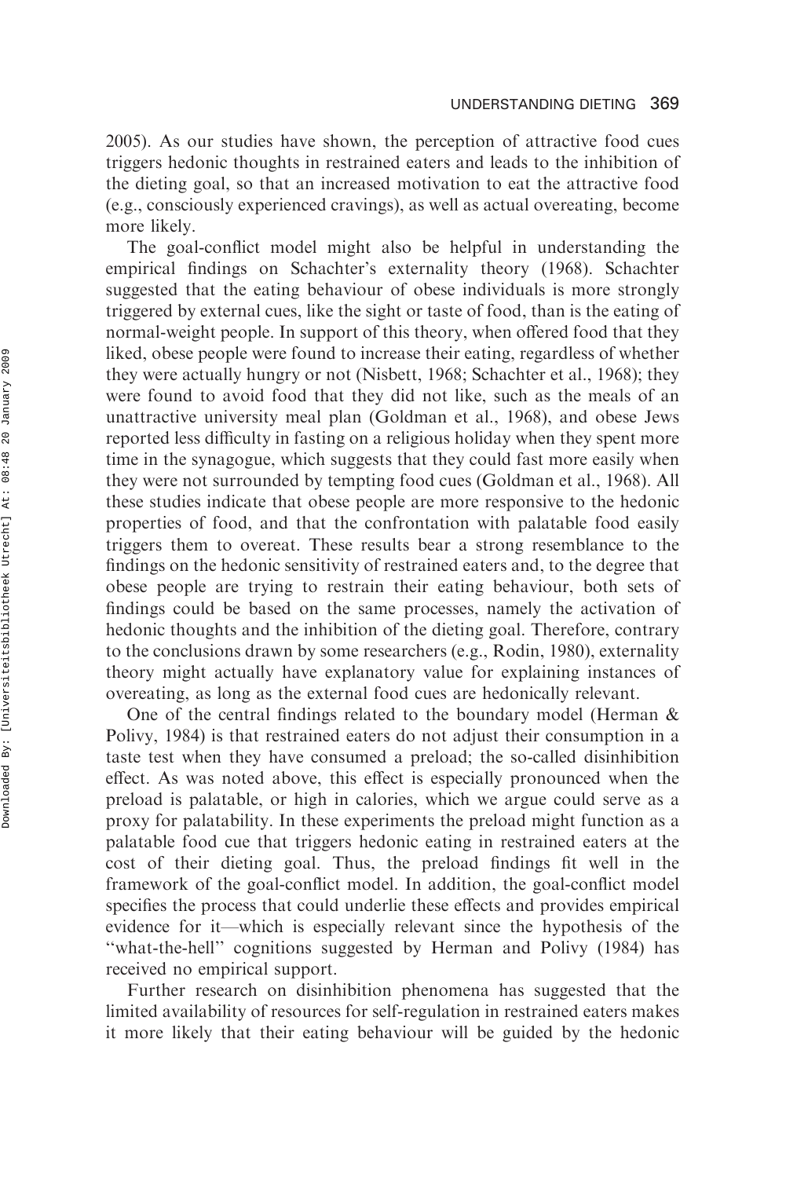2005). As our studies have shown, the perception of attractive food cues triggers hedonic thoughts in restrained eaters and leads to the inhibition of the dieting goal, so that an increased motivation to eat the attractive food (e.g., consciously experienced cravings), as well as actual overeating, become more likely.

The goal-conflict model might also be helpful in understanding the empirical findings on Schachter's externality theory (1968). Schachter suggested that the eating behaviour of obese individuals is more strongly triggered by external cues, like the sight or taste of food, than is the eating of normal-weight people. In support of this theory, when offered food that they liked, obese people were found to increase their eating, regardless of whether they were actually hungry or not (Nisbett, 1968; Schachter et al., 1968); they were found to avoid food that they did not like, such as the meals of an unattractive university meal plan (Goldman et al., 1968), and obese Jews reported less difficulty in fasting on a religious holiday when they spent more time in the synagogue, which suggests that they could fast more easily when they were not surrounded by tempting food cues (Goldman et al., 1968). All these studies indicate that obese people are more responsive to the hedonic properties of food, and that the confrontation with palatable food easily triggers them to overeat. These results bear a strong resemblance to the findings on the hedonic sensitivity of restrained eaters and, to the degree that obese people are trying to restrain their eating behaviour, both sets of findings could be based on the same processes, namely the activation of hedonic thoughts and the inhibition of the dieting goal. Therefore, contrary to the conclusions drawn by some researchers (e.g., Rodin, 1980), externality theory might actually have explanatory value for explaining instances of overeating, as long as the external food cues are hedonically relevant.

One of the central findings related to the boundary model (Herman & Polivy, 1984) is that restrained eaters do not adjust their consumption in a taste test when they have consumed a preload; the so-called disinhibition effect. As was noted above, this effect is especially pronounced when the preload is palatable, or high in calories, which we argue could serve as a proxy for palatability. In these experiments the preload might function as a palatable food cue that triggers hedonic eating in restrained eaters at the cost of their dieting goal. Thus, the preload findings fit well in the framework of the goal-conflict model. In addition, the goal-conflict model specifies the process that could underlie these effects and provides empirical evidence for it—which is especially relevant since the hypothesis of the "what-the-hell" cognitions suggested by Herman and Polivy (1984) has received no empirical support.

Further research on disinhibition phenomena has suggested that the limited availability of resources for self-regulation in restrained eaters makes it more likely that their eating behaviour will be guided by the hedonic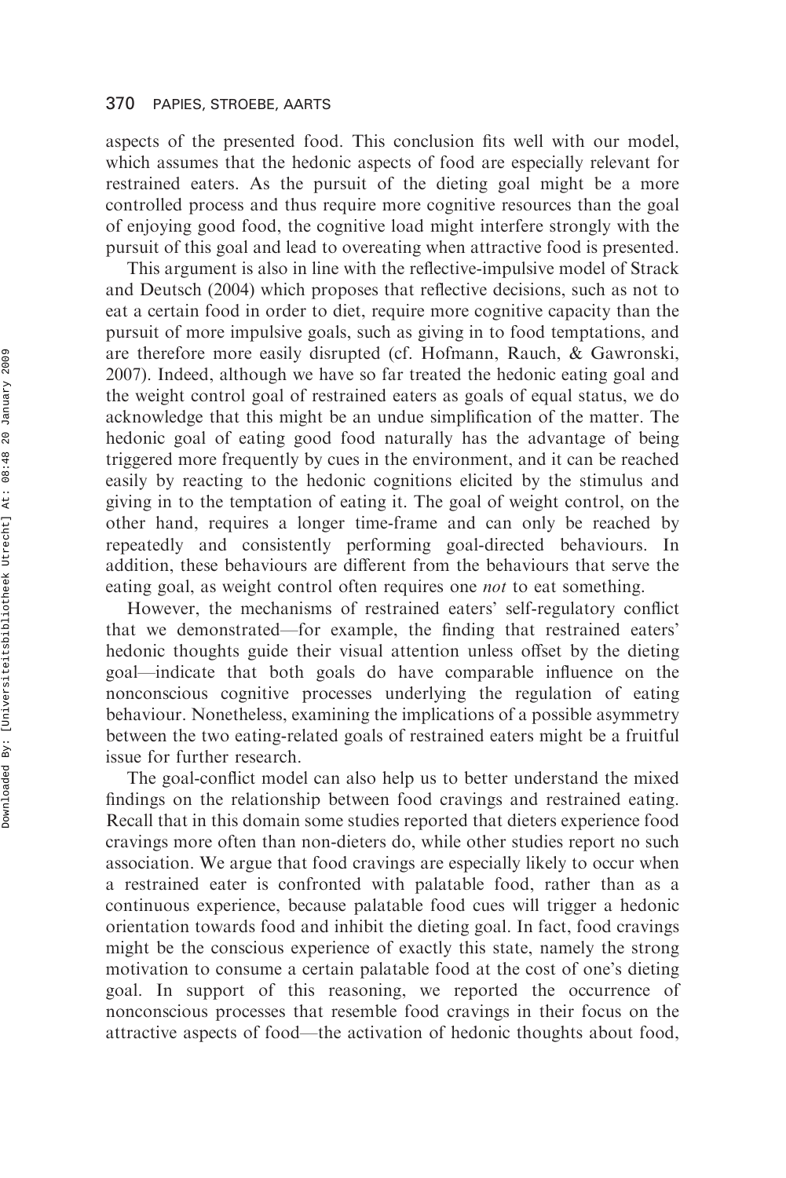aspects of the presented food. This conclusion fits well with our model, which assumes that the hedonic aspects of food are especially relevant for restrained eaters. As the pursuit of the dieting goal might be a more controlled process and thus require more cognitive resources than the goal of enjoying good food, the cognitive load might interfere strongly with the pursuit of this goal and lead to overeating when attractive food is presented.

This argument is also in line with the reflective-impulsive model of Strack and Deutsch (2004) which proposes that reflective decisions, such as not to eat a certain food in order to diet, require more cognitive capacity than the pursuit of more impulsive goals, such as giving in to food temptations, and are therefore more easily disrupted (cf. Hofmann, Rauch, & Gawronski, 2007). Indeed, although we have so far treated the hedonic eating goal and the weight control goal of restrained eaters as goals of equal status, we do acknowledge that this might be an undue simplification of the matter. The hedonic goal of eating good food naturally has the advantage of being triggered more frequently by cues in the environment, and it can be reached easily by reacting to the hedonic cognitions elicited by the stimulus and giving in to the temptation of eating it. The goal of weight control, on the other hand, requires a longer time-frame and can only be reached by repeatedly and consistently performing goal-directed behaviours. addition, these behaviours are different from the behaviours that serve the eating goal, as weight control often requires one *not* to eat something.

However, the mechanisms of restrained eaters' self-regulatory conflict that we demonstrated—for example, the finding that restrained eaters' hedonic thoughts guide their visual attention unless offset by the dieting goal—indicate that both goals do have comparable influence on the nonconscious cognitive processes underlying the regulation of eating behaviour. Nonetheless, examining the implications of a possible asymmetry between the two eating-related goals of restrained eaters might be a fruitful issue for further research.

The goal-conflict model can also help us to better understand the mixed findings on the relationship between food cravings and restrained eating. Recall that in this domain some studies reported that dieters experience food cravings more often than non-dieters do, while other studies report no such association. We argue that food cravings are especially likely to occur when a restrained eater is confronted with palatable food, rather than as a continuous experience, because palatable food cues will trigger a hedonic orientation towards food and inhibit the dieting goal. In fact, food cravings might be the conscious experience of exactly this state, namely the strong motivation to consume a certain palatable food at the cost of one's dieting goal. In support of this reasoning, we reported the occurrence of nonconscious processes that resemble food cravings in their focus on the attractive aspects of food—the activation of hedonic thoughts about food,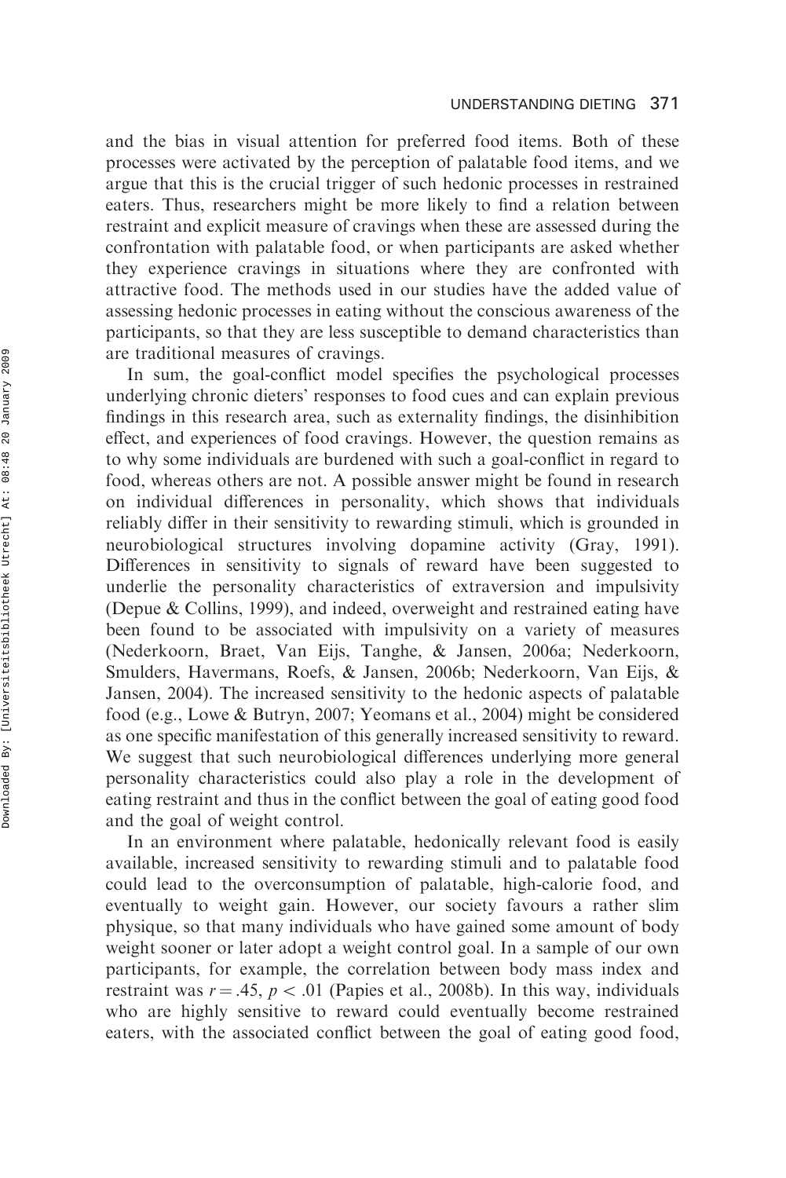and the bias in visual attention for preferred food items. Both of these processes were activated by the perception of palatable food items, and we argue that this is the crucial trigger of such hedonic processes in restrained eaters. Thus, researchers might be more likely to find a relation between restraint and explicit measure of cravings when these are assessed during the confrontation with palatable food, or when participants are asked whether they experience cravings in situations where they are confronted with attractive food. The methods used in our studies have the added value of assessing hedonic processes in eating without the conscious awareness of the participants, so that they are less susceptible to demand characteristics than are traditional measures of cravings.

In sum, the goal-conflict model specifies the psychological processes underlying chronic dieters' responses to food cues and can explain previous findings in this research area, such as externality findings, the disinhibition effect, and experiences of food cravings. However, the question remains as to why some individuals are burdened with such a goal-conflict in regard to food, whereas others are not. A possible answer might be found in research on individual differences in personality, which shows that individuals reliably differ in their sensitivity to rewarding stimuli, which is grounded in neurobiological structures involving dopamine activity (Gray, 1991). Differences in sensitivity to signals of reward have been suggested to underlie the personality characteristics of extraversion and impulsivity (Depue & Collins, 1999), and indeed, overweight and restrained eating have been found to be associated with impulsivity on a variety of measures (Nederkoorn, Braet, Van Eijs, Tanghe, & Jansen, 2006a; Nederkoorn, Smulders, Havermans, Roefs, & Jansen, 2006b; Nederkoorn, Van Eijs, & Jansen, 2004). The increased sensitivity to the hedonic aspects of palatable food (e.g., Lowe & Butryn, 2007; Yeomans et al., 2004) might be considered as one specific manifestation of this generally increased sensitivity to reward. We suggest that such neurobiological differences underlying more general personality characteristics could also play a role in the development of eating restraint and thus in the conflict between the goal of eating good food and the goal of weight control.

In an environment where palatable, hedonically relevant food is easily available, increased sensitivity to rewarding stimuli and to palatable food could lead to the overconsumption of palatable, high-calorie food, and eventually to weight gain. However, our society favours a rather slim physique, so that many individuals who have gained some amount of body weight sooner or later adopt a weight control goal. In a sample of our own participants, for example, the correlation between body mass index and restraint was  $r = .45$ ,  $p < .01$  (Papies et al., 2008b). In this way, individuals who are highly sensitive to reward could eventually become restrained eaters, with the associated conflict between the goal of eating good food,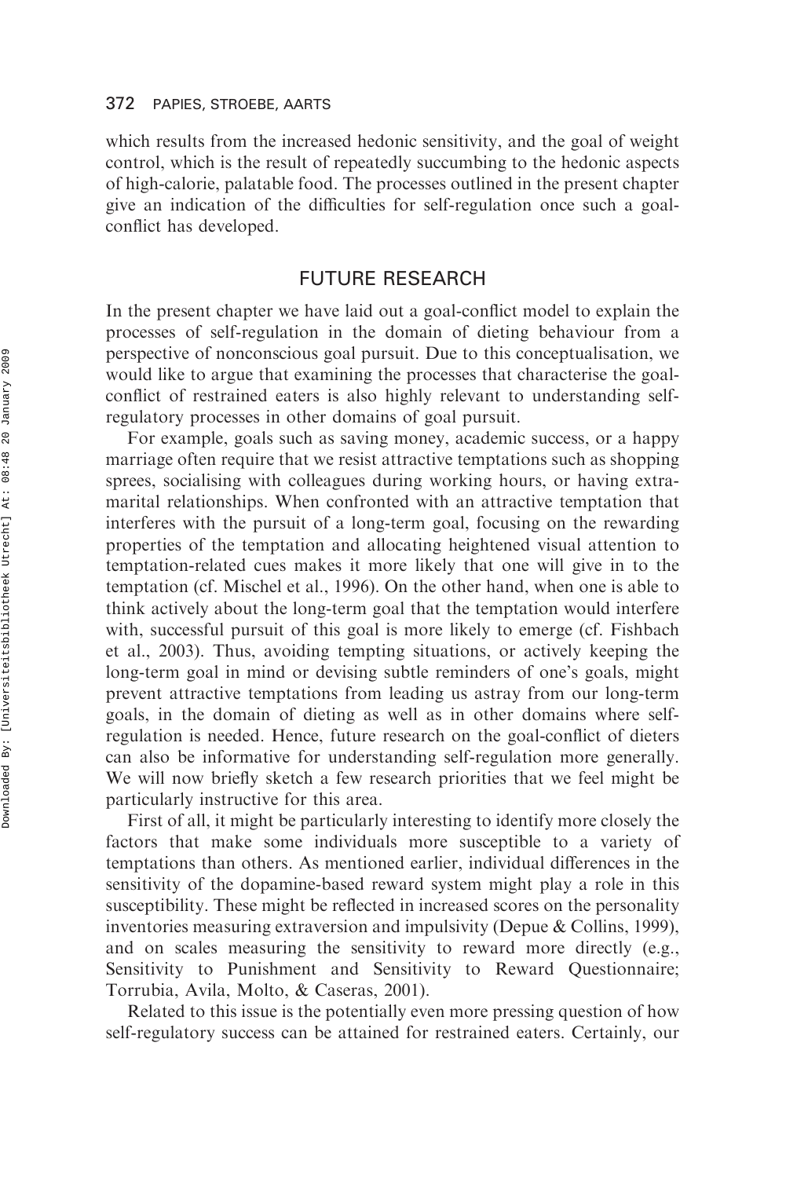which results from the increased hedonic sensitivity, and the goal of weight control, which is the result of repeatedly succumbing to the hedonic aspects of high-calorie, palatable food. The processes outlined in the present chapter give an indication of the difficulties for self-regulation once such a goalconflict has developed.

# FUTURE RESEARCH

In the present chapter we have laid out a goal-conflict model to explain the processes of self-regulation in the domain of dieting behaviour from a perspective of nonconscious goal pursuit. Due to this conceptualisation, we would like to argue that examining the processes that characterise the goalconflict of restrained eaters is also highly relevant to understanding selfregulatory processes in other domains of goal pursuit.

For example, goals such as saving money, academic success, or a happy marriage often require that we resist attractive temptations such as shopping sprees, socialising with colleagues during working hours, or having extramarital relationships. When confronted with an attractive temptation that interferes with the pursuit of a long-term goal, focusing on the rewarding properties of the temptation and allocating heightened visual attention to temptation-related cues makes it more likely that one will give in to the temptation (cf. Mischel et al., 1996). On the other hand, when one is able to think actively about the long-term goal that the temptation would interfere with, successful pursuit of this goal is more likely to emerge (cf. Fishbach et al., 2003). Thus, avoiding tempting situations, or actively keeping the long-term goal in mind or devising subtle reminders of one's goals, might prevent attractive temptations from leading us astray from our long-term goals, in the domain of dieting as well as in other domains where selfregulation is needed. Hence, future research on the goal-conflict of dieters can also be informative for understanding self-regulation more generally. We will now briefly sketch a few research priorities that we feel might be particularly instructive for this area.

First of all, it might be particularly interesting to identify more closely the factors that make some individuals more susceptible to a variety temptations than others. As mentioned earlier, individual differences in the sensitivity of the dopamine-based reward system might play a role in this susceptibility. These might be reflected in increased scores on the personality inventories measuring extraversion and impulsivity (Depue & Collins, 1999), and on scales measuring the sensitivity to reward more directly (e.g., Sensitivity to Punishment and Sensitivity to Reward Questionnaire; Torrubia, Avila, Molto, & Caseras, 2001).

Related to this issue is the potentially even more pressing question of how self-regulatory success can be attained for restrained eaters. Certainly, our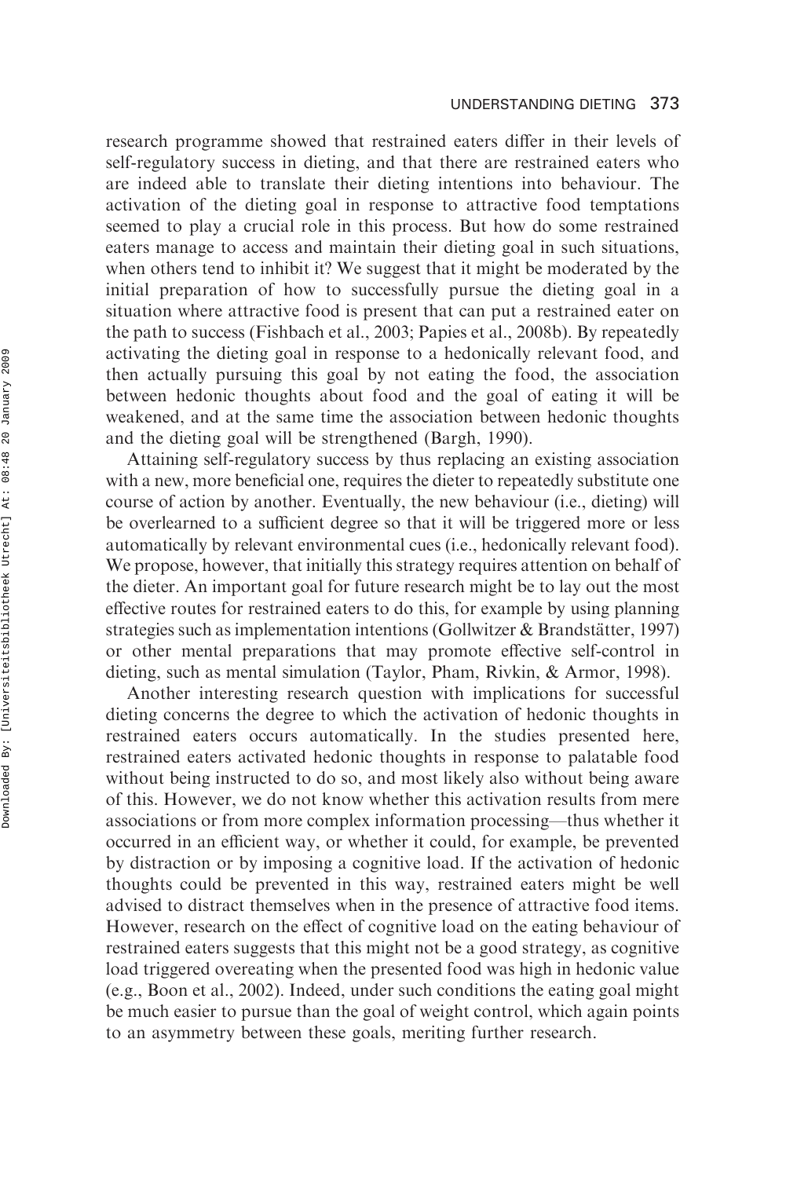research programme showed that restrained eaters differ in their levels of self-regulatory success in dieting, and that there are restrained eaters who are indeed able to translate their dieting intentions into behaviour. The activation of the dieting goal in response to attractive food temptations seemed to play a crucial role in this process. But how do some restrained eaters manage to access and maintain their dieting goal in such situations, when others tend to inhibit it? We suggest that it might be moderated by the initial preparation of how to successfully pursue the dieting goal in a situation where attractive food is present that can put a restrained eater on the path to success (Fishbach et al., 2003; Papies et al., 2008b). By repeatedly activating the dieting goal in response to a hedonically relevant food, and then actually pursuing this goal by not eating the food, the association between hedonic thoughts about food and the goal of eating it will be weakened, and at the same time the association between hedonic thoughts and the dieting goal will be strengthened (Bargh, 1990).

Attaining self-regulatory success by thus replacing an existing association with a new, more beneficial one, requires the dieter to repeatedly substitute one course of action by another. Eventually, the new behaviour (i.e., dieting) will be overlearned to a sufficient degree so that it will be triggered more or less automatically by relevant environmental cues (i.e., hedonically relevant food). We propose, however, that initially this strategy requires attention on behalf of the dieter. An important goal for future research might be to lay out the most effective routes for restrained eaters to do this, for example by using planning strategies such as implementation intentions (Gollwitzer  $\&$  Brandstätter, 1997) or other mental preparations that may promote effective self-control in dieting, such as mental simulation (Taylor, Pham, Rivkin, & Armor, 1998).

Another interesting research question with implications for successful dieting concerns the degree to which the activation of hedonic thoughts in restrained eaters occurs automatically. In the studies presented here, restrained eaters activated hedonic thoughts in response to palatable food without being instructed to do so, and most likely also without being aware of this. However, we do not know whether this activation results from mere associations or from more complex information processing—thus whether it occurred in an efficient way, or whether it could, for example, be prevented by distraction or by imposing a cognitive load. If the activation of hedonic thoughts could be prevented in this way, restrained eaters might be well advised to distract themselves when in the presence of attractive food items. However, research on the effect of cognitive load on the eating behaviour of restrained eaters suggests that this might not be a good strategy, as cognitive load triggered overeating when the presented food was high in hedonic value (e.g., Boon et al., 2002). Indeed, under such conditions the eating goal might be much easier to pursue than the goal of weight control, which again points to an asymmetry between these goals, meriting further research.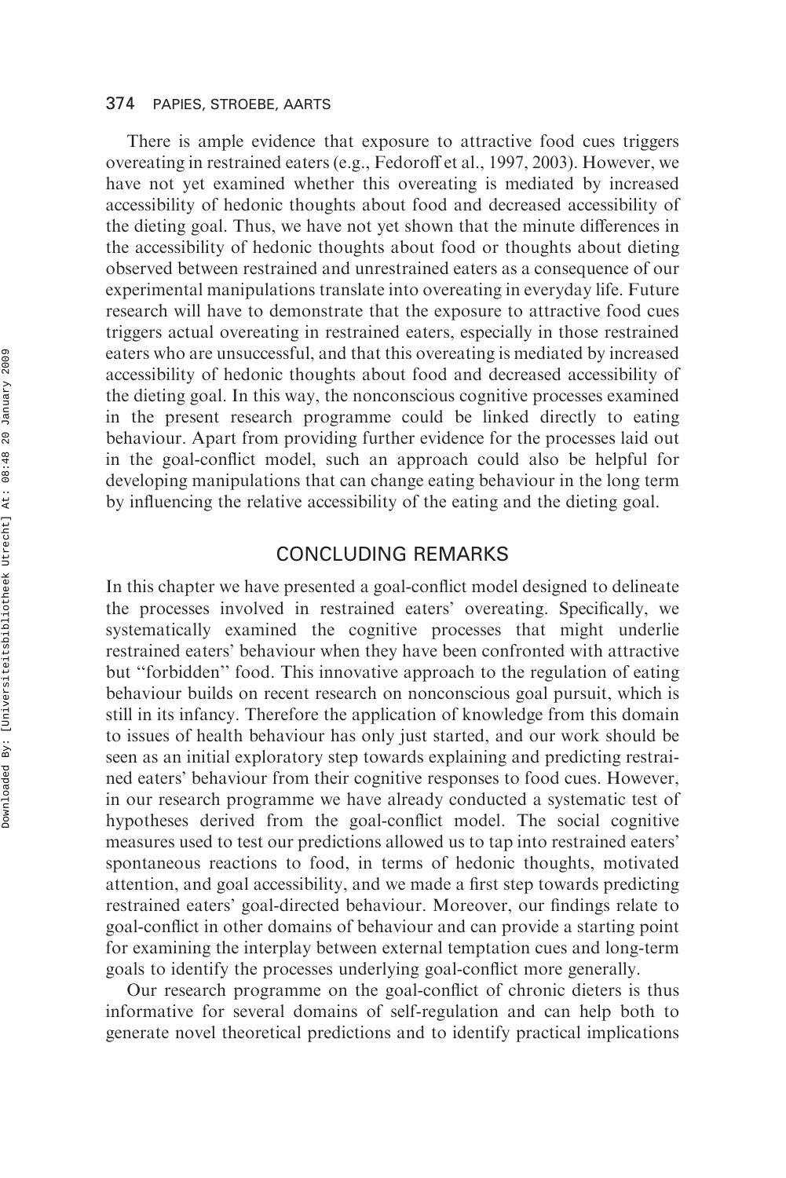There is ample evidence that exposure to attractive food cues triggers overeating in restrained eaters (e.g., Fedoroff et al., 1997, 2003). However, we have not yet examined whether this overeating is mediated by increased accessibility of hedonic thoughts about food and decreased accessibility of the dieting goal. Thus, we have not yet shown that the minute differences in the accessibility of hedonic thoughts about food or thoughts about dieting observed between restrained and unrestrained eaters as a consequence of our experimental manipulations translate into overeating in everyday life. Future research will have to demonstrate that the exposure to attractive food cues triggers actual overeating in restrained eaters, especially in those restrained eaters who are unsuccessful, and that this overeating is mediated by increased accessibility of hedonic thoughts about food and decreased accessibility of the dieting goal. In this way, the nonconscious cognitive processes examined in the present research programme could be linked directly to eating behaviour. Apart from providing further evidence for the processes laid out in the goal-conflict model, such an approach could also be helpful for developing manipulations that can change eating behaviour in the long term by influencing the relative accessibility of the eating and the dieting goal.

### CONCLUDING REMARKS

In this chapter we have presented a goal-conflict model designed to delineate the processes involved in restrained eaters' overeating. Specifically, we systematically examined the cognitive processes that might underlie restrained eaters' behaviour when they have been confronted with attractive but ''forbidden'' food. This innovative approach to the regulation of eating behaviour builds on recent research on nonconscious goal pursuit, which is still in its infancy. Therefore the application of knowledge from this domain to issues of health behaviour has only just started, and our work should be seen as an initial exploratory step towards explaining and predicting restrained eaters' behaviour from their cognitive responses to food cues. However, in our research programme we have already conducted a systematic test of hypotheses derived from the goal-conflict model. The social cognitive measures used to test our predictions allowed us to tap into restrained eaters' spontaneous reactions to food, in terms of hedonic thoughts, motivated attention, and goal accessibility, and we made a first step towards predicting restrained eaters' goal-directed behaviour. Moreover, our findings relate to goal-conflict in other domains of behaviour and can provide a starting point for examining the interplay between external temptation cues and long-term goals to identify the processes underlying goal-conflict more generally.

Our research programme on the goal-conflict of chronic dieters is thus informative for several domains of self-regulation and can help both to generate novel theoretical predictions and to identify practical implications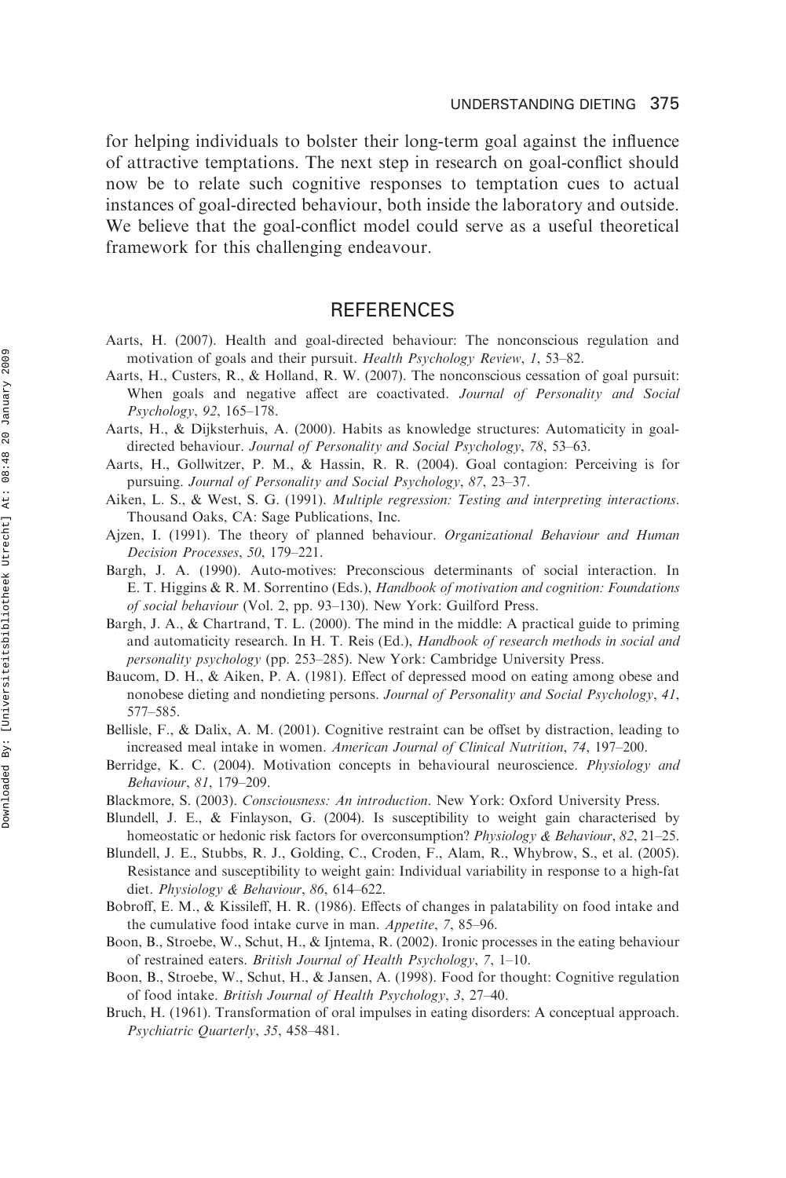for helping individuals to bolster their long-term goal against the influence of attractive temptations. The next step in research on goal-conflict should now be to relate such cognitive responses to temptation cues to actual instances of goal-directed behaviour, both inside the laboratory and outside. We believe that the goal-conflict model could serve as a useful theoretical framework for this challenging endeavour.

# **REFERENCES**

- Aarts, H. (2007). Health and goal-directed behaviour: The nonconscious regulation and motivation of goals and their pursuit. Health Psychology Review, 1, 53–82.
- Aarts, H., Custers, R., & Holland, R. W. (2007). The nonconscious cessation of goal pursuit: When goals and negative affect are coactivated. Journal of Personality and Social Psychology, 92, 165–178.
- Aarts, H., & Dijksterhuis, A. (2000). Habits as knowledge structures: Automaticity in goaldirected behaviour. Journal of Personality and Social Psychology, 78, 53–63.
- Aarts, H., Gollwitzer, P. M., & Hassin, R. R. (2004). Goal contagion: Perceiving is for pursuing. Journal of Personality and Social Psychology, 87, 23–37.
- Aiken, L. S., & West, S. G. (1991). Multiple regression: Testing and interpreting interactions. Thousand Oaks, CA: Sage Publications, Inc.
- Ajzen, I. (1991). The theory of planned behaviour. Organizational Behaviour and Human Decision Processes, 50, 179–221.
- Bargh, J. A. (1990). Auto-motives: Preconscious determinants of social interaction. In E. T. Higgins & R. M. Sorrentino (Eds.), Handbook of motivation and cognition: Foundations of social behaviour (Vol. 2, pp. 93–130). New York: Guilford Press.
- Bargh, J. A., & Chartrand, T. L. (2000). The mind in the middle: A practical guide to priming and automaticity research. In H. T. Reis (Ed.), Handbook of research methods in social and personality psychology (pp. 253–285). New York: Cambridge University Press.
- Baucom, D. H., & Aiken, P. A. (1981). Effect of depressed mood on eating among obese and nonobese dieting and nondieting persons. Journal of Personality and Social Psychology, 41, 577–585.
- Bellisle, F., & Dalix, A. M. (2001). Cognitive restraint can be offset by distraction, leading to increased meal intake in women. American Journal of Clinical Nutrition, 74, 197–200.
- Berridge, K. C. (2004). Motivation concepts in behavioural neuroscience. Physiology and Behaviour, 81, 179–209.
- Blackmore, S. (2003). Consciousness: An introduction. New York: Oxford University Press.
- Blundell, J. E., & Finlayson, G. (2004). Is susceptibility to weight gain characterised by homeostatic or hedonic risk factors for overconsumption? *Physiology & Behaviour*, 82, 21–25.
- Blundell, J. E., Stubbs, R. J., Golding, C., Croden, F., Alam, R., Whybrow, S., et al. (2005). Resistance and susceptibility to weight gain: Individual variability in response to a high-fat diet. Physiology & Behaviour, 86, 614-622.
- Bobroff, E. M., & Kissileff, H. R. (1986). Effects of changes in palatability on food intake and the cumulative food intake curve in man. Appetite, 7, 85–96.
- Boon, B., Stroebe, W., Schut, H., & Ijntema, R. (2002). Ironic processes in the eating behaviour of restrained eaters. British Journal of Health Psychology, 7, 1–10.
- Boon, B., Stroebe, W., Schut, H., & Jansen, A. (1998). Food for thought: Cognitive regulation of food intake. British Journal of Health Psychology, 3, 27–40.
- Bruch, H. (1961). Transformation of oral impulses in eating disorders: A conceptual approach. Psychiatric Quarterly, 35, 458–481.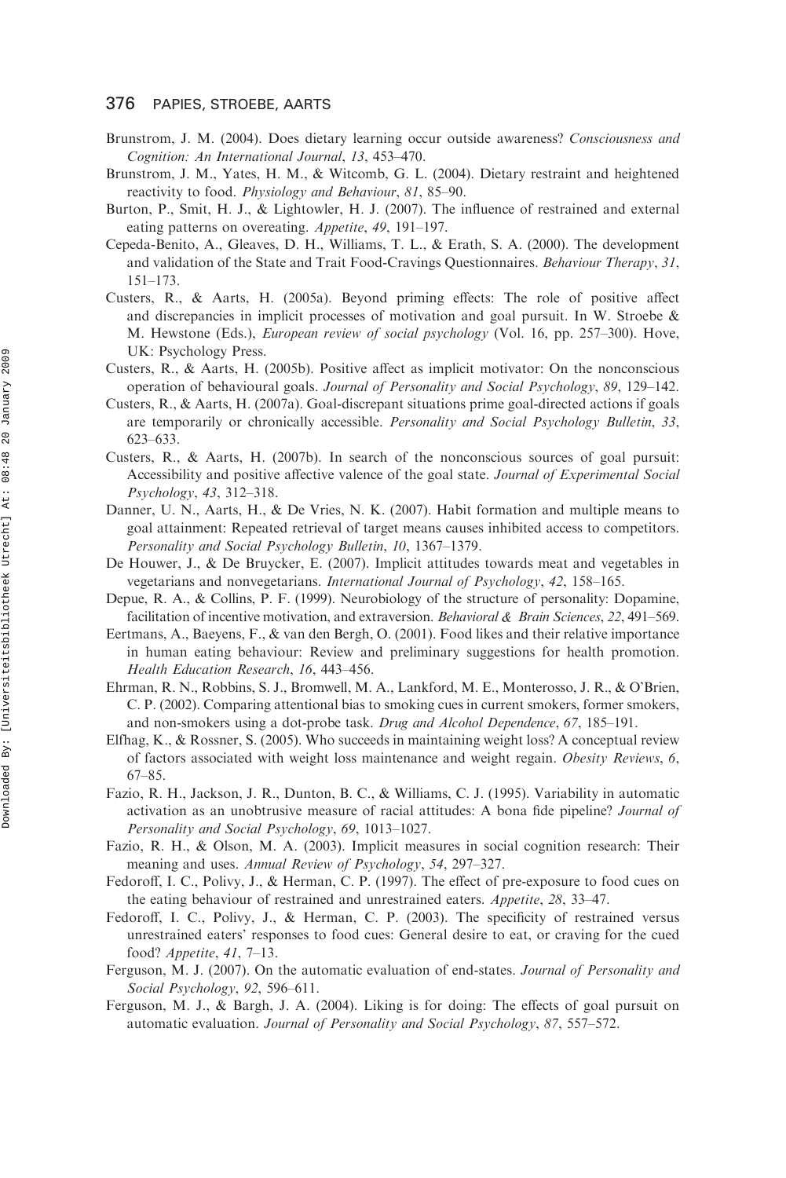- Brunstrom, J. M. (2004). Does dietary learning occur outside awareness? Consciousness and Cognition: An International Journal, 13, 453–470.
- Brunstrom, J. M., Yates, H. M., & Witcomb, G. L. (2004). Dietary restraint and heightened reactivity to food. Physiology and Behaviour, 81, 85–90.
- Burton, P., Smit, H. J., & Lightowler, H. J. (2007). The influence of restrained and external eating patterns on overeating. Appetite, 49, 191–197.
- Cepeda-Benito, A., Gleaves, D. H., Williams, T. L., & Erath, S. A. (2000). The development and validation of the State and Trait Food-Cravings Questionnaires. Behaviour Therapy, 31, 151–173.
- Custers, R., & Aarts, H. (2005a). Beyond priming effects: The role of positive affect and discrepancies in implicit processes of motivation and goal pursuit. In W. Stroebe & M. Hewstone (Eds.), European review of social psychology (Vol. 16, pp. 257–300). Hove, UK: Psychology Press.
- Custers, R., & Aarts, H. (2005b). Positive affect as implicit motivator: On the nonconscious operation of behavioural goals. Journal of Personality and Social Psychology, 89, 129–142.
- Custers, R., & Aarts, H. (2007a). Goal-discrepant situations prime goal-directed actions if goals are temporarily or chronically accessible. Personality and Social Psychology Bulletin, 33, 623–633.
- Custers, R., & Aarts, H. (2007b). In search of the nonconscious sources of goal pursuit: Accessibility and positive affective valence of the goal state. Journal of Experimental Social Psychology, 43, 312–318.
- Danner, U. N., Aarts, H., & De Vries, N. K. (2007). Habit formation and multiple means to goal attainment: Repeated retrieval of target means causes inhibited access to competitors. Personality and Social Psychology Bulletin, 10, 1367–1379.
- De Houwer, J., & De Bruycker, E. (2007). Implicit attitudes towards meat and vegetables in vegetarians and nonvegetarians. International Journal of Psychology, 42, 158–165.
- Depue, R. A., & Collins, P. F. (1999). Neurobiology of the structure of personality: Dopamine, facilitation of incentive motivation, and extraversion. Behavioral & Brain Sciences, 22, 491–569.
- Eertmans, A., Baeyens, F., & van den Bergh, O. (2001). Food likes and their relative importance in human eating behaviour: Review and preliminary suggestions for health promotion. Health Education Research, 16, 443–456.
- Ehrman, R. N., Robbins, S. J., Bromwell, M. A., Lankford, M. E., Monterosso, J. R., & O'Brien, C. P. (2002). Comparing attentional bias to smoking cues in current smokers, former smokers, and non-smokers using a dot-probe task. Drug and Alcohol Dependence, 67, 185–191.
- Elfhag, K., & Rossner, S. (2005). Who succeeds in maintaining weight loss? A conceptual review of factors associated with weight loss maintenance and weight regain. Obesity Reviews, 6, 67–85.
- Fazio, R. H., Jackson, J. R., Dunton, B. C., & Williams, C. J. (1995). Variability in automatic activation as an unobtrusive measure of racial attitudes: A bona fide pipeline? Journal of Personality and Social Psychology, 69, 1013–1027.
- Fazio, R. H., & Olson, M. A. (2003). Implicit measures in social cognition research: Their meaning and uses. Annual Review of Psychology, 54, 297–327.
- Fedoroff, I. C., Polivy, J., & Herman, C. P. (1997). The effect of pre-exposure to food cues on the eating behaviour of restrained and unrestrained eaters. Appetite, 28, 33–47.
- Fedoroff, I. C., Polivy, J., & Herman, C. P. (2003). The specificity of restrained versus unrestrained eaters' responses to food cues: General desire to eat, or craving for the cued food? Appetite, 41, 7–13.
- Ferguson, M. J. (2007). On the automatic evaluation of end-states. Journal of Personality and Social Psychology, 92, 596-611.
- Ferguson, M. J., & Bargh, J. A. (2004). Liking is for doing: The effects of goal pursuit on automatic evaluation. Journal of Personality and Social Psychology, 87, 557–572.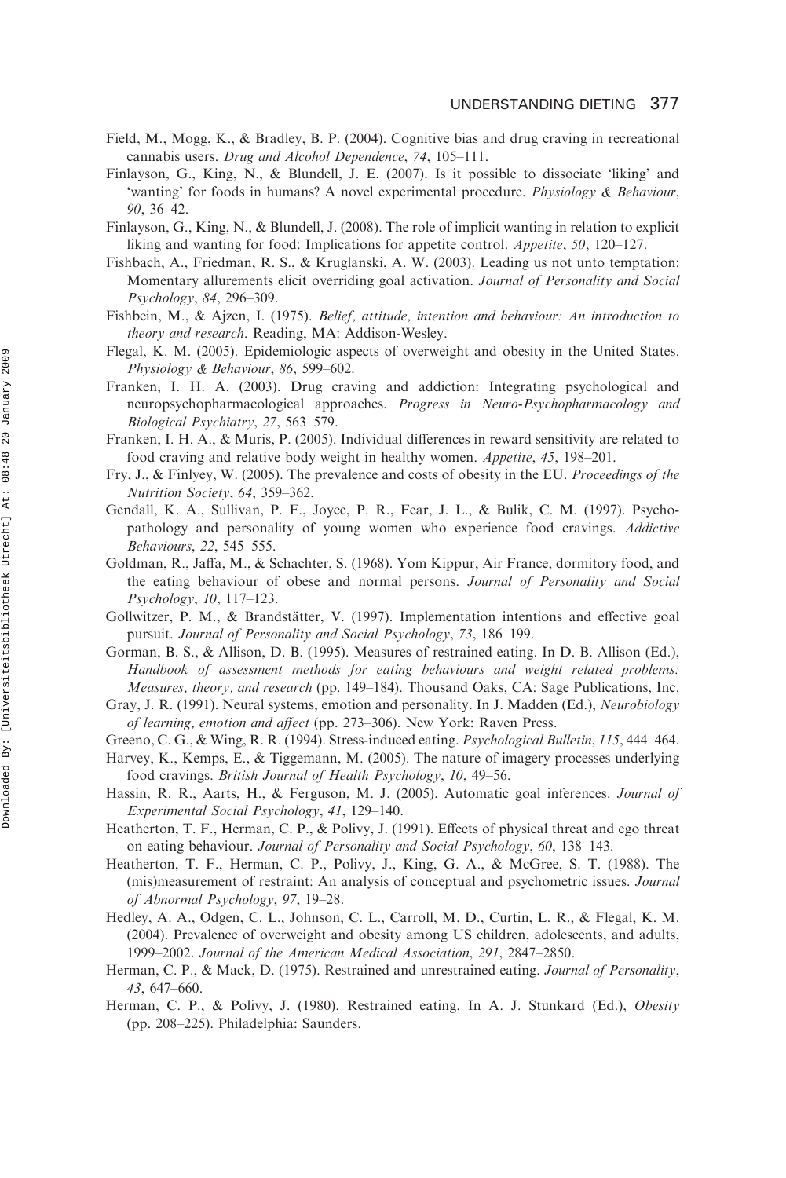- Field, M., Mogg, K., & Bradley, B. P. (2004). Cognitive bias and drug craving in recreational cannabis users. Drug and Alcohol Dependence, 74, 105–111.
- Finlayson, G., King, N., & Blundell, J. E. (2007). Is it possible to dissociate 'liking' and 'wanting' for foods in humans? A novel experimental procedure. Physiology & Behaviour, 90, 36–42.
- Finlayson, G., King, N., & Blundell, J. (2008). The role of implicit wanting in relation to explicit liking and wanting for food: Implications for appetite control. Appetite, 50, 120–127.
- Fishbach, A., Friedman, R. S., & Kruglanski, A. W. (2003). Leading us not unto temptation: Momentary allurements elicit overriding goal activation. Journal of Personality and Social Psychology, 84, 296–309.
- Fishbein, M., & Ajzen, I. (1975). Belief, attitude, intention and behaviour: An introduction to theory and research. Reading, MA: Addison-Wesley.
- Flegal, K. M. (2005). Epidemiologic aspects of overweight and obesity in the United States. Physiology & Behaviour, 86, 599-602.
- Franken, I. H. A. (2003). Drug craving and addiction: Integrating psychological and neuropsychopharmacological approaches. Progress in Neuro-Psychopharmacology and Biological Psychiatry, 27, 563–579.
- Franken, I. H. A., & Muris, P. (2005). Individual differences in reward sensitivity are related to food craving and relative body weight in healthy women. Appetite, 45, 198–201.
- Fry, J., & Finlyey, W. (2005). The prevalence and costs of obesity in the EU. Proceedings of the Nutrition Society, 64, 359–362.
- Gendall, K. A., Sullivan, P. F., Joyce, P. R., Fear, J. L., & Bulik, C. M. (1997). Psychopathology and personality of young women who experience food cravings. Addictive Behaviours, 22, 545–555.
- Goldman, R., Jaffa, M., & Schachter, S. (1968). Yom Kippur, Air France, dormitory food, and the eating behaviour of obese and normal persons. Journal of Personality and Social Psychology, 10, 117–123.
- Gollwitzer, P. M., & Brandstätter, V. (1997). Implementation intentions and effective goal pursuit. Journal of Personality and Social Psychology, 73, 186–199.
- Gorman, B. S., & Allison, D. B. (1995). Measures of restrained eating. In D. B. Allison (Ed.), Handbook of assessment methods for eating behaviours and weight related problems: Measures, theory, and research (pp. 149–184). Thousand Oaks, CA: Sage Publications, Inc.
- Gray, J. R. (1991). Neural systems, emotion and personality. In J. Madden (Ed.), Neurobiology of learning, emotion and affect (pp. 273–306). New York: Raven Press.
- Greeno, C. G., & Wing, R. R. (1994). Stress-induced eating. Psychological Bulletin, 115, 444–464.
- Harvey, K., Kemps, E., & Tiggemann, M. (2005). The nature of imagery processes underlying food cravings. British Journal of Health Psychology, 10, 49–56.
- Hassin, R. R., Aarts, H., & Ferguson, M. J. (2005). Automatic goal inferences. Journal of Experimental Social Psychology, 41, 129–140.
- Heatherton, T. F., Herman, C. P., & Polivy, J. (1991). Effects of physical threat and ego threat on eating behaviour. Journal of Personality and Social Psychology, 60, 138–143.
- Heatherton, T. F., Herman, C. P., Polivy, J., King, G. A., & McGree, S. T. (1988). The (mis)measurement of restraint: An analysis of conceptual and psychometric issues. Journal of Abnormal Psychology, 97, 19–28.
- Hedley, A. A., Odgen, C. L., Johnson, C. L., Carroll, M. D., Curtin, L. R., & Flegal, K. M. (2004). Prevalence of overweight and obesity among US children, adolescents, and adults, 1999–2002. Journal of the American Medical Association, 291, 2847–2850.
- Herman, C. P., & Mack, D. (1975). Restrained and unrestrained eating. Journal of Personality, 43, 647–660.
- Herman, C. P., & Polivy, J. (1980). Restrained eating. In A. J. Stunkard (Ed.), Obesity (pp. 208–225). Philadelphia: Saunders.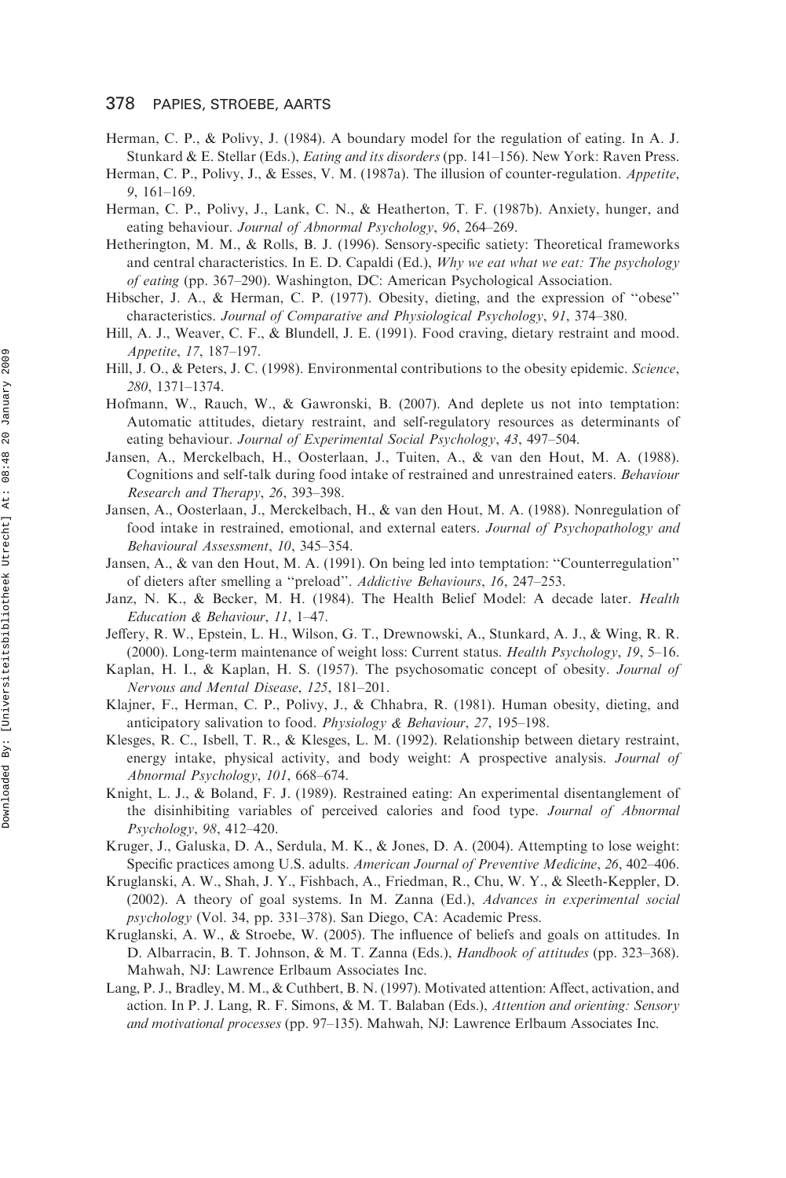- Herman, C. P., & Polivy, J. (1984). A boundary model for the regulation of eating. In A. J. Stunkard & E. Stellar (Eds.), Eating and its disorders (pp. 141–156). New York: Raven Press.
- Herman, C. P., Polivy, J., & Esses, V. M. (1987a). The illusion of counter-regulation. Appetite, 9, 161–169.
- Herman, C. P., Polivy, J., Lank, C. N., & Heatherton, T. F. (1987b). Anxiety, hunger, and eating behaviour. Journal of Abnormal Psychology, 96, 264–269.
- Hetherington, M. M., & Rolls, B. J. (1996). Sensory-specific satiety: Theoretical frameworks and central characteristics. In E. D. Capaldi (Ed.), Why we eat what we eat: The psychology of eating (pp. 367–290). Washington, DC: American Psychological Association.
- Hibscher, J. A., & Herman, C. P. (1977). Obesity, dieting, and the expression of ''obese'' characteristics. Journal of Comparative and Physiological Psychology, 91, 374–380.
- Hill, A. J., Weaver, C. F., & Blundell, J. E. (1991). Food craving, dietary restraint and mood. Appetite, 17, 187–197.
- Hill, J. O., & Peters, J. C. (1998). Environmental contributions to the obesity epidemic. Science, 280, 1371–1374.
- Hofmann, W., Rauch, W., & Gawronski, B. (2007). And deplete us not into temptation: Automatic attitudes, dietary restraint, and self-regulatory resources as determinants of eating behaviour. Journal of Experimental Social Psychology, 43, 497–504.
- Jansen, A., Merckelbach, H., Oosterlaan, J., Tuiten, A., & van den Hout, M. A. (1988). Cognitions and self-talk during food intake of restrained and unrestrained eaters. Behaviour Research and Therapy, 26, 393–398.
- Jansen, A., Oosterlaan, J., Merckelbach, H., & van den Hout, M. A. (1988). Nonregulation of food intake in restrained, emotional, and external eaters. Journal of Psychopathology and Behavioural Assessment, 10, 345–354.
- Jansen, A., & van den Hout, M. A. (1991). On being led into temptation: ''Counterregulation'' of dieters after smelling a ''preload''. Addictive Behaviours, 16, 247–253.
- Janz, N. K., & Becker, M. H. (1984). The Health Belief Model: A decade later. Health Education & Behaviour, 11, 1–47.
- Jeffery, R. W., Epstein, L. H., Wilson, G. T., Drewnowski, A., Stunkard, A. J., & Wing, R. R. (2000). Long-term maintenance of weight loss: Current status. Health Psychology, 19, 5–16.
- Kaplan, H. I., & Kaplan, H. S. (1957). The psychosomatic concept of obesity. Journal of Nervous and Mental Disease, 125, 181–201.
- Klajner, F., Herman, C. P., Polivy, J., & Chhabra, R. (1981). Human obesity, dieting, and anticipatory salivation to food. Physiology & Behaviour, 27, 195–198.
- Klesges, R. C., Isbell, T. R., & Klesges, L. M. (1992). Relationship between dietary restraint, energy intake, physical activity, and body weight: A prospective analysis. Journal of Abnormal Psychology, 101, 668–674.
- Knight, L. J., & Boland, F. J. (1989). Restrained eating: An experimental disentanglement of the disinhibiting variables of perceived calories and food type. Journal of Abnormal Psychology, 98, 412–420.
- Kruger, J., Galuska, D. A., Serdula, M. K., & Jones, D. A. (2004). Attempting to lose weight: Specific practices among U.S. adults. American Journal of Preventive Medicine, 26, 402–406.
- Kruglanski, A. W., Shah, J. Y., Fishbach, A., Friedman, R., Chu, W. Y., & Sleeth-Keppler, D. (2002). A theory of goal systems. In M. Zanna (Ed.), Advances in experimental social psychology (Vol. 34, pp. 331–378). San Diego, CA: Academic Press.
- Kruglanski, A. W., & Stroebe, W. (2005). The influence of beliefs and goals on attitudes. In D. Albarracin, B. T. Johnson, & M. T. Zanna (Eds.), Handbook of attitudes (pp. 323–368). Mahwah, NJ: Lawrence Erlbaum Associates Inc.
- Lang, P. J., Bradley, M. M., & Cuthbert, B. N. (1997). Motivated attention: Affect, activation, and action. In P. J. Lang, R. F. Simons, & M. T. Balaban (Eds.), Attention and orienting: Sensory and motivational processes (pp. 97–135). Mahwah, NJ: Lawrence Erlbaum Associates Inc.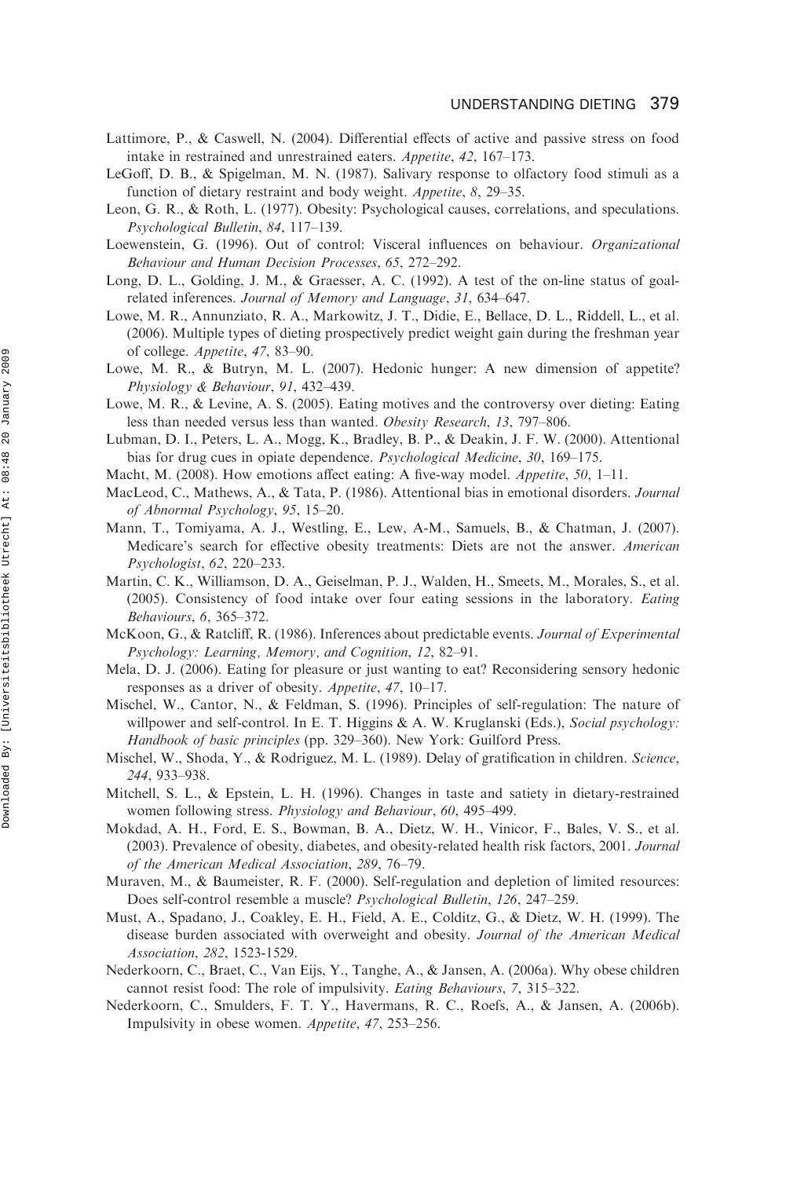- Lattimore, P., & Caswell, N. (2004). Differential effects of active and passive stress on food intake in restrained and unrestrained eaters. Appetite, 42, 167–173.
- LeGoff, D. B., & Spigelman, M. N. (1987). Salivary response to olfactory food stimuli as a function of dietary restraint and body weight. Appetite, 8, 29–35.
- Leon, G. R., & Roth, L. (1977). Obesity: Psychological causes, correlations, and speculations. Psychological Bulletin, 84, 117–139.
- Loewenstein, G. (1996). Out of control: Visceral influences on behaviour. Organizational Behaviour and Human Decision Processes, 65, 272–292.
- Long, D. L., Golding, J. M., & Graesser, A. C. (1992). A test of the on-line status of goalrelated inferences. Journal of Memory and Language, 31, 634–647.
- Lowe, M. R., Annunziato, R. A., Markowitz, J. T., Didie, E., Bellace, D. L., Riddell, L., et al. (2006). Multiple types of dieting prospectively predict weight gain during the freshman year of college. Appetite, 47, 83–90.
- Lowe, M. R., & Butryn, M. L. (2007). Hedonic hunger: A new dimension of appetite? Physiology & Behaviour, 91, 432-439.
- Lowe, M. R., & Levine, A. S. (2005). Eating motives and the controversy over dieting: Eating less than needed versus less than wanted. Obesity Research, 13, 797–806.
- Lubman, D. I., Peters, L. A., Mogg, K., Bradley, B. P., & Deakin, J. F. W. (2000). Attentional bias for drug cues in opiate dependence. Psychological Medicine, 30, 169–175.
- Macht, M. (2008). How emotions affect eating: A five-way model. *Appetite*, 50, 1–11.
- MacLeod, C., Mathews, A., & Tata, P. (1986). Attentional bias in emotional disorders. Journal of Abnormal Psychology, 95, 15–20.
- Mann, T., Tomiyama, A. J., Westling, E., Lew, A-M., Samuels, B., & Chatman, J. (2007). Medicare's search for effective obesity treatments: Diets are not the answer. American Psychologist, 62, 220–233.
- Martin, C. K., Williamson, D. A., Geiselman, P. J., Walden, H., Smeets, M., Morales, S., et al. (2005). Consistency of food intake over four eating sessions in the laboratory. Eating Behaviours, 6, 365–372.
- McKoon, G., & Ratcliff, R. (1986). Inferences about predictable events. Journal of Experimental Psychology: Learning, Memory, and Cognition, 12, 82–91.
- Mela, D. J. (2006). Eating for pleasure or just wanting to eat? Reconsidering sensory hedonic responses as a driver of obesity. Appetite, 47, 10–17.
- Mischel, W., Cantor, N., & Feldman, S. (1996). Principles of self-regulation: The nature of willpower and self-control. In E. T. Higgins & A. W. Kruglanski (Eds.), Social psychology: Handbook of basic principles (pp. 329–360). New York: Guilford Press.
- Mischel, W., Shoda, Y., & Rodriguez, M. L. (1989). Delay of gratification in children. Science, 244, 933–938.
- Mitchell, S. L., & Epstein, L. H. (1996). Changes in taste and satiety in dietary-restrained women following stress. Physiology and Behaviour, 60, 495–499.
- Mokdad, A. H., Ford, E. S., Bowman, B. A., Dietz, W. H., Vinicor, F., Bales, V. S., et al. (2003). Prevalence of obesity, diabetes, and obesity-related health risk factors, 2001. Journal of the American Medical Association, 289, 76–79.
- Muraven, M., & Baumeister, R. F. (2000). Self-regulation and depletion of limited resources: Does self-control resemble a muscle? Psychological Bulletin, 126, 247–259.
- Must, A., Spadano, J., Coakley, E. H., Field, A. E., Colditz, G., & Dietz, W. H. (1999). The disease burden associated with overweight and obesity. Journal of the American Medical Association, 282, 1523-1529.
- Nederkoorn, C., Braet, C., Van Eijs, Y., Tanghe, A., & Jansen, A. (2006a). Why obese children cannot resist food: The role of impulsivity. Eating Behaviours, 7, 315–322.
- Nederkoorn, C., Smulders, F. T. Y., Havermans, R. C., Roefs, A., & Jansen, A. (2006b). Impulsivity in obese women. Appetite, 47, 253–256.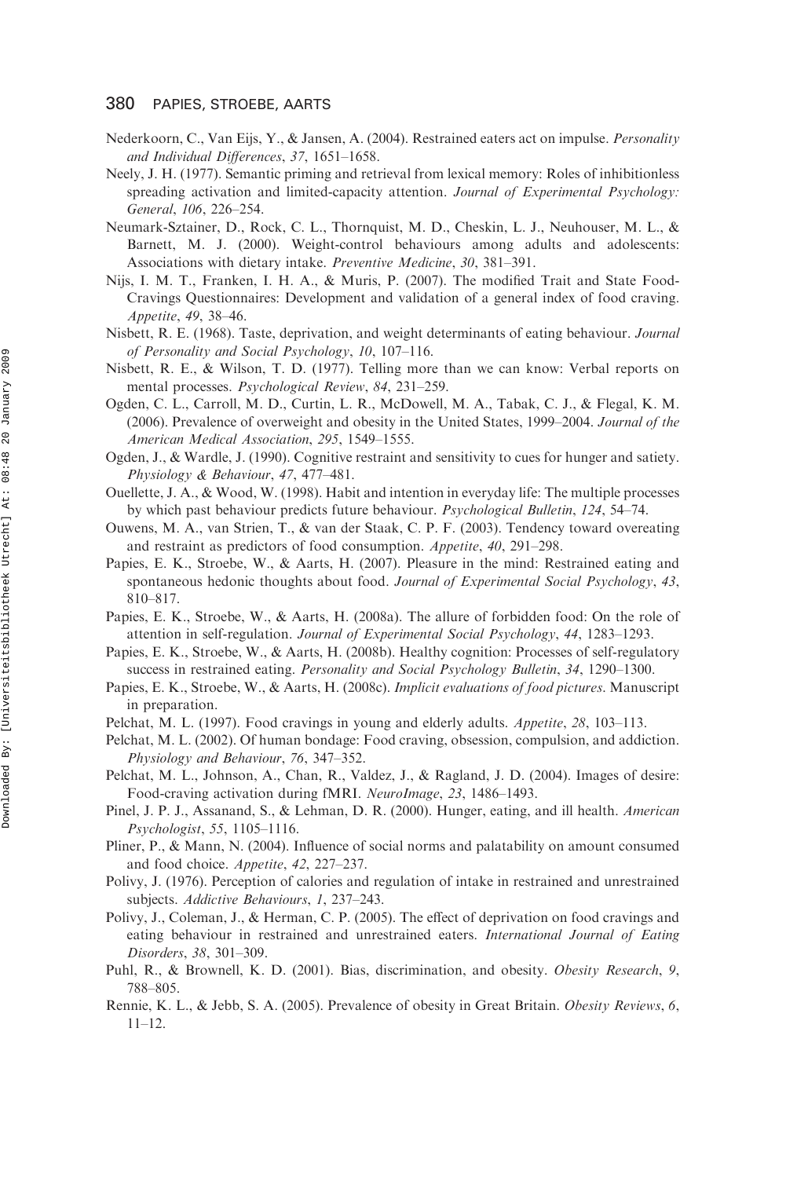- Nederkoorn, C., Van Eijs, Y., & Jansen, A. (2004). Restrained eaters act on impulse. Personality and Individual Differences, 37, 1651–1658.
- Neely, J. H. (1977). Semantic priming and retrieval from lexical memory: Roles of inhibitionless spreading activation and limited-capacity attention. Journal of Experimental Psychology: General, 106, 226–254.
- Neumark-Sztainer, D., Rock, C. L., Thornquist, M. D., Cheskin, L. J., Neuhouser, M. L., & Barnett, M. J. (2000). Weight-control behaviours among adults and adolescents: Associations with dietary intake. Preventive Medicine, 30, 381–391.
- Nijs, I. M. T., Franken, I. H. A., & Muris, P. (2007). The modified Trait and State Food-Cravings Questionnaires: Development and validation of a general index of food craving. Appetite, 49, 38–46.
- Nisbett, R. E. (1968). Taste, deprivation, and weight determinants of eating behaviour. Journal of Personality and Social Psychology, 10, 107–116.
- Nisbett, R. E., & Wilson, T. D. (1977). Telling more than we can know: Verbal reports on mental processes. Psychological Review, 84, 231–259.
- Ogden, C. L., Carroll, M. D., Curtin, L. R., McDowell, M. A., Tabak, C. J., & Flegal, K. M. (2006). Prevalence of overweight and obesity in the United States, 1999–2004. Journal of the American Medical Association, 295, 1549–1555.
- Ogden, J., & Wardle, J. (1990). Cognitive restraint and sensitivity to cues for hunger and satiety. Physiology & Behaviour, 47, 477–481.
- Ouellette, J. A., & Wood, W. (1998). Habit and intention in everyday life: The multiple processes by which past behaviour predicts future behaviour. Psychological Bulletin, 124, 54–74.
- Ouwens, M. A., van Strien, T., & van der Staak, C. P. F. (2003). Tendency toward overeating and restraint as predictors of food consumption. Appetite, 40, 291–298.
- Papies, E. K., Stroebe, W., & Aarts, H. (2007). Pleasure in the mind: Restrained eating and spontaneous hedonic thoughts about food. Journal of Experimental Social Psychology, 43, 810–817.
- Papies, E. K., Stroebe, W., & Aarts, H. (2008a). The allure of forbidden food: On the role of attention in self-regulation. Journal of Experimental Social Psychology, 44, 1283–1293.
- Papies, E. K., Stroebe, W., & Aarts, H. (2008b). Healthy cognition: Processes of self-regulatory success in restrained eating. Personality and Social Psychology Bulletin, 34, 1290-1300.
- Papies, E. K., Stroebe, W., & Aarts, H. (2008c). Implicit evaluations of food pictures. Manuscript in preparation.
- Pelchat, M. L. (1997). Food cravings in young and elderly adults. Appetite, 28, 103–113.
- Pelchat, M. L. (2002). Of human bondage: Food craving, obsession, compulsion, and addiction. Physiology and Behaviour, 76, 347–352.
- Pelchat, M. L., Johnson, A., Chan, R., Valdez, J., & Ragland, J. D. (2004). Images of desire: Food-craving activation during fMRI. NeuroImage, 23, 1486–1493.
- Pinel, J. P. J., Assanand, S., & Lehman, D. R. (2000). Hunger, eating, and ill health. American Psychologist, 55, 1105–1116.
- Pliner, P., & Mann, N. (2004). Influence of social norms and palatability on amount consumed and food choice. Appetite, 42, 227–237.
- Polivy, J. (1976). Perception of calories and regulation of intake in restrained and unrestrained subjects. Addictive Behaviours, 1, 237–243.
- Polivy, J., Coleman, J., & Herman, C. P. (2005). The effect of deprivation on food cravings and eating behaviour in restrained and unrestrained eaters. International Journal of Eating Disorders, 38, 301–309.
- Puhl, R., & Brownell, K. D. (2001). Bias, discrimination, and obesity. Obesity Research, 9, 788–805.
- Rennie, K. L., & Jebb, S. A. (2005). Prevalence of obesity in Great Britain. Obesity Reviews, 6, 11–12.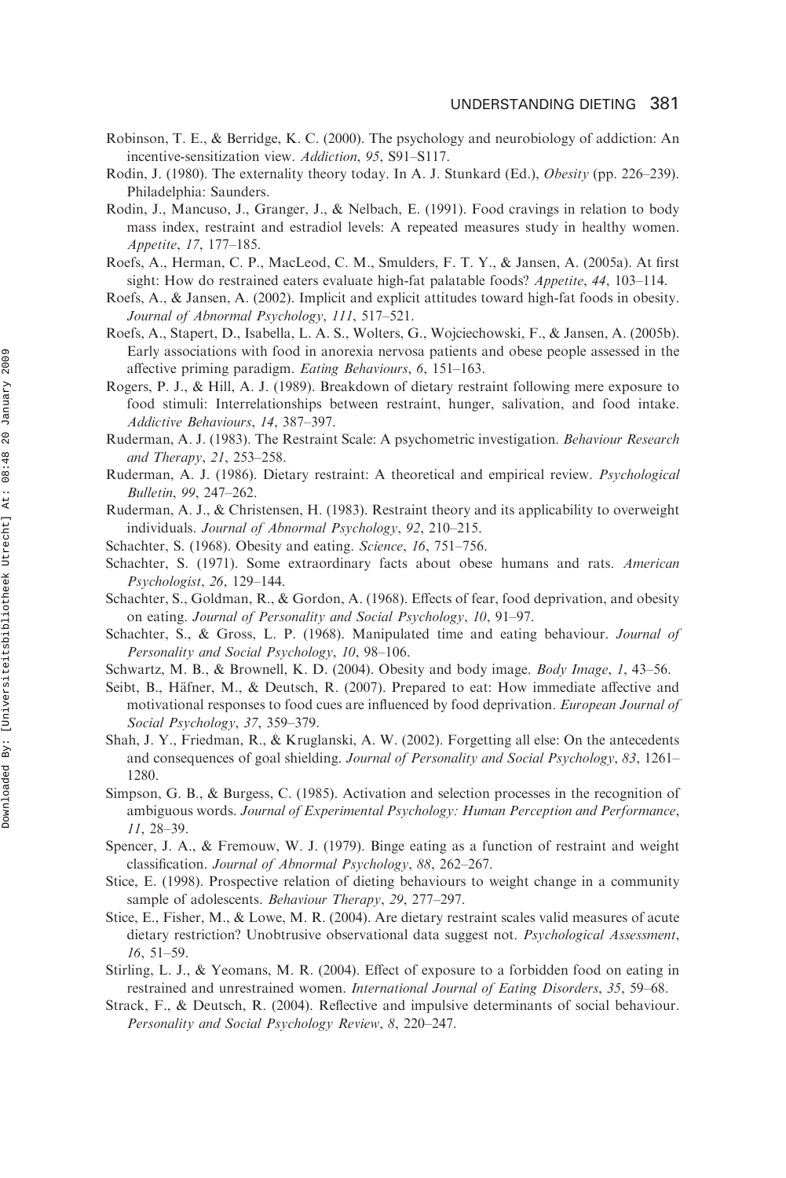- Robinson, T. E., & Berridge, K. C. (2000). The psychology and neurobiology of addiction: An incentive-sensitization view. Addiction, 95, S91–S117.
- Rodin, J. (1980). The externality theory today. In A. J. Stunkard (Ed.), Obesity (pp. 226–239). Philadelphia: Saunders.
- Rodin, J., Mancuso, J., Granger, J., & Nelbach, E. (1991). Food cravings in relation to body mass index, restraint and estradiol levels: A repeated measures study in healthy women. Appetite, 17, 177–185.
- Roefs, A., Herman, C. P., MacLeod, C. M., Smulders, F. T. Y., & Jansen, A. (2005a). At first sight: How do restrained eaters evaluate high-fat palatable foods? Appetite, 44, 103–114.
- Roefs, A., & Jansen, A. (2002). Implicit and explicit attitudes toward high-fat foods in obesity. Journal of Abnormal Psychology, 111, 517–521.
- Roefs, A., Stapert, D., Isabella, L. A. S., Wolters, G., Wojciechowski, F., & Jansen, A. (2005b). Early associations with food in anorexia nervosa patients and obese people assessed in the affective priming paradigm. Eating Behaviours, 6, 151–163.
- Rogers, P. J., & Hill, A. J. (1989). Breakdown of dietary restraint following mere exposure to food stimuli: Interrelationships between restraint, hunger, salivation, and food intake. Addictive Behaviours, 14, 387–397.
- Ruderman, A. J. (1983). The Restraint Scale: A psychometric investigation. Behaviour Research and Therapy, 21, 253–258.
- Ruderman, A. J. (1986). Dietary restraint: A theoretical and empirical review. Psychological Bulletin, 99, 247–262.
- Ruderman, A. J., & Christensen, H. (1983). Restraint theory and its applicability to overweight individuals. Journal of Abnormal Psychology, 92, 210–215.
- Schachter, S. (1968). Obesity and eating. Science, 16, 751–756.
- Schachter, S. (1971). Some extraordinary facts about obese humans and rats. American Psychologist, 26, 129–144.
- Schachter, S., Goldman, R., & Gordon, A. (1968). Effects of fear, food deprivation, and obesity on eating. Journal of Personality and Social Psychology, 10, 91–97.
- Schachter, S., & Gross, L. P. (1968). Manipulated time and eating behaviour. Journal of Personality and Social Psychology, 10, 98–106.
- Schwartz, M. B., & Brownell, K. D. (2004). Obesity and body image. Body Image, 1, 43–56.
- Seibt, B., Häfner, M., & Deutsch, R. (2007). Prepared to eat: How immediate affective and motivational responses to food cues are influenced by food deprivation. European Journal of Social Psychology, 37, 359–379.
- Shah, J. Y., Friedman, R., & Kruglanski, A. W. (2002). Forgetting all else: On the antecedents and consequences of goal shielding. Journal of Personality and Social Psychology, 83, 1261– 1280.
- Simpson, G. B., & Burgess, C. (1985). Activation and selection processes in the recognition of ambiguous words. Journal of Experimental Psychology: Human Perception and Performance, 11, 28–39.
- Spencer, J. A., & Fremouw, W. J. (1979). Binge eating as a function of restraint and weight classification. Journal of Abnormal Psychology, 88, 262–267.
- Stice, E. (1998). Prospective relation of dieting behaviours to weight change in a community sample of adolescents. Behaviour Therapy, 29, 277-297.
- Stice, E., Fisher, M., & Lowe, M. R. (2004). Are dietary restraint scales valid measures of acute dietary restriction? Unobtrusive observational data suggest not. Psychological Assessment, 16, 51–59.
- Stirling, L. J., & Yeomans, M. R. (2004). Effect of exposure to a forbidden food on eating in restrained and unrestrained women. International Journal of Eating Disorders, 35, 59–68.
- Strack, F., & Deutsch, R. (2004). Reflective and impulsive determinants of social behaviour. Personality and Social Psychology Review, 8, 220–247.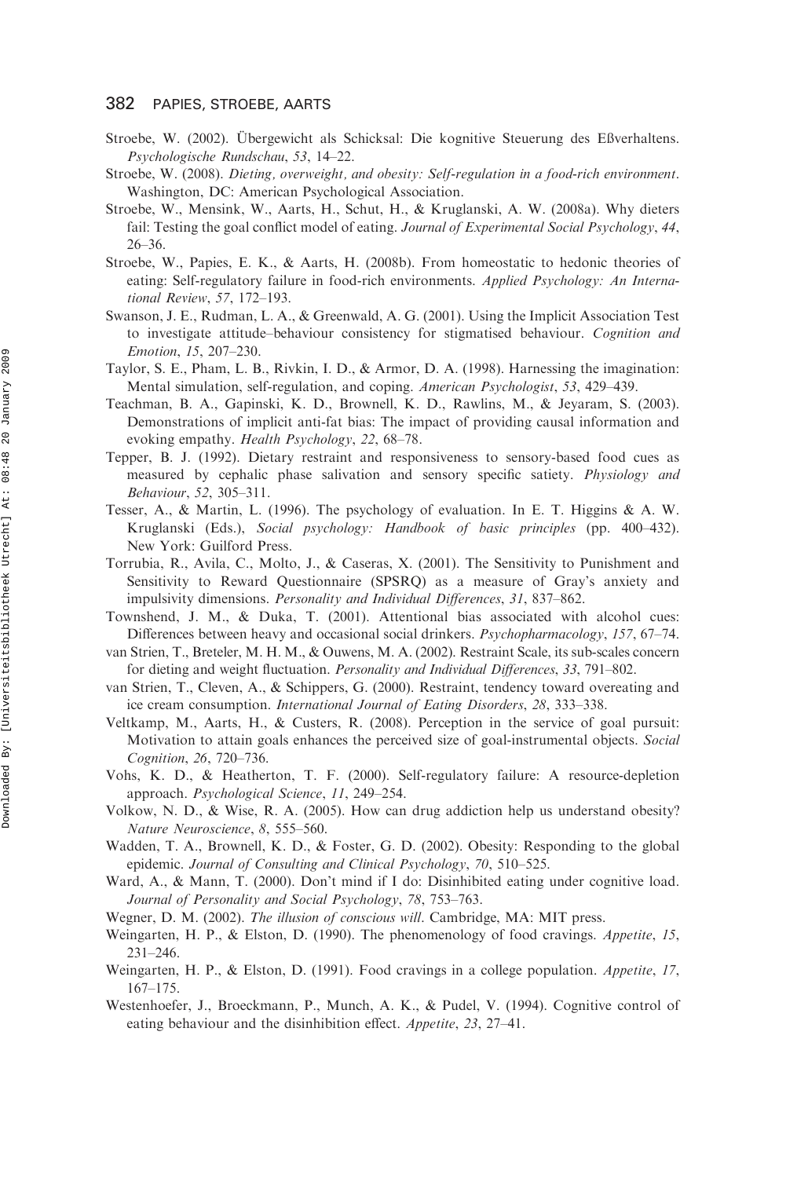- Stroebe, W. (2002). Übergewicht als Schicksal: Die kognitive Steuerung des Eßverhaltens. Psychologische Rundschau, 53, 14–22.
- Stroebe, W. (2008). Dieting, overweight, and obesity: Self-regulation in a food-rich environment. Washington, DC: American Psychological Association.
- Stroebe, W., Mensink, W., Aarts, H., Schut, H., & Kruglanski, A. W. (2008a). Why dieters fail: Testing the goal conflict model of eating. Journal of Experimental Social Psychology, 44, 26–36.
- Stroebe, W., Papies, E. K., & Aarts, H. (2008b). From homeostatic to hedonic theories of eating: Self-regulatory failure in food-rich environments. Applied Psychology: An International Review, 57, 172–193.
- Swanson, J. E., Rudman, L. A., & Greenwald, A. G. (2001). Using the Implicit Association Test to investigate attitude–behaviour consistency for stigmatised behaviour. Cognition and Emotion, 15, 207–230.
- Taylor, S. E., Pham, L. B., Rivkin, I. D., & Armor, D. A. (1998). Harnessing the imagination: Mental simulation, self-regulation, and coping. American Psychologist, 53, 429–439.
- Teachman, B. A., Gapinski, K. D., Brownell, K. D., Rawlins, M., & Jeyaram, S. (2003). Demonstrations of implicit anti-fat bias: The impact of providing causal information and evoking empathy. Health Psychology, 22, 68–78.
- Tepper, B. J. (1992). Dietary restraint and responsiveness to sensory-based food cues as measured by cephalic phase salivation and sensory specific satiety. Physiology and Behaviour, 52, 305–311.
- Tesser, A., & Martin, L. (1996). The psychology of evaluation. In E. T. Higgins & A. W. Kruglanski (Eds.), Social psychology: Handbook of basic principles (pp. 400–432). New York: Guilford Press.
- Torrubia, R., Avila, C., Molto, J., & Caseras, X. (2001). The Sensitivity to Punishment and Sensitivity to Reward Questionnaire (SPSRQ) as a measure of Gray's anxiety and impulsivity dimensions. Personality and Individual Differences, 31, 837–862.
- Townshend, J. M., & Duka, T. (2001). Attentional bias associated with alcohol cues: Differences between heavy and occasional social drinkers. Psychopharmacology, 157, 67–74.
- van Strien, T., Breteler, M. H. M., & Ouwens, M. A. (2002). Restraint Scale, its sub-scales concern for dieting and weight fluctuation. Personality and Individual Differences, 33, 791–802.
- van Strien, T., Cleven, A., & Schippers, G. (2000). Restraint, tendency toward overeating and ice cream consumption. International Journal of Eating Disorders, 28, 333–338.
- Veltkamp, M., Aarts, H., & Custers, R. (2008). Perception in the service of goal pursuit: Motivation to attain goals enhances the perceived size of goal-instrumental objects. Social Cognition, 26, 720–736.
- Vohs, K. D., & Heatherton, T. F. (2000). Self-regulatory failure: A resource-depletion approach. Psychological Science, 11, 249–254.
- Volkow, N. D., & Wise, R. A. (2005). How can drug addiction help us understand obesity? Nature Neuroscience, 8, 555–560.
- Wadden, T. A., Brownell, K. D., & Foster, G. D. (2002). Obesity: Responding to the global epidemic. Journal of Consulting and Clinical Psychology, 70, 510–525.
- Ward, A., & Mann, T. (2000). Don't mind if I do: Disinhibited eating under cognitive load. Journal of Personality and Social Psychology, 78, 753–763.
- Wegner, D. M. (2002). The illusion of conscious will. Cambridge, MA: MIT press.
- Weingarten, H. P., & Elston, D. (1990). The phenomenology of food cravings. Appetite, 15, 231–246.
- Weingarten, H. P., & Elston, D. (1991). Food cravings in a college population. Appetite, 17, 167–175.
- Westenhoefer, J., Broeckmann, P., Munch, A. K., & Pudel, V. (1994). Cognitive control of eating behaviour and the disinhibition effect. Appetite, 23, 27–41.